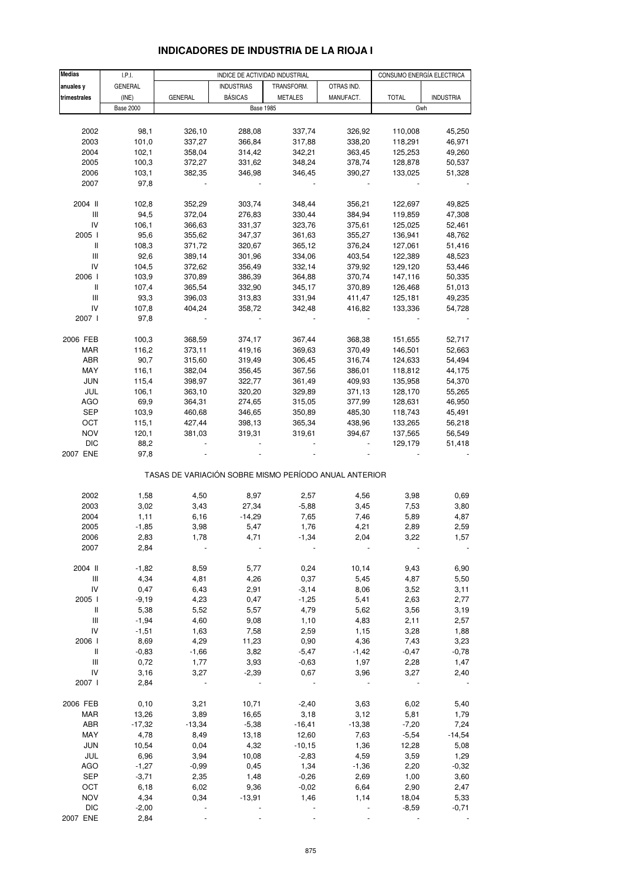| <b>Medias</b>                      | I.P.I.           |                                                       |                   | INDICE DE ACTIVIDAD INDUSTRIAL |                  | CONSUMO ENERGÍA ELECTRICA |                  |  |
|------------------------------------|------------------|-------------------------------------------------------|-------------------|--------------------------------|------------------|---------------------------|------------------|--|
| anuales y                          | GENERAL          |                                                       | <b>INDUSTRIAS</b> | TRANSFORM.                     | OTRAS IND.       |                           |                  |  |
| trimestrales                       | (INE)            | <b>GENERAL</b>                                        | <b>BÁSICAS</b>    | <b>METALES</b>                 | MANUFACT.        | <b>TOTAL</b>              | <b>INDUSTRIA</b> |  |
|                                    | <b>Base 2000</b> |                                                       |                   | <b>Base 1985</b>               |                  | Gwh                       |                  |  |
|                                    |                  |                                                       |                   |                                |                  |                           |                  |  |
| 2002                               | 98,1             | 326,10                                                | 288,08            | 337,74                         | 326,92           | 110,008                   | 45,250           |  |
| 2003                               | 101,0            | 337,27                                                | 366,84            | 317,88                         | 338,20           | 118,291                   | 46,971           |  |
| 2004                               | 102,1            | 358,04                                                | 314,42            | 342,21                         | 363,45           | 125,253                   | 49,260           |  |
| 2005                               | 100,3            | 372,27                                                | 331,62            | 348,24                         | 378,74           | 128,878                   | 50,537           |  |
| 2006                               | 103,1            | 382,35                                                | 346,98            | 346,45                         | 390,27           | 133,025                   | 51,328           |  |
| 2007                               | 97,8             |                                                       |                   |                                |                  |                           |                  |  |
|                                    |                  |                                                       |                   |                                |                  |                           |                  |  |
| 2004 II                            | 102,8            | 352,29                                                | 303,74            | 348,44                         | 356,21           | 122,697                   | 49,825           |  |
| Ш<br>IV                            | 94,5<br>106,1    | 372,04<br>366,63                                      | 276,83<br>331,37  | 330,44<br>323,76               | 384,94<br>375,61 | 119,859<br>125,025        | 47,308<br>52,461 |  |
| 2005 l                             | 95,6             | 355,62                                                | 347,37            | 361,63                         | 355,27           | 136,941                   | 48,762           |  |
| Ш                                  | 108,3            | 371,72                                                | 320,67            | 365,12                         | 376,24           | 127,061                   | 51,416           |  |
| Ш                                  | 92,6             | 389,14                                                | 301,96            | 334,06                         | 403,54           | 122,389                   | 48,523           |  |
| IV                                 | 104,5            | 372,62                                                | 356,49            | 332,14                         | 379,92           | 129,120                   | 53,446           |  |
| 2006                               | 103,9            | 370,89                                                | 386,39            | 364,88                         | 370,74           | 147,116                   | 50,335           |  |
| Ш                                  | 107,4            | 365,54                                                | 332,90            | 345,17                         | 370,89           | 126,468                   | 51,013           |  |
| $\ensuremath{\mathsf{III}}\xspace$ | 93,3             | 396,03                                                | 313,83            | 331,94                         | 411,47           | 125,181                   | 49,235           |  |
| IV                                 | 107,8            | 404,24                                                | 358,72            | 342,48                         | 416,82           | 133,336                   | 54,728           |  |
| 2007                               | 97,8             |                                                       |                   |                                |                  |                           |                  |  |
|                                    |                  |                                                       |                   |                                |                  |                           |                  |  |
| 2006 FEB                           | 100,3            | 368,59                                                | 374,17            | 367,44                         | 368,38           | 151,655                   | 52,717           |  |
| MAR                                | 116,2            | 373,11                                                | 419,16            | 369,63                         | 370,49           | 146,501                   | 52,663           |  |
| ABR                                | 90,7             | 315,60                                                | 319,49            | 306,45                         | 316,74           | 124,633                   | 54,494           |  |
| MAY                                | 116,1            | 382,04                                                | 356,45            | 367,56                         | 386,01           | 118,812                   | 44,175           |  |
| JUN<br>JUL                         | 115,4<br>106,1   | 398,97<br>363,10                                      | 322,77<br>320,20  | 361,49<br>329,89               | 409,93<br>371,13 | 135,958<br>128,170        | 54,370<br>55,265 |  |
| AGO                                | 69,9             | 364,31                                                | 274,65            | 315,05                         | 377,99           | 128,631                   | 46,950           |  |
| <b>SEP</b>                         | 103,9            | 460,68                                                | 346,65            | 350,89                         | 485,30           | 118,743                   | 45,491           |  |
| OCT                                | 115,1            | 427,44                                                | 398,13            | 365,34                         | 438,96           | 133,265                   | 56,218           |  |
| <b>NOV</b>                         | 120,1            | 381,03                                                | 319,31            | 319,61                         | 394,67           | 137,565                   | 56,549           |  |
| <b>DIC</b>                         | 88,2             |                                                       |                   |                                |                  | 129,179                   | 51,418           |  |
| 2007 ENE                           | 97,8             |                                                       |                   |                                |                  |                           |                  |  |
|                                    |                  |                                                       |                   |                                |                  |                           |                  |  |
|                                    |                  | TASAS DE VARIACIÓN SOBRE MISMO PERÍODO ANUAL ANTERIOR |                   |                                |                  |                           |                  |  |
|                                    |                  |                                                       |                   |                                |                  |                           |                  |  |
| 2002                               | 1,58             | 4,50                                                  | 8,97              | 2,57                           | 4,56             | 3,98                      | 0,69             |  |
| 2003<br>2004                       | 3,02<br>1,11     | 3,43<br>6,16                                          | 27,34<br>$-14,29$ | $-5,88$<br>7,65                | 3,45<br>7,46     | 7,53<br>5,89              | 3,80<br>4,87     |  |
| 2005                               | $-1,85$          | 3,98                                                  | 5,47              | 1,76                           | 4,21             | 2,89                      | 2,59             |  |
| 2006                               | 2,83             | 1,78                                                  | 4,71              | -1,34                          | 2,04             | 3,22                      | 1,57             |  |
| 2007                               | 2,84             |                                                       |                   |                                |                  |                           |                  |  |
|                                    |                  |                                                       |                   |                                |                  |                           |                  |  |
| 2004 II                            | $-1,82$          | 8,59                                                  | 5,77              | 0,24                           | 10,14            | 9,43                      | 6,90             |  |
| Ш                                  | 4,34             | 4,81                                                  | 4,26              | 0,37                           | 5,45             | 4,87                      | 5,50             |  |
| IV                                 | 0,47             | 6,43                                                  | 2,91              | $-3,14$                        | 8,06             | 3,52                      | 3,11             |  |
| 2005 l                             | $-9,19$          | 4,23                                                  | 0,47              | $-1,25$                        | 5,41             | 2,63                      | 2,77             |  |
| Ш                                  | 5,38             | 5,52                                                  | 5,57              | 4,79                           | 5,62             | 3,56                      | 3,19             |  |
| $\ensuremath{\mathsf{III}}\xspace$ | $-1,94$          | 4,60                                                  | 9,08              | 1,10                           | 4,83             | 2,11                      | 2,57             |  |
| IV                                 | $-1,51$          | 1,63                                                  | 7,58              | 2,59                           | 1,15             | 3,28                      | 1,88             |  |
| 2006                               | 8,69             | 4,29                                                  | 11,23             | 0,90                           | 4,36             | 7,43                      | 3,23             |  |
| Ш                                  | $-0,83$          | $-1,66$                                               | 3,82              | $-5,47$                        | $-1,42$          | $-0,47$                   | $-0,78$          |  |
| Ш<br>IV                            | 0,72             | 1,77                                                  | 3,93              | $-0,63$                        | 1,97             | 2,28                      | 1,47             |  |
| 2007                               | 3,16<br>2,84     | 3,27                                                  | $-2,39$           | 0,67                           | 3,96             | 3,27                      | 2,40             |  |
|                                    |                  |                                                       |                   |                                |                  |                           |                  |  |
| 2006 FEB                           | 0, 10            | 3,21                                                  | 10,71             | $-2,40$                        | 3,63             | 6,02                      | 5,40             |  |
| MAR                                | 13,26            | 3,89                                                  | 16,65             | 3,18                           | 3,12             | 5,81                      | 1,79             |  |
| ABR                                | $-17,32$         | $-13,34$                                              | $-5,38$           | $-16,41$                       | $-13,38$         | $-7,20$                   | 7,24             |  |
| MAY                                | 4,78             | 8,49                                                  | 13,18             | 12,60                          | 7,63             | $-5,54$                   | $-14,54$         |  |
| <b>JUN</b>                         | 10,54            | 0,04                                                  | 4,32              | $-10,15$                       | 1,36             | 12,28                     | 5,08             |  |
| JUL                                | 6,96             | 3,94                                                  | 10,08             | $-2,83$                        | 4,59             | 3,59                      | 1,29             |  |
| <b>AGO</b>                         | $-1,27$          | $-0,99$                                               | 0,45              | 1,34                           | $-1,36$          | 2,20                      | $-0,32$          |  |
| SEP                                | $-3,71$          | 2,35                                                  | 1,48              | $-0,26$                        | 2,69             | 1,00                      | 3,60             |  |
| OCT                                | 6,18             | 6,02                                                  | 9,36              | $-0,02$                        | 6,64             | 2,90                      | 2,47             |  |
| <b>NOV</b>                         | 4,34             | 0,34                                                  | $-13,91$          | 1,46                           | 1,14             | 18,04                     | 5,33             |  |
| <b>DIC</b>                         | $-2,00$          |                                                       |                   |                                |                  | $-8,59$                   | $-0,71$          |  |

### **INDICADORES DE INDUSTRIA DE LA RIOJA I**

2007 ENE 2,84 - - - - - -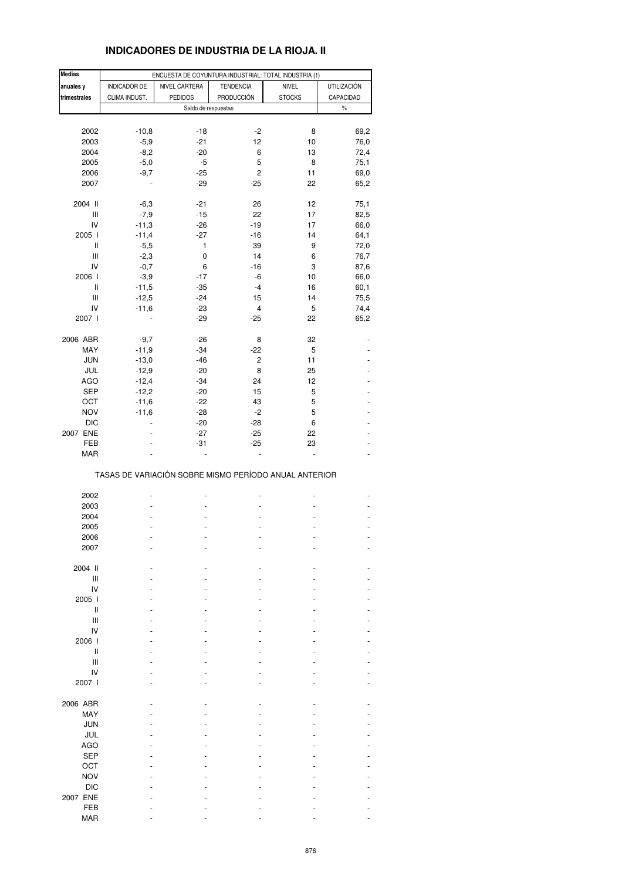# **INDICADORES DE INDUSTRIA DE LA RIOJA. II**

| <b>Medias</b>                      |               |                | ENCUESTA DE COYUNTURA INDUSTRIAL: TOTAL INDUSTRIA (1) |               |                    |
|------------------------------------|---------------|----------------|-------------------------------------------------------|---------------|--------------------|
| anuales y                          | INDICADOR DE  | NIVEL CARTERA  | <b>TENDENCIA</b>                                      | NIVEL         | <b>UTILIZACIÓN</b> |
|                                    |               |                |                                                       |               |                    |
| trimestrales                       | CLIMA INDUST. | <b>PEDIDOS</b> | PRODUCCIÓN                                            | <b>STOCKS</b> | CAPACIDAD          |
|                                    |               |                | Saldo de respuestas                                   |               | $\%$               |
|                                    |               |                |                                                       |               |                    |
| 2002                               | $-10,8$       | $-18$          | -2                                                    | 8             | 69,2               |
| 2003                               | $-5,9$        | $-21$          | 12                                                    | 10            | 76,0               |
| 2004                               | $-8,2$        | $-20$          | 6                                                     | 13            | 72,4               |
|                                    |               |                |                                                       |               |                    |
| 2005                               | $-5,0$        | $-5$           | 5                                                     | 8             | 75,1               |
| 2006                               | $-9,7$        | $-25$          | 2                                                     | 11            | 69,0               |
| 2007                               |               | $-29$          | $-25$                                                 | 22            | 65,2               |
|                                    |               |                |                                                       |               |                    |
| 2004 II                            | $-6,3$        | $-21$          | 26                                                    | 12            | 75,1               |
|                                    | $-7,9$        |                |                                                       | 17            |                    |
| Ш                                  |               | $-15$          | 22                                                    |               | 82,5               |
| IV                                 | $-11,3$       | $-26$          | $-19$                                                 | 17            | 66,0               |
| 2005 l                             | $-11,4$       | $-27$          | $-16$                                                 | 14            | 64,1               |
| Ш                                  | $-5,5$        | 1              | 39                                                    | 9             | 72,0               |
| Ш                                  | $-2,3$        | 0              | 14                                                    | 6             | 76,7               |
| IV                                 | $-0,7$        | 6              | $-16$                                                 | 3             |                    |
|                                    |               |                |                                                       |               | 87,6               |
| 2006                               | $-3,9$        | $-17$          | -6                                                    | 10            | 66,0               |
| Ш                                  | $-11,5$       | $-35$          | $-4$                                                  | 16            | 60,1               |
| $\ensuremath{\mathsf{III}}\xspace$ | $-12,5$       | $-24$          | 15                                                    | 14            | 75,5               |
| IV                                 | $-11,6$       | $-23$          | 4                                                     | 5             | 74,4               |
| 2007 l                             |               | $-29$          | -25                                                   | 22            | 65,2               |
|                                    |               |                |                                                       |               |                    |
|                                    |               |                |                                                       |               |                    |
| 2006 ABR                           | $-9,7$        | $-26$          | 8                                                     | 32            |                    |
| MAY                                | $-11,9$       | $-34$          | -22                                                   | 5             |                    |
| <b>JUN</b>                         | $-13,0$       | $-46$          | 2                                                     | 11            |                    |
| JUL                                | $-12,9$       | $-20$          | 8                                                     | 25            |                    |
| <b>AGO</b>                         | $-12,4$       | $-34$          | 24                                                    | 12            |                    |
|                                    |               |                |                                                       |               |                    |
| <b>SEP</b>                         | $-12,2$       | $-20$          | 15                                                    | 5             |                    |
| OCT                                | $-11,6$       | $-22$          | 43                                                    | 5             |                    |
| <b>NOV</b>                         | $-11,6$       | $-28$          | $-2$                                                  | 5             |                    |
| <b>DIC</b>                         |               | $-20$          | $-28$                                                 | 6             |                    |
| 2007 ENE                           |               | $-27$          | $-25$                                                 | 22            |                    |
|                                    |               |                |                                                       |               |                    |
| FEB                                |               | $-31$          | $-25$                                                 | 23            |                    |
| <b>MAR</b>                         |               |                |                                                       |               |                    |
|                                    |               |                | TASAS DE VARIACIÓN SOBRE MISMO PERÍODO ANUAL ANTERIOR |               |                    |
|                                    |               |                |                                                       |               |                    |
| 2002                               |               |                |                                                       |               |                    |
| 2003                               |               |                |                                                       |               |                    |
| 2004                               |               |                |                                                       |               |                    |
| 2005                               |               |                |                                                       |               |                    |
| 2006                               |               |                |                                                       |               |                    |
| 2007                               |               |                |                                                       |               |                    |
|                                    |               |                |                                                       |               |                    |
|                                    |               |                |                                                       |               |                    |
| 2004 II                            |               |                |                                                       |               |                    |
| Ш                                  |               |                |                                                       |               |                    |
| IV                                 |               |                |                                                       |               |                    |
| 2005 l                             |               |                |                                                       |               |                    |
| Ш                                  |               |                |                                                       |               |                    |
| Ш                                  |               |                |                                                       |               |                    |
|                                    |               |                |                                                       |               |                    |
| IV                                 |               |                |                                                       |               |                    |
| 2006                               |               |                |                                                       |               |                    |
| Ш                                  |               |                |                                                       |               |                    |
| Ш                                  |               |                |                                                       |               |                    |
| IV                                 |               |                |                                                       |               |                    |
|                                    |               |                |                                                       |               |                    |
| 2007 l                             |               |                |                                                       |               |                    |
|                                    |               |                |                                                       |               |                    |
| 2006 ABR                           |               |                |                                                       |               |                    |
| MAY                                |               |                |                                                       |               |                    |
| <b>JUN</b>                         |               |                |                                                       |               |                    |
| JUL                                |               |                |                                                       |               |                    |
|                                    |               |                |                                                       |               |                    |
| <b>AGO</b>                         |               |                |                                                       |               |                    |
| <b>SEP</b>                         |               |                |                                                       |               |                    |
| OCT                                |               |                |                                                       |               |                    |
| <b>NOV</b>                         |               |                |                                                       |               |                    |
|                                    |               |                |                                                       |               |                    |
| <b>DIC</b>                         |               |                |                                                       |               |                    |
| 2007 ENE                           |               |                |                                                       |               |                    |
| FEB                                |               |                |                                                       |               |                    |
| <b>MAR</b>                         |               |                |                                                       |               |                    |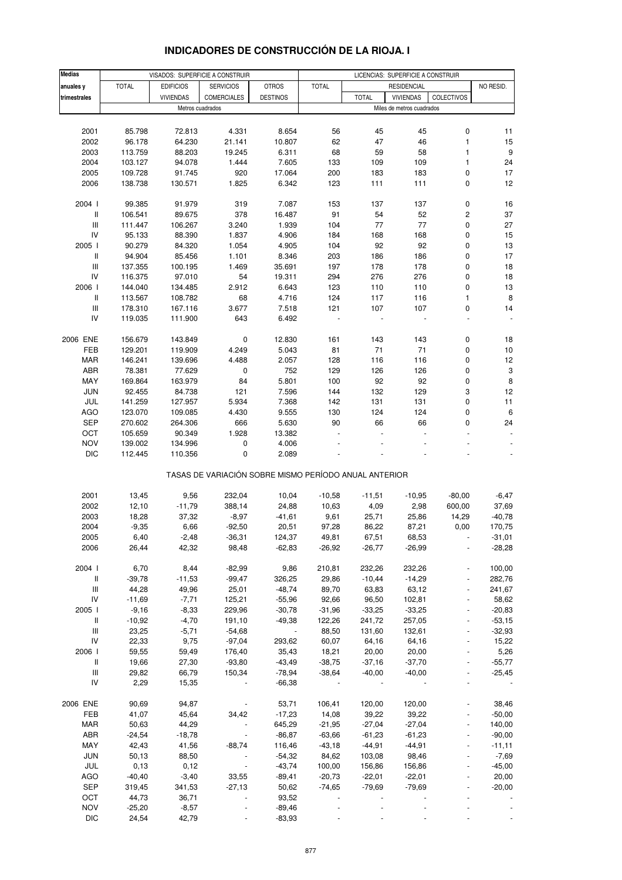| <b>Medias</b>                           |                   |                   | VISADOS: SUPERFICIE A CONSTRUIR                       |                          | LICENCIAS: SUPERFICIE A CONSTRUIR |                   |                           |                          |                           |
|-----------------------------------------|-------------------|-------------------|-------------------------------------------------------|--------------------------|-----------------------------------|-------------------|---------------------------|--------------------------|---------------------------|
| anuales y                               | <b>TOTAL</b>      | <b>EDIFICIOS</b>  | <b>SERVICIOS</b>                                      | <b>OTROS</b>             | <b>TOTAL</b>                      |                   | <b>RESIDENCIAL</b>        |                          | NO RESID.                 |
| trimestrales                            |                   | <b>VIVIENDAS</b>  | <b>COMERCIALES</b>                                    | <b>DESTINOS</b>          |                                   | <b>TOTAL</b>      | <b>VIVIENDAS</b>          | <b>COLECTIVOS</b>        |                           |
|                                         |                   | Metros cuadrados  |                                                       |                          |                                   |                   | Miles de metros cuadrados |                          |                           |
|                                         |                   |                   |                                                       |                          |                                   |                   |                           |                          |                           |
| 2001                                    | 85.798            | 72.813            | 4.331                                                 | 8.654                    | 56                                | 45                | 45                        | 0                        | 11                        |
| 2002                                    | 96.178            | 64.230            | 21.141                                                | 10.807                   | 62                                | 47                | 46                        | $\mathbf{1}$             | 15                        |
| 2003                                    | 113.759           | 88.203            | 19.245                                                | 6.311                    | 68                                | 59                | 58                        | 1                        | $\boldsymbol{9}$          |
| 2004                                    | 103.127           | 94.078            | 1.444                                                 | 7.605                    | 133                               | 109               | 109                       | 1                        | 24                        |
| 2005                                    | 109.728           | 91.745            | 920                                                   | 17.064                   | 200                               | 183               | 183                       | 0                        | 17                        |
| 2006                                    | 138.738           | 130.571           | 1.825                                                 | 6.342                    | 123                               | 111               | 111                       | 0                        | 12                        |
|                                         |                   |                   |                                                       |                          |                                   |                   |                           |                          |                           |
| 2004 l                                  | 99.385            | 91.979            | 319                                                   | 7.087                    | 153                               | 137               | 137                       | 0                        | 16                        |
| $\, \parallel$                          | 106.541           | 89.675            | 378                                                   | 16.487                   | 91                                | 54                | 52                        | $\overline{\mathbf{c}}$  | 37                        |
| Ш                                       | 111.447           | 106.267           | 3.240                                                 | 1.939                    | 104                               | 77                | 77                        | 0                        | 27                        |
| IV                                      | 95.133            | 88.390            | 1.837                                                 | 4.906                    | 184                               | 168               | 168                       | 0                        | 15                        |
| 2005 l                                  | 90.279            | 84.320            | 1.054                                                 | 4.905                    | 104                               | 92                | 92                        | 0                        | 13                        |
| Ш                                       | 94.904            | 85.456            | 1.101                                                 | 8.346                    | 203                               | 186               | 186                       | 0                        | 17                        |
| $\ensuremath{\mathsf{III}}\xspace$      | 137.355           | 100.195           | 1.469                                                 | 35.691                   | 197                               | 178               | 178                       | 0                        | 18                        |
| IV                                      | 116.375           | 97.010            | 54                                                    | 19.311                   | 294                               | 276               | 276                       | 0                        | $18$                      |
| 2006 l                                  | 144.040           | 134.485           | 2.912                                                 | 6.643                    | 123                               | 110               | 110                       | 0                        | 13                        |
| Ш                                       | 113.567           | 108.782           | 68                                                    | 4.716                    | 124                               | 117               | 116                       | 1                        | $\bf 8$                   |
| $\ensuremath{\mathsf{III}}\xspace$      | 178.310           | 167.116           | 3.677                                                 | 7.518                    | 121                               | 107               | 107                       | 0                        | 14                        |
| IV                                      | 119.035           | 111.900           | 643                                                   | 6.492                    |                                   |                   |                           |                          |                           |
|                                         |                   |                   |                                                       |                          |                                   |                   |                           |                          |                           |
| 2006 ENE                                | 156.679           | 143.849           | 0                                                     | 12.830                   | 161                               | 143               | 143                       | 0                        | 18                        |
| FEB                                     | 129.201           | 119.909           | 4.249                                                 | 5.043                    | 81                                | 71                | $71$                      | 0                        | 10                        |
| <b>MAR</b>                              | 146.241           | 139.696           | 4.488                                                 | 2.057                    | 128                               | 116               | 116                       | 0                        | 12                        |
| ABR                                     | 78.381            | 77.629            | 0                                                     | 752                      | 129                               | 126               | 126                       | 0                        | $\ensuremath{\mathsf{3}}$ |
| MAY                                     | 169.864           | 163.979           | 84                                                    | 5.801                    | 100                               | 92                | 92                        | 0                        | $\bf8$                    |
| <b>JUN</b>                              | 92.455            | 84.738            | 121                                                   | 7.596                    | 144                               | 132               | 129                       | 3                        | 12                        |
| JUL                                     | 141.259           | 127.957           | 5.934                                                 | 7.368                    | 142                               | 131               | 131                       | 0                        | 11                        |
| <b>AGO</b>                              | 123.070           | 109.085           | 4.430                                                 | 9.555                    | 130                               | 124               | 124                       | 0                        | $\,6\,$                   |
| <b>SEP</b>                              | 270.602           | 264.306           | 666                                                   | 5.630                    | 90                                | 66                | 66                        | 0                        | 24                        |
| OCT                                     | 105.659           | 90.349            | 1.928                                                 | 13.382                   |                                   |                   |                           |                          | $\overline{\phantom{a}}$  |
| <b>NOV</b>                              | 139.002           | 134.996           | $\pmb{0}$                                             | 4.006                    |                                   |                   |                           |                          |                           |
| <b>DIC</b>                              | 112.445           | 110.356           | 0                                                     | 2.089                    |                                   |                   |                           |                          |                           |
|                                         |                   |                   | TASAS DE VARIACIÓN SOBRE MISMO PERÍODO ANUAL ANTERIOR |                          |                                   |                   |                           |                          |                           |
|                                         |                   |                   |                                                       |                          |                                   |                   |                           |                          |                           |
| 2001                                    | 13,45             | 9,56              | 232,04                                                | 10,04                    | $-10,58$                          | $-11,51$          | $-10,95$                  | $-80,00$                 | $-6,47$                   |
| 2002                                    | 12,10             | $-11,79$          | 388,14                                                | 24,88                    | 10,63                             | 4,09              | 2,98                      | 600,00                   | 37,69                     |
| 2003                                    | 18,28             | 37,32             | $-8,97$                                               | $-41,61$                 | 9,61                              | 25,71             | 25,86                     | 14,29                    | $-40,78$                  |
| 2004                                    | $-9,35$           | 6,66              | $-92,50$                                              | 20,51                    | 97,28                             | 86,22             | 87,21                     | 0,00                     | 170,75                    |
| 2005                                    | 6,40              | $-2,48$           | -36,31                                                | 124,37                   | 49,81                             | 67,51             | 68,53                     |                          | -31,01                    |
| 2006                                    | 26,44             | 42,32             | 98,48                                                 | $-62,83$                 | $-26,92$                          | $-26,77$          | $-26,99$                  |                          | $-28,28$                  |
| 2004 l                                  | 6,70              | 8,44              | $-82,99$                                              | 9,86                     | 210,81                            | 232,26            | 232,26                    |                          | 100,00                    |
|                                         |                   |                   |                                                       |                          |                                   |                   | $-14,29$                  |                          | 282,76                    |
| Ш<br>$\ensuremath{\mathsf{III}}\xspace$ | $-39,78$<br>44,28 | $-11,53$<br>49,96 | $-99,47$<br>25,01                                     | 326,25<br>$-48,74$       | 29,86<br>89,70                    | $-10,44$<br>63,83 | 63,12                     | ÷,                       | 241,67                    |
| IV                                      | $-11,69$          | $-7,71$           | 125,21                                                | $-55,96$                 | 92,66                             | 96,50             | 102,81                    |                          | 58,62                     |
| 2005 l                                  | $-9,16$           | $-8,33$           | 229,96                                                | $-30,78$                 | $-31,96$                          | $-33,25$          | $-33,25$                  | ÷,                       | $-20,83$                  |
| Ш                                       | $-10,92$          | $-4,70$           | 191,10                                                | $-49,38$                 | 122,26                            | 241,72            | 257,05                    | $\blacksquare$           | $-53,15$                  |
| Ш                                       | 23,25             | $-5,71$           | $-54,68$                                              | $\overline{\phantom{a}}$ | 88,50                             | 131,60            | 132,61                    |                          | $-32,93$                  |
| IV                                      | 22,33             | 9,75              | $-97,04$                                              | 293,62                   | 60,07                             | 64,16             | 64,16                     | $\blacksquare$           | 15,22                     |
| 2006                                    | 59,55             | 59,49             | 176,40                                                | 35,43                    | 18,21                             | 20,00             | 20,00                     |                          | 5,26                      |
| Ш                                       | 19,66             | 27,30             | $-93,80$                                              | $-43,49$                 | $-38,75$                          | $-37,16$          | $-37,70$                  |                          | $-55,77$                  |
| $\ensuremath{\mathsf{III}}\xspace$      | 29,82             | 66,79             | 150,34                                                | $-78,94$                 | $-38,64$                          | $-40,00$          | $-40,00$                  | $\overline{\phantom{a}}$ | $-25,45$                  |
| IV                                      | 2,29              | 15,35             |                                                       | $-66,38$                 |                                   |                   |                           |                          |                           |
|                                         |                   |                   |                                                       |                          |                                   |                   |                           |                          |                           |
| 2006 ENE                                | 90,69             | 94,87             |                                                       | 53,71                    | 106,41                            | 120,00            | 120,00                    |                          | 38,46                     |
| FEB                                     | 41,07             | 45,64             | 34,42                                                 | $-17,23$                 | 14,08                             | 39,22             | 39,22                     |                          | $-50,00$                  |
| MAR                                     | 50,63             | 44,29             | $\overline{\phantom{a}}$                              | 645,29                   | $-21,95$                          | $-27,04$          | $-27,04$                  |                          | 140,00                    |
| ABR                                     | $-24,54$          | $-18,78$          | $\overline{\phantom{a}}$                              | $-86,87$                 | $-63,66$                          | $-61,23$          | $-61,23$                  | $\blacksquare$           | $-90,00$                  |
| MAY                                     | 42,43             | 41,56             | $-88,74$                                              | 116,46                   | $-43,18$                          | $-44,91$          | $-44,91$                  |                          | $-11,11$                  |
| <b>JUN</b>                              | 50,13             | 88,50             |                                                       | $-54,32$                 | 84,62                             | 103,08            | 98,46                     |                          | $-7,69$                   |
| JUL                                     | 0,13              | 0,12              | $\blacksquare$                                        | $-43,74$                 | 100,00                            | 156,86            | 156,86                    |                          | $-45,00$                  |
| <b>AGO</b>                              | $-40,40$          | $-3,40$           | 33,55                                                 | $-89,41$                 | $-20,73$                          | $-22,01$          | $-22,01$                  |                          | 20,00                     |
| <b>SEP</b>                              | 319,45            | 341,53            | $-27,13$                                              | 50,62                    | $-74,65$                          | $-79,69$          | $-79,69$                  |                          | $-20,00$                  |
| OCT                                     | 44,73             | 36,71             |                                                       | 93,52                    |                                   |                   |                           |                          |                           |
| <b>NOV</b>                              | $-25,20$          | $-8,57$           |                                                       | $-89,46$                 |                                   |                   |                           |                          |                           |
| <b>DIC</b>                              | 24,54             | 42,79             |                                                       | $-83,93$                 |                                   |                   |                           |                          |                           |

# **INDICADORES DE CONSTRUCCIÓN DE LA RIOJA. I**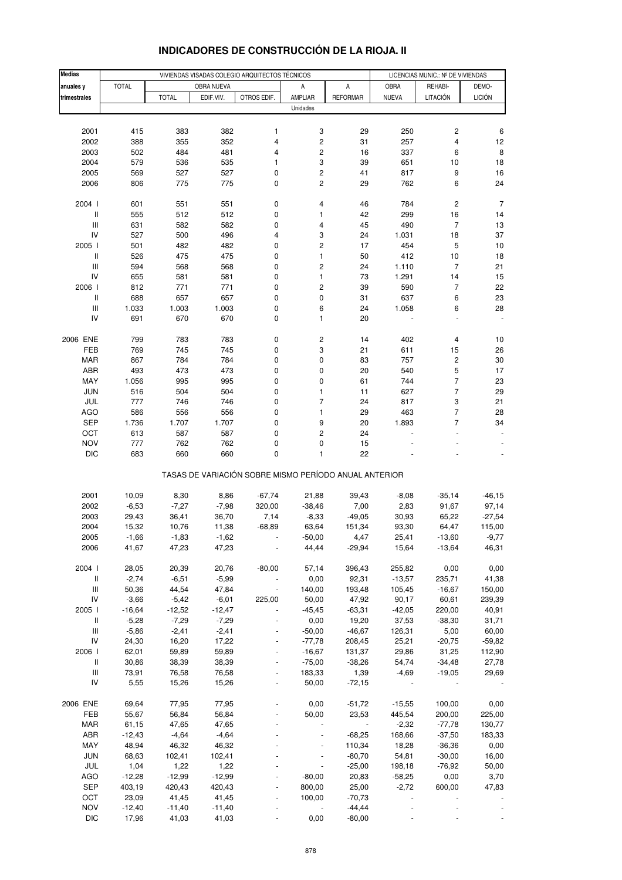| <b>Medias</b>                      |                    |                    |                    | VIVIENDAS VISADAS COLEGIO ARQUITECTOS TÉCNICOS        |                         |                          | LICENCIAS MUNIC.: Nº DE VIVIENDAS |                              |                |
|------------------------------------|--------------------|--------------------|--------------------|-------------------------------------------------------|-------------------------|--------------------------|-----------------------------------|------------------------------|----------------|
| anuales y                          | <b>TOTAL</b>       |                    | OBRA NUEVA         |                                                       | А                       | A                        | OBRA                              | REHABI-                      | DEMO-          |
| trimestrales                       |                    | <b>TOTAL</b>       | EDIF.VIV.          | OTROS EDIF.                                           | AMPLIAR                 | <b>REFORMAR</b>          | <b>NUEVA</b>                      | <b>LITACIÓN</b>              | <b>LICIÓN</b>  |
|                                    |                    |                    |                    |                                                       | Unidades                |                          |                                   |                              |                |
|                                    |                    |                    |                    |                                                       |                         |                          |                                   |                              |                |
| 2001                               | 415                | 383                | 382                | 1                                                     | 3                       | 29                       | 250                               | $\overline{\mathbf{c}}$      | 6              |
| 2002                               | 388                | 355                | 352                | 4                                                     | 2                       | 31                       | 257                               | 4                            | 12             |
| 2003                               | 502                | 484                | 481                | 4                                                     | 2                       | 16                       | 337                               | 6                            | 8              |
| 2004                               | 579                | 536                | 535                | 1                                                     | 3                       | 39                       | 651                               | 10                           | 18             |
| 2005                               | 569                | 527                | 527                | 0                                                     | $\mathbf 2$             | 41                       | 817                               | 9                            | 16             |
| 2006                               | 806                | 775                | 775                | 0                                                     | $\mathbf 2$             | 29                       | 762                               | 6                            | 24             |
|                                    |                    |                    |                    |                                                       |                         |                          |                                   | $\overline{\mathbf{c}}$      | 7              |
| 2004 l<br>$\, \parallel$           | 601<br>555         | 551<br>512         | 551<br>512         | 0<br>0                                                | 4<br>1                  | 46<br>42                 | 784<br>299                        | 16                           | 14             |
| Ш                                  | 631                | 582                | 582                | 0                                                     | 4                       | 45                       | 490                               | 7                            | 13             |
| IV                                 | 527                | 500                | 496                | 4                                                     | 3                       | 24                       | 1.031                             | 18                           | 37             |
| 2005 l                             | 501                | 482                | 482                | 0                                                     | 2                       | 17                       | 454                               | 5                            | 10             |
| $\mathbf{II}$                      | 526                | 475                | 475                | 0                                                     | 1                       | 50                       | 412                               | $10$                         | 18             |
| $\ensuremath{\mathsf{III}}\xspace$ | 594                | 568                | 568                | 0                                                     | $\overline{\mathbf{c}}$ | 24                       | 1.110                             | $\overline{7}$               | 21             |
| IV                                 | 655                | 581                | 581                | 0                                                     | 1                       | 73                       | 1.291                             | 14                           | 15             |
| 2006                               | 812                | 771                | 771                | 0                                                     | 2                       | 39                       | 590                               | 7                            | 22             |
| $\,$ $\,$ $\,$                     | 688                | 657                | 657                | 0                                                     | 0                       | 31                       | 637                               | 6                            | 23             |
| $\ensuremath{\mathsf{III}}\xspace$ | 1.033              | 1.003              | 1.003              | 0                                                     | 6                       | 24                       | 1.058                             | 6                            | 28             |
| IV                                 | 691                | 670                | 670                | 0                                                     | 1                       | 20                       |                                   |                              |                |
|                                    |                    |                    |                    |                                                       |                         |                          |                                   |                              |                |
| 2006 ENE                           | 799                | 783                | 783                | 0                                                     | 2                       | 14                       | 402                               | 4                            | 10             |
| FEB                                | 769                | 745                | 745                | 0                                                     | 3                       | 21                       | 611                               | 15                           | 26             |
| <b>MAR</b><br><b>ABR</b>           | 867<br>493         | 784<br>473         | 784<br>473         | 0<br>$\pmb{0}$                                        | 0<br>0                  | 83<br>20                 | 757<br>540                        | $\overline{\mathbf{c}}$<br>5 | $30\,$<br>17   |
| MAY                                | 1.056              | 995                | 995                | 0                                                     | 0                       | 61                       | 744                               | $\overline{7}$               | 23             |
| <b>JUN</b>                         | 516                | 504                | 504                | $\pmb{0}$                                             | $\mathbf{1}$            | 11                       | 627                               | $\overline{7}$               | 29             |
| JUL                                | 777                | 746                | 746                | 0                                                     | $\overline{7}$          | 24                       | 817                               | 3                            | 21             |
| <b>AGO</b>                         | 586                | 556                | 556                | 0                                                     | 1                       | 29                       | 463                               | $\overline{7}$               | 28             |
| <b>SEP</b>                         | 1.736              | 1.707              | 1.707              | 0                                                     | 9                       | 20                       | 1.893                             | $\overline{7}$               | 34             |
| OCT                                | 613                | 587                | 587                | 0                                                     | 2                       | 24                       |                                   |                              |                |
| <b>NOV</b>                         | 777                | 762                | 762                | 0                                                     | 0                       | 15                       |                                   |                              |                |
| <b>DIC</b>                         | 683                | 660                | 660                | $\mathbf 0$                                           | 1                       | 22                       |                                   |                              |                |
|                                    |                    |                    |                    | TASAS DE VARIACIÓN SOBRE MISMO PERÍODO ANUAL ANTERIOR |                         |                          |                                   |                              |                |
| 2001                               | 10,09              | 8,30               | 8,86               | $-67,74$                                              | 21,88                   | 39,43                    | $-8,08$                           | $-35,14$                     | $-46, 15$      |
| 2002                               | $-6,53$            | $-7,27$            | $-7,98$            | 320,00                                                | $-38,46$                | 7,00                     | 2,83                              | 91,67                        | 97,14          |
| 2003                               | 29,43              | 36,41              | 36,70              | 7,14                                                  | $-8,33$                 | $-49,05$                 | 30,93                             | 65,22                        | $-27,54$       |
| 2004                               | 15,32              | 10,76              | 11,38              | $-68,89$                                              | 63,64                   | 151,34                   | 93,30                             | 64,47                        | 115,00         |
| 2005                               | -1,66              | -1,83              | -1,62              |                                                       | $-50,00$                | 4,47                     | 25,41                             | $-13,60$                     | $-9,77$        |
| 2006                               | 41,67              | 47,23              | 47,23              |                                                       | 44,44                   | $-29,94$                 | 15,64                             | $-13,64$                     | 46,31          |
|                                    |                    |                    |                    |                                                       |                         |                          |                                   |                              |                |
| 2004 l                             | 28,05              | 20,39              | 20,76              | $-80,00$                                              | 57,14                   | 396,43                   | 255,82                            | 0,00                         | 0,00           |
| $\, \parallel$                     | $-2,74$            | $-6,51$            | $-5,99$            |                                                       | 0,00                    | 92,31                    | $-13,57$                          | 235,71                       | 41,38          |
| $\ensuremath{\mathsf{III}}\xspace$ | 50,36              | 44,54              | 47,84              |                                                       | 140,00                  | 193,48                   | 105,45                            | $-16,67$                     | 150,00         |
| IV                                 | $-3,66$            | $-5,42$            | $-6,01$            | 225,00                                                | 50,00                   | 47,92                    | 90,17                             | 60,61                        | 239,39         |
| 2005                               | $-16,64$           | $-12,52$           | $-12,47$           |                                                       | $-45,45$                | $-63,31$                 | $-42,05$                          | 220,00                       | 40,91          |
| $\, \parallel$<br>Ш                | $-5,28$<br>$-5,86$ | $-7,29$<br>$-2,41$ | $-7,29$<br>$-2,41$ |                                                       | 0,00<br>$-50,00$        | 19,20<br>$-46,67$        | 37,53<br>126,31                   | $-38,30$<br>5,00             | 31,71<br>60,00 |
| IV                                 | 24,30              | 16,20              | 17,22              |                                                       | $-77,78$                | 208,45                   | 25,21                             | $-20,75$                     | $-59,82$       |
| 2006                               | 62,01              | 59,89              | 59,89              |                                                       | $-16,67$                | 131,37                   | 29,86                             | 31,25                        | 112,90         |
| Ш                                  | 30,86              | 38,39              | 38,39              |                                                       | $-75,00$                | $-38,26$                 | 54,74                             | $-34,48$                     | 27,78          |
| $\ensuremath{\mathsf{III}}\xspace$ | 73,91              | 76,58              | 76,58              |                                                       | 183,33                  | 1,39                     | $-4,69$                           | $-19,05$                     | 29,69          |
| IV                                 | 5,55               | 15,26              | 15,26              |                                                       | 50,00                   | $-72,15$                 |                                   |                              |                |
|                                    |                    |                    |                    |                                                       |                         |                          |                                   |                              |                |
| 2006 ENE                           | 69,64              | 77,95              | 77,95              |                                                       | 0,00                    | $-51,72$                 | $-15,55$                          | 100,00                       | 0,00           |
| FEB                                | 55,67              | 56,84              | 56,84              |                                                       | 50,00                   | 23,53                    | 445,54                            | 200,00                       | 225,00         |
| <b>MAR</b>                         | 61,15              | 47,65              | 47,65              |                                                       |                         | $\overline{\phantom{a}}$ | $-2,32$                           | $-77,78$                     | 130,77         |
| ABR                                | $-12,43$           | $-4,64$            | $-4,64$            |                                                       |                         | $-68,25$                 | 168,66                            | $-37,50$                     | 183,33         |
| MAY                                | 48,94              | 46,32              | 46,32              |                                                       |                         | 110,34                   | 18,28                             | $-36,36$                     | 0,00           |
| <b>JUN</b>                         | 68,63              | 102,41             | 102,41             |                                                       |                         | $-80,70$                 | 54,81                             | $-30,00$                     | 16,00          |
| JUL                                | 1,04               | 1,22               | 1,22               |                                                       |                         | $-25,00$                 | 198,18                            | $-76,92$                     | 50,00          |
| AGO                                | $-12,28$           | $-12,99$           | $-12,99$           |                                                       | $-80,00$                | 20,83                    | $-58,25$                          | 0,00                         | 3,70           |
| <b>SEP</b><br>OCT                  | 403,19<br>23,09    | 420,43<br>41,45    | 420,43<br>41,45    |                                                       | 800,00<br>100,00        | 25,00<br>$-70,73$        | $-2,72$<br>ä,                     | 600,00                       | 47,83          |
| <b>NOV</b>                         | $-12,40$           | $-11,40$           | $-11,40$           |                                                       |                         | $-44,44$                 |                                   |                              |                |
| <b>DIC</b>                         | 17,96              | 41,03              | 41,03              |                                                       | 0,00                    | $-80,00$                 |                                   |                              |                |
|                                    |                    |                    |                    |                                                       |                         |                          |                                   |                              |                |

## **INDICADORES DE CONSTRUCCIÓN DE LA RIOJA. II**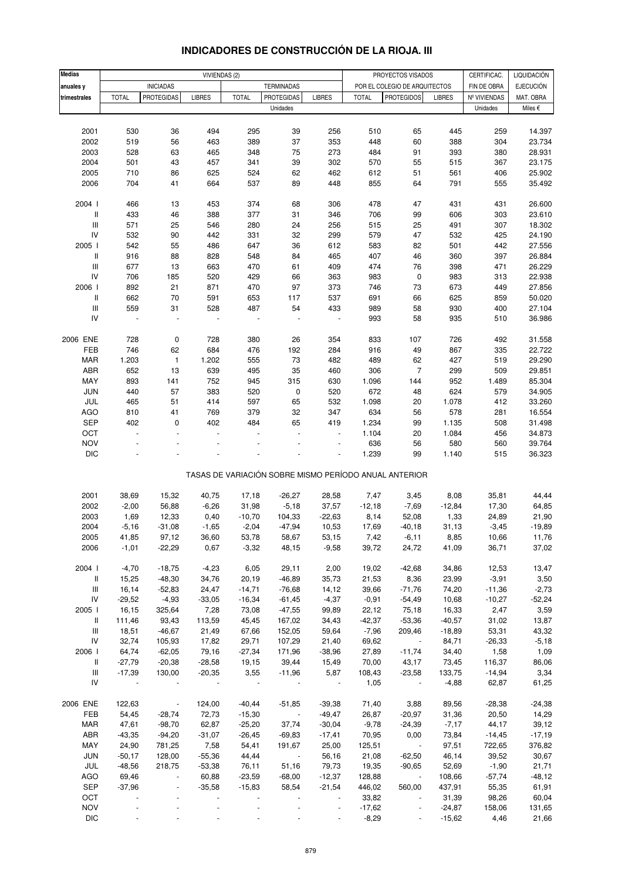| <b>Medias</b>                      |              |                                       |               |              |                                        |                          |                  |                                                       |                   |                             |                               |
|------------------------------------|--------------|---------------------------------------|---------------|--------------|----------------------------------------|--------------------------|------------------|-------------------------------------------------------|-------------------|-----------------------------|-------------------------------|
|                                    |              |                                       | VIVIENDAS (2) |              |                                        |                          |                  | PROYECTOS VISADOS                                     |                   | CERTIFICAC.                 | LIQUIDACIÓN                   |
| anuales y                          | <b>TOTAL</b> | <b>INICIADAS</b><br><b>PROTEGIDAS</b> | <b>LIBRES</b> | <b>TOTAL</b> | <b>TERMINADAS</b><br><b>PROTEGIDAS</b> |                          | <b>TOTAL</b>     | POR EL COLEGIO DE ARQUITECTOS<br><b>PROTEGIDOS</b>    |                   | FIN DE OBRA<br>Nº VIVIENDAS | <b>EJECUCIÓN</b><br>MAT. OBRA |
| trimestrales                       |              |                                       |               |              | Unidades                               | <b>LIBRES</b>            |                  |                                                       | <b>LIBRES</b>     | Unidades                    | Miles $\epsilon$              |
|                                    |              |                                       |               |              |                                        |                          |                  |                                                       |                   |                             |                               |
|                                    |              |                                       |               |              |                                        |                          |                  |                                                       |                   |                             |                               |
| 2001                               | 530          | 36                                    | 494           | 295          | 39                                     | 256                      | 510              | 65                                                    | 445               | 259                         | 14.397                        |
| 2002                               | 519          | 56                                    | 463           | 389          | 37<br>75                               | 353<br>273               | 448              | 60                                                    | 388               | 304                         | 23.734                        |
| 2003                               | 528          | 63                                    | 465           | 348          |                                        |                          | 484              | 91                                                    | 393               | 380                         | 28.931                        |
| 2004<br>2005                       | 501<br>710   | 43                                    | 457<br>625    | 341<br>524   | 39                                     | 302<br>462               | 570              | 55                                                    | 515<br>561        | 367                         | 23.175<br>25.902              |
| 2006                               | 704          | 86<br>41                              | 664           | 537          | 62                                     | 448                      | 612<br>855       | 51                                                    | 791               | 406                         |                               |
|                                    |              |                                       |               |              | 89                                     |                          |                  | 64                                                    |                   | 555                         | 35.492                        |
| 2004 l                             | 466          | 13                                    | 453           | 374          | 68                                     | 306                      | 478              | 47                                                    | 431               | 431                         | 26.600                        |
| Ш                                  | 433          | 46                                    | 388           | 377          | 31                                     | 346                      | 706              | 99                                                    | 606               | 303                         | 23.610                        |
| Ш                                  | 571          | 25                                    | 546           | 280          | 24                                     | 256                      | 515              | 25                                                    | 491               | 307                         | 18.302                        |
| IV                                 | 532          | 90                                    | 442           | 331          | 32                                     | 299                      | 579              | 47                                                    | 532               | 425                         | 24.190                        |
| 2005 l                             | 542          | 55                                    | 486           | 647          | 36                                     | 612                      | 583              | 82                                                    | 501               | 442                         | 27.556                        |
| Ш                                  | 916          | 88                                    | 828           | 548          | 84                                     | 465                      | 407              | 46                                                    | 360               | 397                         | 26.884                        |
| $\ensuremath{\mathsf{III}}\xspace$ | 677          | 13                                    | 663           | 470          | 61                                     | 409                      | 474              | 76                                                    | 398               | 471                         | 26.229                        |
| IV                                 | 706          | 185                                   | 520           | 429          | 66                                     | 363                      | 983              | $\pmb{0}$                                             | 983               | 313                         | 22.938                        |
| 2006                               | 892          | 21                                    | 871           | 470          | 97                                     | 373                      | 746              | 73                                                    | 673               | 449                         | 27.856                        |
| Ш                                  | 662          | 70                                    | 591           | 653          | 117                                    | 537                      | 691              | 66                                                    | 625               | 859                         | 50.020                        |
| $\ensuremath{\mathsf{III}}\xspace$ | 559          | 31                                    | 528           | 487          | 54                                     | 433                      | 989              | 58                                                    | 930               | 400                         | 27.104                        |
| IV                                 | ÷,           | ÷,                                    |               |              |                                        | $\blacksquare$           | 993              | 58                                                    | 935               | 510                         | 36.986                        |
|                                    |              |                                       |               |              |                                        |                          |                  |                                                       |                   |                             |                               |
| 2006 ENE                           | 728          | 0                                     | 728           | 380          | 26                                     | 354                      | 833              | 107                                                   | 726               | 492                         | 31.558                        |
| FEB                                | 746          | 62                                    | 684           | 476          | 192                                    | 284                      | 916              | 49                                                    | 867               | 335                         | 22.722                        |
| <b>MAR</b>                         | 1.203        | $\mathbf{1}$                          | 1.202         | 555          | 73                                     | 482                      | 489              | 62                                                    | 427               | 519                         | 29.290                        |
| ABR                                | 652          | 13                                    | 639           | 495          | 35                                     | 460                      | 306              | $\overline{7}$                                        | 299               | 509                         | 29.851                        |
| MAY                                | 893          | 141                                   | 752           | 945          | 315                                    | 630                      | 1.096            | 144                                                   | 952               | 1.489                       | 85.304                        |
| JUN                                | 440          | 57                                    | 383           | 520          | 0                                      | 520                      | 672              | 48                                                    | 624               | 579                         | 34.905                        |
| JUL                                | 465          | 51                                    | 414           | 597          | 65                                     | 532                      | 1.098            | 20                                                    | 1.078             | 412                         | 33.260                        |
| <b>AGO</b>                         | 810          | 41                                    | 769           | 379          | 32                                     | 347                      | 634              | 56                                                    | 578               | 281                         | 16.554                        |
| <b>SEP</b>                         | 402          | 0                                     | 402           | 484          | 65                                     | 419                      | 1.234            | 99                                                    | 1.135             | 508                         | 31.498                        |
| OCT                                | ÷,           | ÷,                                    |               |              | L.                                     | L,                       | 1.104            |                                                       | 1.084             |                             | 34.873                        |
| <b>NOV</b>                         |              |                                       |               |              |                                        | Ē,                       |                  | 20                                                    | 580               | 456                         |                               |
| <b>DIC</b>                         |              |                                       |               |              |                                        |                          | 636<br>1.239     | 56<br>99                                              |                   | 560                         | 39.764<br>36.323              |
|                                    |              |                                       |               |              |                                        |                          |                  |                                                       | 1.140             | 515                         |                               |
|                                    |              |                                       |               |              |                                        |                          |                  | TASAS DE VARIACIÓN SOBRE MISMO PERÍODO ANUAL ANTERIOR |                   |                             |                               |
|                                    |              |                                       |               |              |                                        |                          |                  |                                                       |                   |                             |                               |
| 2001                               | 38,69        | 15,32                                 | 40,75         | 17,18        | $-26,27$                               | 28,58                    | 7,47<br>$-12,18$ | 3,45                                                  | 8,08              | 35,81                       | 44,44                         |
| 2002                               | $-2,00$      | 56,88                                 | $-6,26$       | 31,98        | $-5,18$                                | 37,57                    |                  | $-7,69$                                               | $-12,84$          | 17,30                       | 64,85                         |
| 2003                               | 1,69         | 12,33                                 | 0,40          | $-10,70$     | 104,33                                 | $-22,63$                 | 8,14             | 52,08                                                 | 1,33              | 24,89                       | 21,90                         |
| 2004                               | $-5,16$      | $-31,08$                              | $-1,65$       | $-2,04$      | $-47,94$                               | 10,53                    | 17,69            | $-40,18$                                              | 31,13             | $-3,45$                     | $-19,89$                      |
| 2005                               | 41,85        | 97,12                                 | 36,60         | 53,78        | 58,67                                  | 53,15                    | 7,42             | $-6,11$                                               | 8,85              | 10,66                       | 11,76                         |
| 2006                               | $-1,01$      | $-22,29$                              | 0,67          | $-3,32$      | 48,15                                  | $-9,58$                  | 39,72            | 24,72                                                 | 41,09             | 36,71                       | 37,02                         |
| 2004 l                             | $-4,70$      | $-18,75$                              | $-4,23$       | 6,05         | 29,11                                  | 2,00                     | 19,02            | $-42,68$                                              | 34,86             | 12,53                       | 13,47                         |
| Ш                                  | 15,25        | $-48,30$                              | 34,76         | 20,19        | $-46,89$                               | 35,73                    | 21,53            | 8,36                                                  | 23,99             | $-3,91$                     | 3,50                          |
| Ш                                  | 16,14        | $-52,83$                              | 24,47         | $-14,71$     | $-76,68$                               | 14,12                    | 39,66            | $-71,76$                                              | 74,20             | $-11,36$                    | $-2,73$                       |
| ${\sf IV}$                         | $-29,52$     | $-4,93$                               | $-33,05$      | $-16,34$     | $-61,45$                               | $-4,37$                  | $-0,91$          | $-54,49$                                              | 10,68             | $-10,27$                    | $-52,24$                      |
| 2005                               | 16,15        | 325,64                                | 7,28          | 73,08        | $-47,55$                               | 99,89                    | 22,12            | 75,18                                                 | 16,33             | 2,47                        | 3,59                          |
| Ш                                  | 111,46       | 93,43                                 | 113,59        | 45,45        | 167,02                                 | 34,43                    | $-42,37$         | $-53,36$                                              | $-40,57$          | 31,02                       | 13,87                         |
| Ш                                  | 18,51        | $-46,67$                              | 21,49         | 67,66        | 152,05                                 | 59,64                    | $-7,96$          | 209,46                                                | $-18,89$          | 53,31                       | 43,32                         |
| IV                                 | 32,74        | 105,93                                | 17,82         | 29,71        | 107,29                                 | 21,40                    | 69,62            | $\overline{\phantom{a}}$                              | 84,71             | $-26,33$                    | $-5,18$                       |
| 2006                               | 64,74        | $-62,05$                              | 79,16         | $-27,34$     | 171,96                                 | $-38,96$                 | 27,89            | $-11,74$                                              | 34,40             | 1,58                        | 1,09                          |
| Ш                                  | $-27,79$     | $-20,38$                              | $-28,58$      | 19,15        | 39,44                                  | 15,49                    | 70,00            | 43,17                                                 | 73,45             | 116,37                      | 86,06                         |
|                                    |              |                                       |               |              |                                        |                          |                  |                                                       |                   |                             |                               |
| Ш<br>IV                            | $-17,39$     | 130,00                                | $-20,35$      | 3,55         | $-11,96$                               | 5,87<br>$\blacksquare$   | 108,43<br>1,05   | $-23,58$                                              | 133,75<br>$-4,88$ | $-14,94$<br>62,87           | 3,34<br>61,25                 |
|                                    |              |                                       |               |              |                                        |                          |                  |                                                       |                   |                             |                               |
| 2006 ENE                           | 122,63       | $\blacksquare$                        | 124,00        | $-40,44$     | $-51,85$                               | $-39,38$                 | 71,40            | 3,88                                                  | 89,56             | $-28,38$                    | $-24,38$                      |
| FEB                                | 54,45        | $-28,74$                              | 72,73         | $-15,30$     | $\sim$                                 | $-49,47$                 | 26,87            | $-20,97$                                              | 31,36             | 20,50                       | 14,29                         |
| <b>MAR</b>                         | 47,61        | $-98,70$                              | 62,87         | $-25,20$     | 37,74                                  | $-30,04$                 | $-9,78$          | $-24,39$                                              | $-7,17$           | 44,17                       | 39,12                         |
| ABR                                | $-43,35$     | $-94,20$                              | $-31,07$      | $-26,45$     | $-69,83$                               | $-17,41$                 | 70,95            | 0,00                                                  | 73,84             | $-14,45$                    | $-17,19$                      |
| MAY                                | 24,90        | 781,25                                | 7,58          | 54,41        | 191,67                                 | 25,00                    | 125,51           | $\sim$ $-$                                            | 97,51             | 722,65                      | 376,82                        |
| <b>JUN</b>                         | $-50,17$     | 128,00                                | $-55,36$      | 44,44        | $\sim 100$                             | 56,16                    | 21,08            | $-62,50$                                              | 46,14             | 39,52                       | 30,67                         |
| JUL                                | -48,56       | 218,75                                | $-53,38$      | 76,11        | 51,16                                  | 79,73                    | 19,35            | $-90,65$                                              | 52,69             | $-1,90$                     | 21,71                         |
| AGO                                | 69,46        | $\blacksquare$                        | 60,88         | $-23,59$     | $-68,00$                               | $-12,37$                 | 128,88           | $\blacksquare$                                        | 108,66            | $-57,74$                    | $-48,12$                      |
| SEP                                | $-37,96$     | $\overline{\phantom{a}}$              | $-35,58$      | $-15,83$     | 58,54                                  | $-21,54$                 | 446,02           | 560,00                                                | 437,91            | 55,35                       | 61,91                         |
| OCT                                |              |                                       |               |              |                                        | $\overline{\phantom{a}}$ | 33,82            | $\blacksquare$                                        | 31,39             | 98,26                       | 60,04                         |
| <b>NOV</b>                         |              |                                       |               |              |                                        |                          | $-17,62$         |                                                       | $-24,87$          | 158,06                      | 131,65                        |
| DIC                                |              |                                       |               |              |                                        |                          | $-8,29$          | $\overline{\phantom{a}}$                              | $-15,62$          | 4,46                        | 21,66                         |

### **INDICADORES DE CONSTRUCCIÓN DE LA RIOJA. III**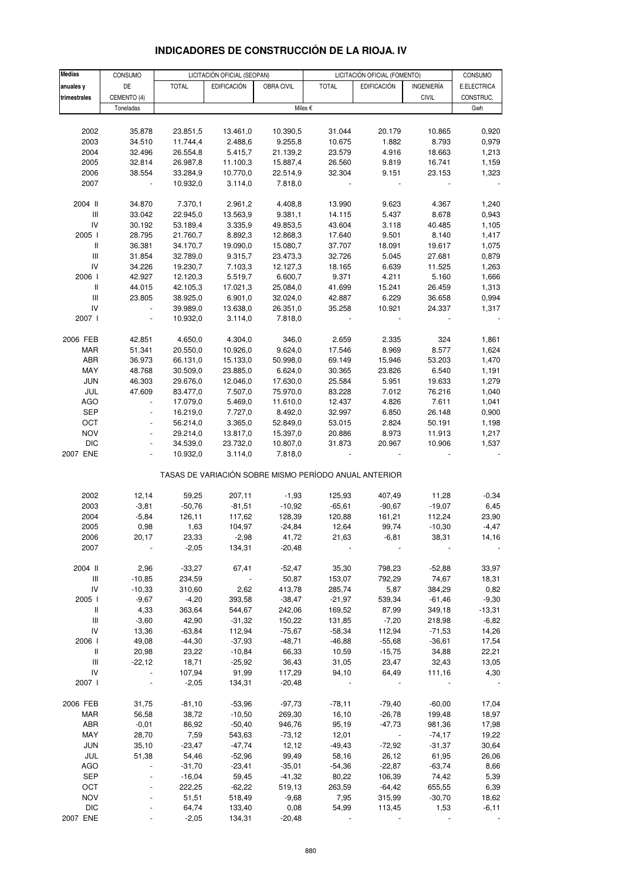| <b>Medias</b>                      | CONSUMO                  |              | LICITACIÓN OFICIAL (SEOPAN) |            |                                                       | LICITACIÓN OFICIAL (FOMENTO) |                   | CONSUMO          |
|------------------------------------|--------------------------|--------------|-----------------------------|------------|-------------------------------------------------------|------------------------------|-------------------|------------------|
| anuales y                          | DE                       | <b>TOTAL</b> | <b>EDIFICACIÓN</b>          | OBRA CIVIL | <b>TOTAL</b>                                          | <b>EDIFICACIÓN</b>           | <b>INGENIERÍA</b> | E.ELECTRICA      |
|                                    |                          |              |                             |            |                                                       |                              |                   |                  |
| trimestrales                       | CEMENTO (4)<br>Toneladas |              |                             |            | Miles €                                               |                              | <b>CIVIL</b>      | CONSTRUC.<br>Gwh |
|                                    |                          |              |                             |            |                                                       |                              |                   |                  |
|                                    |                          |              |                             |            |                                                       |                              |                   |                  |
| 2002                               | 35.878                   | 23.851,5     | 13.461,0                    | 10.390,5   | 31.044                                                | 20.179                       | 10.865<br>8.793   | 0,920            |
| 2003                               | 34.510                   | 11.744,4     | 2.488,6                     | 9.255,8    | 10.675                                                | 1.882                        |                   | 0,979            |
| 2004                               | 32.496                   | 26.554,8     | 5.415,7                     | 21.139,2   | 23.579                                                | 4.916                        | 18.663            | 1,213            |
| 2005                               | 32.814                   | 26.987,8     | 11.100,3                    | 15.887,4   | 26.560                                                | 9.819                        | 16.741            | 1,159            |
| 2006                               | 38.554                   | 33.284,9     | 10.770,0                    | 22.514,9   | 32.304                                                | 9.151                        | 23.153            | 1,323            |
| 2007                               |                          | 10.932,0     | 3.114,0                     | 7.818,0    |                                                       |                              |                   |                  |
| 2004 II                            | 34.870                   | 7.370,1      | 2.961,2                     | 4.408,8    | 13.990                                                | 9.623                        | 4.367             | 1,240            |
| $\mathsf{III}$                     | 33.042                   | 22.945,0     | 13.563,9                    | 9.381,1    | 14.115                                                | 5.437                        | 8.678             | 0,943            |
| IV                                 | 30.192                   | 53.189,4     | 3.335,9                     | 49.853,5   | 43.604                                                | 3.118                        | 40.485            | 1,105            |
| 2005 l                             | 28.795                   | 21.760,7     | 8.892,3                     | 12.868,3   | 17.640                                                | 9.501                        | 8.140             | 1,417            |
| $\mathbf{II}$                      | 36.381                   | 34.170,7     | 19.090,0                    | 15.080,7   | 37.707                                                | 18.091                       | 19.617            | 1,075            |
| $\mathsf{III}$                     | 31.854                   | 32.789,0     | 9.315,7                     | 23.473,3   | 32.726                                                | 5.045                        | 27.681            | 0,879            |
| IV                                 | 34.226                   | 19.230,7     | 7.103,3                     | 12.127,3   | 18.165                                                | 6.639                        | 11.525            | 1,263            |
| 2006                               | 42.927                   | 12.120,3     | 5.519,7                     | 6.600,7    | 9.371                                                 | 4.211                        | 5.160             | 1,666            |
| $\mathbf{II}$                      | 44.015                   | 42.105,3     | 17.021,3                    | 25.084,0   | 41.699                                                | 15.241                       | 26.459            | 1,313            |
| $\ensuremath{\mathsf{III}}\xspace$ | 23.805                   | 38.925,0     | 6.901,0                     | 32.024,0   | 42.887                                                | 6.229                        | 36.658            | 0,994            |
| IV                                 |                          | 39.989,0     | 13.638,0                    | 26.351,0   | 35.258                                                | 10.921                       | 24.337            | 1,317            |
| 2007 l                             | $\blacksquare$           | 10.932,0     | 3.114,0                     | 7.818,0    |                                                       | ÷,                           |                   |                  |
|                                    |                          |              |                             |            |                                                       |                              |                   |                  |
| 2006 FEB                           | 42.851                   | 4.650,0      | 4.304,0                     | 346,0      | 2.659                                                 | 2.335                        | 324               | 1,861            |
| <b>MAR</b>                         | 51.341                   | 20.550,0     | 10.926,0                    | 9.624,0    | 17.546                                                | 8.969                        | 8.577             | 1,624            |
| ABR                                | 36.973                   | 66.131,0     | 15.133,0                    | 50.998,0   | 69.149                                                | 15.946                       | 53.203            | 1,470            |
| MAY                                | 48.768                   | 30.509,0     | 23.885,0                    | 6.624,0    | 30.365                                                | 23.826                       | 6.540             | 1,191            |
| <b>JUN</b>                         | 46.303                   | 29.676,0     | 12.046,0                    | 17.630,0   | 25.584                                                | 5.951                        | 19.633            | 1,279            |
| JUL                                | 47.609                   | 83.477,0     | 7.507,0                     | 75.970,0   | 83.228                                                | 7.012                        | 76.216            | 1,040            |
| <b>AGO</b>                         |                          | 17.079,0     | 5.469,0                     | 11.610,0   | 12.437                                                | 4.826                        | 7.611             | 1,041            |
| <b>SEP</b>                         | $\overline{a}$           | 16.219,0     | 7.727,0                     | 8.492,0    | 32.997                                                | 6.850                        | 26.148            | 0,900            |
| OCT                                |                          | 56.214,0     | 3.365,0                     | 52.849,0   | 53.015                                                | 2.824                        | 50.191            | 1,198            |
| <b>NOV</b>                         |                          | 29.214,0     | 13.817,0                    | 15.397,0   | 20.886                                                | 8.973                        | 11.913            | 1,217            |
| <b>DIC</b>                         | $\blacksquare$           | 34.539,0     | 23.732,0                    | 10.807,0   | 31.873                                                | 20.967                       | 10.906            | 1,537            |
| 2007 ENE                           |                          | 10.932,0     | 3.114,0                     | 7.818,0    |                                                       |                              |                   |                  |
|                                    |                          |              |                             |            | TASAS DE VARIACIÓN SOBRE MISMO PERÍODO ANUAL ANTERIOR |                              |                   |                  |
|                                    |                          |              |                             |            |                                                       |                              |                   |                  |
| 2002                               | 12,14                    | 59,25        | 207,11                      | $-1,93$    | 125,93                                                | 407,49                       | 11,28             | $-0,34$          |
| 2003                               | $-3,81$                  | $-50,76$     | $-81,51$                    | $-10,92$   | $-65,61$                                              | $-90,67$                     | $-19,07$          | 6,45             |
| 2004                               | $-5,84$                  | 126,11       | 117,62                      | 128,39     | 120,88                                                | 161,21                       | 112,24            | 23,90            |
| 2005                               | 0,98                     | 1,63         | 104,97                      | $-24,84$   | 12,64                                                 | 99,74                        | $-10,30$          | $-4,47$          |
| 2006                               | 20,17                    | 23,33        | $-2,98$                     | 41,72      | 21,63                                                 | $-6,81$                      | 38,31             | 14,16            |
| 2007                               |                          | $-2,05$      | 134,31                      | $-20,48$   |                                                       |                              |                   |                  |
| 2004 II                            | 2,96                     | $-33,27$     | 67,41                       | $-52,47$   | 35,30                                                 | 798,23                       | $-52,88$          | 33,97            |
| $\ensuremath{\mathsf{III}}\xspace$ | $-10,85$                 | 234,59       |                             | 50,87      | 153,07                                                | 792,29                       | 74,67             | 18,31            |
| IV                                 | $-10,33$                 | 310,60       | 2,62                        | 413,78     | 285,74                                                | 5,87                         | 384,29            | 0,82             |
| 2005 l                             | $-9,67$                  | $-4,20$      | 393,58                      | $-38,47$   | $-21,97$                                              | 539,34                       | $-61,46$          | $-9,30$          |
| Ш                                  | 4,33                     | 363,64       | 544,67                      | 242,06     | 169,52                                                | 87,99                        | 349,18            | $-13,31$         |
| III                                | $-3,60$                  | 42,90        | $-31,32$                    | 150,22     | 131,85                                                | $-7,20$                      | 218,98            | $-6,82$          |
| IV                                 | 13,36                    | $-63,84$     | 112,94                      | $-75,67$   | $-58,34$                                              | 112,94                       | $-71,53$          | 14,26            |
| 2006                               | 49,08                    | $-44,30$     | $-37,93$                    | $-48,71$   | $-46,88$                                              | $-55,68$                     | $-36,61$          | 17,54            |
| $\mathbf{I}$                       | 20,98                    | 23,22        | $-10,84$                    | 66,33      | 10,59                                                 | $-15,75$                     | 34,88             | 22,21            |
| III                                | $-22,12$                 | 18,71        | $-25,92$                    | 36,43      | 31,05                                                 | 23,47                        | 32,43             | 13,05            |
| ${\sf IV}$                         |                          | 107,94       | 91,99                       | 117,29     | 94,10                                                 | 64,49                        | 111,16            | 4,30             |
| 2007 l                             |                          | $-2,05$      | 134,31                      | $-20,48$   |                                                       |                              |                   |                  |
|                                    |                          |              |                             |            |                                                       |                              |                   |                  |
| 2006 FEB                           | 31,75                    | $-81,10$     | $-53,96$                    | $-97,73$   | $-78,11$                                              | $-79,40$                     | $-60,00$          | 17,04            |
| <b>MAR</b>                         | 56,58                    | 38,72        | $-10,50$                    | 269,30     | 16,10                                                 | $-26,78$                     | 199,48            | 18,97            |
| ABR                                | $-0,01$                  | 86,92        | $-50,40$                    | 946,76     | 95,19                                                 | $-47,73$                     | 981,36            | 17,98            |
| MAY                                | 28,70                    | 7,59         | 543,63                      | $-73,12$   | 12,01                                                 | $\overline{\phantom{a}}$     | $-74,17$          | 19,22            |
| <b>JUN</b>                         | 35,10                    | $-23,47$     | $-47,74$                    | 12,12      | $-49,43$                                              | $-72,92$                     | $-31,37$          | 30,64            |
| JUL                                | 51,38                    | 54,46        | $-52,96$                    | 99,49      | 58,16                                                 | 26,12                        | 61,95             | 26,06            |
| <b>AGO</b>                         |                          | $-31,70$     | $-23,41$                    | $-35,01$   | $-54,36$                                              | $-22,87$                     | $-63,74$          | 8,66             |
| <b>SEP</b>                         |                          | $-16,04$     | 59,45                       | $-41,32$   | 80,22                                                 | 106,39                       | 74,42             | 5,39             |
| OCT                                |                          | 222,25       | $-62,22$                    | 519,13     | 263,59                                                | $-64,42$                     | 655,55            | 6,39             |
| <b>NOV</b>                         |                          | 51,51        | 518,49                      | $-9,68$    | 7,95                                                  | 315,99                       | $-30,70$          | 18,62            |
| <b>DIC</b>                         |                          | 64,74        | 133,40                      | 0,08       | 54,99                                                 | 113,45                       | 1,53              | $-6, 11$         |
| 2007 ENE                           |                          | $-2,05$      | 134,31                      | $-20,48$   |                                                       |                              |                   |                  |

## **INDICADORES DE CONSTRUCCIÓN DE LA RIOJA. IV**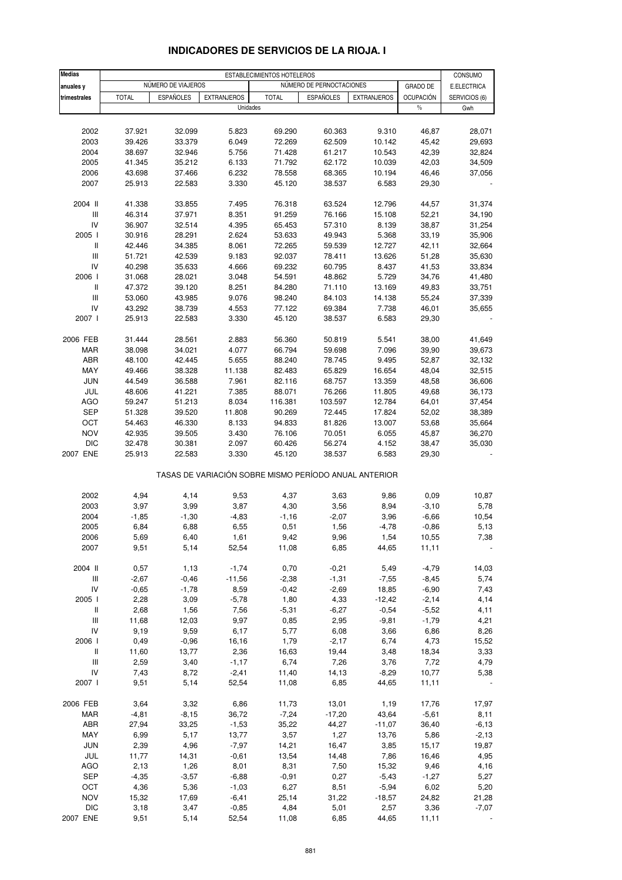| <b>Medias</b>                      |                  |                    |                    | ESTABLECIMIENTOS HOTELEROS                            |                          |                    |                  | CONSUMO          |
|------------------------------------|------------------|--------------------|--------------------|-------------------------------------------------------|--------------------------|--------------------|------------------|------------------|
| anuales y                          |                  | NÚMERO DE VIAJEROS |                    |                                                       | NÚMERO DE PERNOCTACIONES |                    | GRADO DE         | E.ELECTRICA      |
| trimestrales                       | <b>TOTAL</b>     | <b>ESPAÑOLES</b>   | <b>EXTRANJEROS</b> | <b>TOTAL</b>                                          | <b>ESPAÑOLES</b>         | <b>EXTRANJEROS</b> | <b>OCUPACIÓN</b> | SERVICIOS (6)    |
|                                    |                  |                    |                    | Unidades                                              |                          |                    | $\%$             | Gwh              |
|                                    |                  |                    |                    |                                                       |                          |                    |                  |                  |
| 2002                               | 37.921           | 32.099             | 5.823              | 69.290                                                | 60.363                   | 9.310              | 46,87            | 28,071           |
| 2003                               | 39.426           | 33.379             | 6.049              | 72.269                                                | 62.509                   | 10.142             | 45,42            | 29,693           |
| 2004                               | 38.697           | 32.946             | 5.756              | 71.428                                                | 61.217                   | 10.543             | 42,39            | 32,824           |
| 2005                               | 41.345           | 35.212             | 6.133              | 71.792                                                | 62.172                   | 10.039             | 42,03            | 34,509           |
| 2006                               | 43.698           | 37.466             | 6.232              | 78.558                                                | 68.365                   | 10.194             | 46,46            | 37,056           |
| 2007                               | 25.913           | 22.583             | 3.330              | 45.120                                                | 38.537                   | 6.583              | 29,30            |                  |
|                                    |                  |                    |                    |                                                       |                          |                    |                  |                  |
| 2004 II                            | 41.338           | 33.855             | 7.495              | 76.318                                                | 63.524                   | 12.796             | 44,57            | 31,374           |
| III                                | 46.314           | 37.971             | 8.351              | 91.259                                                | 76.166                   | 15.108             | 52,21            | 34,190           |
| IV                                 | 36.907           | 32.514             | 4.395              | 65.453                                                | 57.310                   | 8.139              | 38,87            | 31,254           |
| 2005 l                             | 30.916           | 28.291             | 2.624              | 53.633                                                | 49.943                   | 5.368              | 33,19            | 35,906           |
| $\, \parallel$                     | 42.446           | 34.385             | 8.061              | 72.265                                                | 59.539                   | 12.727             | 42,11            | 32,664           |
| $\ensuremath{\mathsf{III}}\xspace$ | 51.721           | 42.539             | 9.183              | 92.037                                                | 78.411                   | 13.626             | 51,28            | 35,630           |
| IV                                 | 40.298           | 35.633             | 4.666              | 69.232                                                | 60.795                   | 8.437              | 41,53            | 33,834           |
| 2006                               | 31.068           | 28.021             | 3.048              | 54.591                                                | 48.862                   | 5.729              | 34,76            | 41,480           |
| $\mathsf{I}$                       | 47.372           | 39.120             | 8.251              | 84.280                                                | 71.110                   | 13.169             | 49,83            | 33,751           |
| Ш                                  | 53.060           | 43.985             | 9.076              | 98.240                                                | 84.103                   | 14.138             | 55,24            | 37,339           |
| IV                                 | 43.292           | 38.739             | 4.553              | 77.122                                                | 69.384                   | 7.738              | 46,01            | 35,655           |
| 2007 l                             | 25.913           | 22.583             | 3.330              | 45.120                                                | 38.537                   | 6.583              | 29,30            |                  |
|                                    |                  |                    |                    |                                                       |                          |                    |                  |                  |
| 2006 FEB                           | 31.444           | 28.561             | 2.883              | 56.360                                                | 50.819                   | 5.541              | 38,00            | 41,649           |
| MAR                                | 38.098           | 34.021             | 4.077              | 66.794                                                | 59.698                   | 7.096              | 39,90            | 39,673           |
| ABR                                | 48.100           | 42.445             | 5.655              | 88.240                                                | 78.745                   | 9.495              | 52,87            | 32,132           |
| MAY                                | 49.466           | 38.328             | 11.138             | 82.483                                                | 65.829                   | 16.654             | 48,04            | 32,515           |
| <b>JUN</b>                         | 44.549           | 36.588             | 7.961              | 82.116                                                | 68.757                   | 13.359             | 48,58            | 36,606           |
| JUL                                | 48.606           | 41.221             | 7.385              | 88.071                                                | 76.266                   | 11.805             | 49,68            | 36,173           |
| <b>AGO</b>                         | 59.247           | 51.213             | 8.034              | 116.381                                               | 103.597                  | 12.784             | 64,01            | 37,454           |
| <b>SEP</b>                         | 51.328           | 39.520             | 11.808             | 90.269                                                | 72.445                   | 17.824             | 52,02            | 38,389           |
| OCT                                | 54.463           | 46.330             | 8.133              | 94.833                                                | 81.826                   | 13.007             | 53,68            | 35,664           |
| <b>NOV</b><br><b>DIC</b>           | 42.935<br>32.478 | 39.505<br>30.381   | 3.430<br>2.097     | 76.106<br>60.426                                      | 70.051<br>56.274         | 6.055<br>4.152     | 45,87<br>38,47   | 36,270<br>35,030 |
| 2007 ENE                           | 25.913           | 22.583             | 3.330              | 45.120                                                | 38.537                   | 6.583              | 29,30            |                  |
|                                    |                  |                    |                    |                                                       |                          |                    |                  |                  |
|                                    |                  |                    |                    | TASAS DE VARIACIÓN SOBRE MISMO PERÍODO ANUAL ANTERIOR |                          |                    |                  |                  |
| 2002                               | 4,94             | 4,14               | 9,53               | 4,37                                                  | 3,63                     | 9,86               | 0,09             | 10,87            |
| 2003                               | 3,97             | 3,99               | 3,87               | 4,30                                                  | 3,56                     | 8,94               | $-3,10$          | 5,78             |
| 2004                               | $-1,85$          | $-1,30$            | $-4,83$            | $-1,16$                                               | $-2,07$                  | 3,96               | $-6,66$          | 10,54            |
| 2005                               | 6,84             | 6,88               | 6,55               | 0,51                                                  | 1,56                     | $-4,78$            | $-0,86$          | 5,13             |
| 2006                               | 5,69             | 6,40               | 1,61               | 9,42                                                  | 9,96                     | 1,54               | 10,55            | 7,38             |
| 2007                               | 9,51             | 5,14               | 52,54              | 11,08                                                 | 6,85                     | 44,65              | 11,11            |                  |
| 2004 II                            | 0,57             | 1,13               | $-1,74$            | 0,70                                                  | $-0,21$                  | 5,49               | $-4,79$          | 14,03            |
| $\ensuremath{\mathsf{III}}\xspace$ | $-2,67$          | $-0,46$            | $-11,56$           | $-2,38$                                               | $-1,31$                  | $-7,55$            | $-8,45$          | 5,74             |
| IV                                 | $-0,65$          | $-1,78$            | 8,59               | $-0,42$                                               | $-2,69$                  | 18,85              | $-6,90$          | 7,43             |
| 2005 l                             | 2,28             | 3,09               | $-5,78$            | 1,80                                                  | 4,33                     | $-12,42$           | $-2,14$          | 4,14             |
| Ш                                  | 2,68             | 1,56               | 7,56               | $-5,31$                                               | $-6,27$                  | $-0,54$            | $-5,52$          | 4,11             |
| III                                | 11,68            | 12,03              | 9,97               | 0,85                                                  | 2,95                     | $-9,81$            | $-1,79$          | 4,21             |
| IV                                 | 9,19             | 9,59               | 6,17               | 5,77                                                  | 6,08                     | 3,66               | 6,86             | 8,26             |
| 2006 l                             | 0,49             | $-0,96$            | 16,16              | 1,79                                                  | $-2,17$                  | 6,74               | 4,73             | 15,52            |
| Ш                                  | 11,60            | 13,77              | 2,36               | 16,63                                                 | 19,44                    | 3,48               | 18,34            | 3,33             |
| $\ensuremath{\mathsf{III}}\xspace$ | 2,59             | 3,40               | $-1,17$            | 6,74                                                  | 7,26                     | 3,76               | 7,72             | 4,79             |
| IV                                 | 7,43             | 8,72               | $-2,41$            | 11,40                                                 | 14,13                    | $-8,29$            | 10,77            | 5,38             |
| 2007 l                             | 9,51             | 5,14               | 52,54              | 11,08                                                 | 6,85                     | 44,65              | 11,11            |                  |
|                                    |                  |                    |                    |                                                       |                          |                    |                  |                  |
| 2006 FEB                           | 3,64             | 3,32               | 6,86               | 11,73                                                 | 13,01                    | 1,19               | 17,76            | 17,97            |
| MAR                                | $-4,81$          | $-8,15$            | 36,72              | $-7,24$                                               | $-17,20$                 | 43,64              | $-5,61$          | 8,11             |
| ABR                                | 27,94            | 33,25              | $-1,53$            | 35,22                                                 | 44,27                    | $-11,07$           | 36,40            | $-6, 13$         |
| MAY                                | 6,99             | 5,17               | 13,77              | 3,57                                                  | 1,27                     | 13,76              | 5,86             | $-2,13$          |
| <b>JUN</b>                         | 2,39             | 4,96               | $-7,97$            | 14,21                                                 | 16,47                    | 3,85               | 15,17            | 19,87            |
| JUL                                | 11,77            | 14,31              | $-0,61$            | 13,54                                                 | 14,48                    | 7,86               | 16,46            | 4,95             |
| AGO                                | 2,13             | 1,26               | 8,01               | 8,31                                                  | 7,50                     | 15,32              | 9,46             | 4,16             |
| <b>SEP</b>                         | $-4,35$          | $-3,57$            | $-6,88$            | $-0,91$                                               | 0,27                     | $-5,43$            | $-1,27$          | 5,27             |
| OCT                                | 4,36             | 5,36               | $-1,03$            | 6,27                                                  | 8,51                     | $-5,94$            | 6,02             | 5,20             |
| <b>NOV</b>                         | 15,32            | 17,69              | $-6,41$            | 25,14                                                 | 31,22                    | $-18,57$           | 24,82            | 21,28            |
| <b>DIC</b>                         | 3,18             | 3,47               | $-0,85$            | 4,84                                                  | 5,01                     | 2,57               | 3,36             | $-7,07$          |
| 2007 ENE                           | 9,51             | 5,14               | 52,54              | 11,08                                                 | 6,85                     | 44,65              | 11,11            |                  |

### **INDICADORES DE SERVICIOS DE LA RIOJA. I**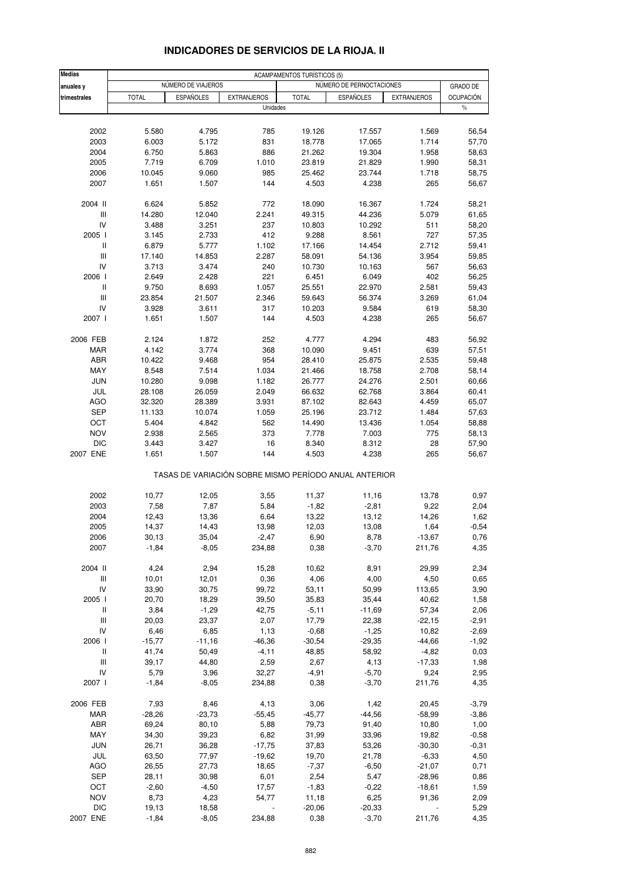| <b>Medias</b>                    | <b>ACAMPAMENTOS TURÍSTICOS (5)</b> |                    |                    |                  |                                                       |                    |                    |  |  |
|----------------------------------|------------------------------------|--------------------|--------------------|------------------|-------------------------------------------------------|--------------------|--------------------|--|--|
| anuales y                        |                                    | NÚMERO DE VIAJEROS |                    |                  | NÚMERO DE PERNOCTACIONES                              |                    | GRADO DE           |  |  |
| trimestrales                     | <b>TOTAL</b>                       | <b>ESPAÑOLES</b>   | <b>EXTRANJEROS</b> | <b>TOTAL</b>     | <b>ESPAÑOLES</b>                                      | <b>EXTRANJEROS</b> | <b>OCUPACIÓN</b>   |  |  |
|                                  |                                    |                    | Unidades           |                  |                                                       |                    | $\%$               |  |  |
|                                  |                                    |                    |                    |                  |                                                       |                    |                    |  |  |
| 2002                             | 5.580                              | 4.795              | 785                | 19.126           | 17.557                                                | 1.569              | 56,54              |  |  |
| 2003                             | 6.003                              | 5.172              | 831                | 18.778           | 17.065                                                | 1.714              | 57,70              |  |  |
| 2004                             | 6.750                              | 5.863              | 886                | 21.262           | 19.304                                                | 1.958              | 58,63              |  |  |
| 2005                             | 7.719                              | 6.709              | 1.010              | 23.819           | 21.829                                                | 1.990              | 58,31              |  |  |
| 2006                             | 10.045                             | 9.060              | 985                | 25.462           | 23.744                                                | 1.718              | 58,75              |  |  |
| 2007                             | 1.651                              | 1.507              | 144                | 4.503            | 4.238                                                 | 265                | 56,67              |  |  |
| 2004 II                          | 6.624                              | 5.852              | 772                | 18.090           | 16.367                                                | 1.724              | 58,21              |  |  |
| Ш                                | 14.280                             | 12.040             | 2.241              | 49.315           | 44.236                                                | 5.079              | 61,65              |  |  |
| IV                               | 3.488                              | 3.251              | 237                | 10.803           | 10.292                                                | 511                | 58,20              |  |  |
| 2005 l                           | 3.145                              | 2.733              | 412                | 9.288            | 8.561                                                 | 727                | 57,35              |  |  |
| $\sf II$                         | 6.879                              | 5.777              | 1.102              | 17.166           | 14.454                                                | 2.712              | 59,41              |  |  |
| Ш                                | 17.140                             | 14.853             | 2.287              | 58.091           | 54.136                                                | 3.954              | 59,85              |  |  |
| IV                               | 3.713                              | 3.474              | 240                | 10.730           | 10.163                                                | 567                | 56,63              |  |  |
| 2006 l                           | 2.649                              | 2.428              | 221                | 6.451            | 6.049                                                 | 402                | 56,25              |  |  |
| $\mathbf{I}$                     | 9.750                              | 8.693              | 1.057              | 25.551           | 22.970                                                | 2.581              | 59,43              |  |  |
| Ш                                | 23.854                             | 21.507             | 2.346              | 59.643           | 56.374                                                | 3.269              | 61,04              |  |  |
| IV                               | 3.928                              | 3.611              | 317                | 10.203           | 9.584                                                 | 619                | 58,30              |  |  |
| 2007 l                           | 1.651                              | 1.507              | 144                | 4.503            | 4.238                                                 | 265                | 56,67              |  |  |
| 2006 FEB                         | 2.124                              | 1.872              | 252                | 4.777            | 4.294                                                 | 483                | 56,92              |  |  |
| <b>MAR</b>                       | 4.142                              | 3.774              | 368                | 10.090           | 9.451                                                 | 639                | 57,51              |  |  |
| <b>ABR</b>                       | 10.422                             | 9.468              | 954                | 28.410           | 25.875                                                | 2.535              | 59,48              |  |  |
| MAY                              | 8.548                              | 7.514              | 1.034              | 21.466           | 18.758                                                | 2.708              | 58,14              |  |  |
| <b>JUN</b>                       | 10.280                             | 9.098              | 1.182              | 26.777           | 24.276                                                | 2.501              | 60,66              |  |  |
| JUL                              | 28.108                             | 26.059             | 2.049              | 66.632           | 62.768                                                | 3.864              | 60,41              |  |  |
| AGO                              | 32.320                             | 28.389             | 3.931              | 87.102           | 82.643                                                | 4.459              | 65,07              |  |  |
| <b>SEP</b>                       | 11.133                             | 10.074             | 1.059              | 25.196           | 23.712                                                | 1.484              | 57,63              |  |  |
| OCT                              | 5.404                              | 4.842              | 562                | 14.490           | 13.436                                                | 1.054              | 58,88              |  |  |
| <b>NOV</b>                       | 2.938                              | 2.565              | 373                | 7.778            | 7.003                                                 | 775                | 58,13              |  |  |
| <b>DIC</b>                       | 3.443                              | 3.427              | 16                 | 8.340            | 8.312                                                 | 28                 | 57,90              |  |  |
| 2007 ENE                         | 1.651                              | 1.507              | 144                | 4.503            | 4.238                                                 | 265                | 56,67              |  |  |
|                                  |                                    |                    |                    |                  | TASAS DE VARIACIÓN SOBRE MISMO PERÍODO ANUAL ANTERIOR |                    |                    |  |  |
| 2002                             | 10,77                              | 12,05              | 3,55               | 11,37            | 11,16                                                 | 13,78              | 0,97               |  |  |
| 2003                             | 7,58                               | 7,87               | 5,84               | $-1,82$          | $-2,81$                                               | 9,22               | 2,04               |  |  |
| 2004                             | 12,43                              | 13,36              | 6,64               | 13,22            | 13,12                                                 | 14,26              | 1,62               |  |  |
| 2005                             | 14,37                              | 14,43              | 13,98              | 12,03            | 13,08                                                 | 1,64               | $-0,54$            |  |  |
| 2006                             | 30, 13                             | 35,04              | $-2,47$            | 6,90             | 8,78                                                  | $-13,67$           | 0,76               |  |  |
| 2007                             | $-1,84$                            | $-8,05$            | 234,88             | 0,38             | $-3,70$                                               | 211,76             | 4,35               |  |  |
|                                  |                                    |                    |                    |                  |                                                       |                    |                    |  |  |
| 2004 II                          | 4,24                               | 2,94               | 15,28              | 10,62            | 8,91                                                  | 29,99              | 2,34               |  |  |
| Ш                                | 10,01                              | 12,01              | 0,36               | 4,06             | 4,00                                                  | 4,50               | 0,65               |  |  |
| IV<br>2005 l                     | 33,90                              | 30,75              | 99,72              | 53,11            | 50,99                                                 | 113,65             | 3,90               |  |  |
| Ш                                | 20,70                              | 18,29<br>$-1,29$   | 39,50<br>42,75     | 35,83<br>$-5,11$ | 35,44<br>$-11,69$                                     | 40,62<br>57,34     | 1,58<br>2,06       |  |  |
| Ш                                | 3,84                               |                    |                    |                  |                                                       |                    |                    |  |  |
| IV                               | 20,03<br>6,46                      | 23,37<br>6,85      | 2,07<br>1,13       | 17,79<br>$-0,68$ | 22,38<br>$-1,25$                                      | $-22,15$<br>10,82  | $-2,91$<br>$-2,69$ |  |  |
| 2006 l                           | $-15,77$                           | $-11,16$           | $-46,36$           | $-30,54$         | $-29,35$                                              | $-44,66$           | $-1,92$            |  |  |
| Ш                                | 41,74                              | 50,49              | $-4,11$            | 48,85            | 58,92                                                 | $-4,82$            | 0,03               |  |  |
| $\mathop{\mathsf{III}}\nolimits$ | 39,17                              | 44,80              | 2,59               | 2,67             | 4,13                                                  | $-17,33$           | 1,98               |  |  |
| IV                               | 5,79                               | 3,96               | 32,27              | $-4,91$          | $-5,70$                                               | 9,24               | 2,95               |  |  |
| 2007 l                           | $-1,84$                            | $-8,05$            | 234,88             | 0,38             | $-3,70$                                               | 211,76             | 4,35               |  |  |
|                                  |                                    |                    |                    |                  |                                                       |                    |                    |  |  |
| 2006 FEB                         | 7,93                               | 8,46               | 4,13               | 3,06             | 1,42                                                  | 20,45              | $-3,79$            |  |  |
| <b>MAR</b>                       | $-28,26$                           | $-23,73$           | $-55,45$           | $-45,77$         | $-44,56$                                              | $-58,99$           | $-3,86$            |  |  |
| ABR                              | 69,24                              | 80,10              | 5,88               | 79,73            | 91,40                                                 | 10,80              | 1,00               |  |  |
| MAY                              | 34,30                              | 39,23              | 6,82               | 31,99            | 33,96                                                 | 19,82              | $-0,58$            |  |  |
| <b>JUN</b>                       | 26,71                              | 36,28              | $-17,75$           | 37,83            | 53,26                                                 | $-30,30$           | $-0,31$            |  |  |
| JUL                              | 63,50                              | 77,97              | $-19,62$           | 19,70            | 21,78                                                 | $-6,33$            | 4,50               |  |  |
| AGO                              | 26,55                              | 27,73              | 18,65              | $-7,37$          | $-6,50$                                               | $-21,07$           | 0,71               |  |  |
| SEP                              | 28,11                              | 30,98              | 6,01               | 2,54             | 5,47                                                  | $-28,96$           | 0,86               |  |  |
| OCT                              | $-2,60$                            | $-4,50$            | 17,57              | $-1,83$          | $-0,22$                                               | $-18,61$           | 1,59               |  |  |
| <b>NOV</b>                       | 8,73                               | 4,23               | 54,77              | 11,18            | 6,25                                                  | 91,36              | 2,09               |  |  |
| <b>DIC</b>                       | 19,13                              | 18,58              |                    | $-20,06$         | $-20,33$                                              |                    | 5,29               |  |  |
| 2007 ENE                         | $-1,84$                            | $-8,05$            | 234,88             | 0,38             | $-3,70$                                               | 211,76             | 4,35               |  |  |

### **INDICADORES DE SERVICIOS DE LA RIOJA. II**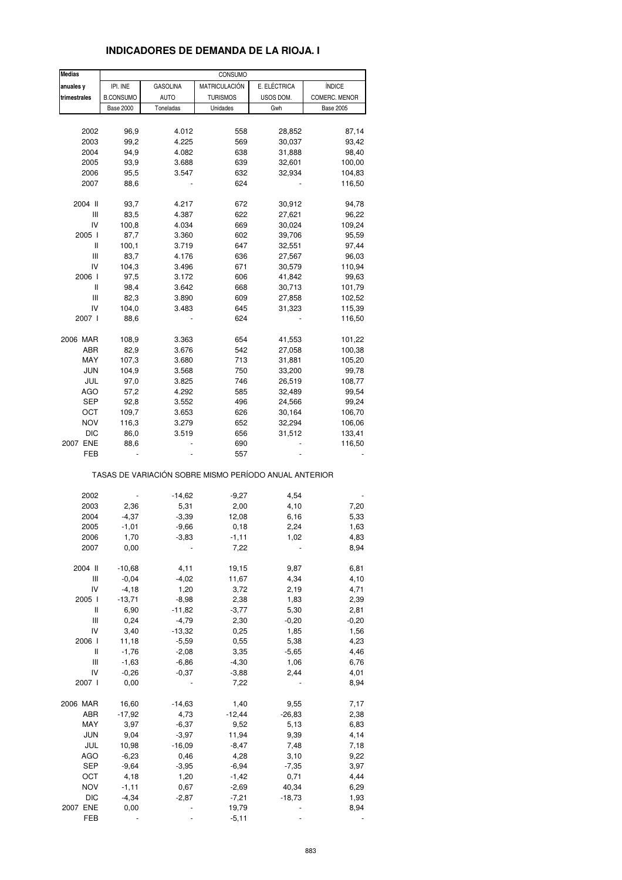| <b>Medias</b> |                  |                 | CONSUMO         |                                                       |                  |
|---------------|------------------|-----------------|-----------------|-------------------------------------------------------|------------------|
| anuales y     | IPI. INE         | <b>GASOLINA</b> | MATRICULACIÓN   | E. ELÉCTRICA                                          | <b>ÍNDICE</b>    |
| trimestrales  | <b>B.CONSUMO</b> | <b>AUTO</b>     | <b>TURISMOS</b> | USOS DOM.                                             | COMERC. MENOR    |
|               | <b>Base 2000</b> | Toneladas       | Unidades        | Gwh                                                   | <b>Base 2005</b> |
|               |                  |                 |                 |                                                       |                  |
|               |                  |                 |                 |                                                       |                  |
| 2002          | 96,9             | 4.012           | 558             | 28,852                                                | 87,14            |
| 2003          | 99,2             | 4.225           | 569             | 30,037                                                | 93,42            |
| 2004          | 94,9             | 4.082           | 638             | 31,888                                                | 98,40            |
| 2005          | 93,9             | 3.688           | 639             | 32,601                                                | 100,00           |
| 2006          | 95,5             | 3.547           | 632             | 32,934                                                | 104,83           |
| 2007          | 88,6             |                 | 624             |                                                       | 116,50           |
|               |                  |                 |                 |                                                       |                  |
| 2004 II       | 93,7             | 4.217           | 672             | 30,912                                                | 94,78            |
| Ш             | 83,5             | 4.387           | 622             | 27,621                                                | 96,22            |
| IV            | 100,8            | 4.034           | 669             | 30,024                                                | 109,24           |
| 2005 l        | 87,7             | 3.360           | 602             | 39,706                                                | 95,59            |
| Ш             | 100,1            | 3.719           | 647             | 32,551                                                | 97,44            |
| Ш             | 83,7             | 4.176           | 636             | 27,567                                                |                  |
|               |                  |                 |                 |                                                       | 96,03            |
| IV            | 104,3            | 3.496           | 671             | 30,579                                                | 110,94           |
| 2006          | 97,5             | 3.172           | 606             | 41,842                                                | 99,63            |
| Ш             | 98,4             | 3.642           | 668             | 30,713                                                | 101,79           |
| Ш             | 82,3             | 3.890           | 609             | 27,858                                                | 102,52           |
| IV            | 104,0            | 3.483           | 645             | 31,323                                                | 115,39           |
| 2007 l        | 88,6             |                 | 624             |                                                       | 116,50           |
|               |                  |                 |                 |                                                       |                  |
| 2006 MAR      | 108,9            | 3.363           | 654             | 41,553                                                | 101,22           |
| ABR           | 82,9             | 3.676           | 542             | 27,058                                                | 100,38           |
| MAY           | 107,3            | 3.680           | 713             | 31,881                                                | 105,20           |
| <b>JUN</b>    | 104,9            | 3.568           | 750             | 33,200                                                | 99,78            |
| JUL           | 97,0             |                 | 746             |                                                       |                  |
|               |                  | 3.825           |                 | 26,519                                                | 108,77           |
| AGO           | 57,2             | 4.292           | 585             | 32,489                                                | 99,54            |
| SEP           | 92,8             | 3.552           | 496             | 24,566                                                | 99,24            |
| OCT           | 109,7            | 3.653           | 626             | 30,164                                                | 106,70           |
| <b>NOV</b>    | 116,3            | 3.279           | 652             | 32,294                                                | 106,06           |
| DIC           | 86,0             | 3.519           | 656             | 31,512                                                | 133,41           |
| 2007 ENE      | 88,6             |                 | 690             |                                                       | 116,50           |
| FEB           |                  |                 | 557             |                                                       |                  |
|               |                  |                 |                 | TASAS DE VARIACIÓN SOBRE MISMO PERÍODO ANUAL ANTERIOR |                  |
|               |                  |                 |                 |                                                       |                  |
| 2002          |                  | $-14,62$        | $-9,27$         | 4,54                                                  |                  |
| 2003          | 2,36             | 5,31            | 2,00            | 4,10                                                  | 7,20             |
| 2004          | $-4,37$          | $-3,39$         | 12,08           | 6,16                                                  | 5,33             |
| 2005          | $-1,01$          | $-9,66$         | 0, 18           | 2,24                                                  | 1,63             |
| 2006          | 1.70             | $-3,83$         | $-1,11$         | 1,02                                                  | 4.83             |
| 2007          | 0,00             |                 | 7,22            |                                                       | 8,94             |
|               |                  |                 |                 |                                                       |                  |
| 2004 II       | $-10,68$         |                 | 19,15           |                                                       | 6,81             |
|               |                  | 4,11            |                 | 9,87                                                  |                  |
| Ш             | $-0,04$          | $-4,02$         | 11,67           | 4,34                                                  | 4,10             |
| IV            | $-4,18$          | 1,20            | 3,72            | 2,19                                                  | 4,71             |
| 2005 l        | $-13,71$         | $-8,98$         | 2,38            | 1,83                                                  | 2,39             |
| Ш             | 6,90             | $-11,82$        | $-3,77$         | 5,30                                                  | 2,81             |
| Ш             | 0,24             | $-4,79$         | 2,30            | $-0,20$                                               | $-0,20$          |
| IV            | 3,40             | $-13,32$        | 0,25            | 1,85                                                  | 1,56             |
| 2006 l        | 11,18            | $-5,59$         | 0,55            | 5,38                                                  | 4,23             |
| Ш             | $-1,76$          | $-2,08$         | 3,35            | $-5,65$                                               | 4,46             |
| Ш             | $-1,63$          | $-6,86$         | $-4,30$         | 1,06                                                  | 6,76             |
| IV            | $-0,26$          | $-0,37$         | $-3,88$         | 2,44                                                  | 4,01             |
| 2007 l        | 0,00             |                 | 7,22            |                                                       | 8,94             |
|               |                  |                 |                 |                                                       |                  |
| 2006 MAR      | 16,60            | $-14,63$        | 1,40            | 9,55                                                  | 7,17             |
| ABR           | $-17,92$         | 4,73            | $-12,44$        | $-26,83$                                              | 2,38             |
|               |                  |                 |                 |                                                       |                  |
| MAY           | 3,97             | $-6,37$         | 9,52            | 5,13                                                  | 6,83             |
| JUN           | 9,04             | $-3,97$         | 11,94           | 9,39                                                  | 4,14             |
| JUL           | 10,98            | $-16,09$        | $-8,47$         | 7,48                                                  | 7,18             |
| <b>AGO</b>    | $-6,23$          | 0,46            | 4,28            | 3,10                                                  | 9,22             |
| SEP           | $-9,64$          | $-3,95$         | $-6,94$         | $-7,35$                                               | 3,97             |
| OCT           | 4,18             | 1,20            | $-1,42$         | 0,71                                                  | 4,44             |
| <b>NOV</b>    | $-1, 11$         | 0,67            | $-2,69$         | 40,34                                                 | 6,29             |
| <b>DIC</b>    | $-4,34$          | $-2,87$         | $-7,21$         | $-18,73$                                              | 1,93             |
| 2007 ENE      | 0,00             |                 | 19,79           |                                                       | 8,94             |
| FEB           |                  |                 | $-5,11$         |                                                       |                  |
|               |                  |                 |                 |                                                       |                  |

#### **INDICADORES DE DEMANDA DE LA RIOJA. I**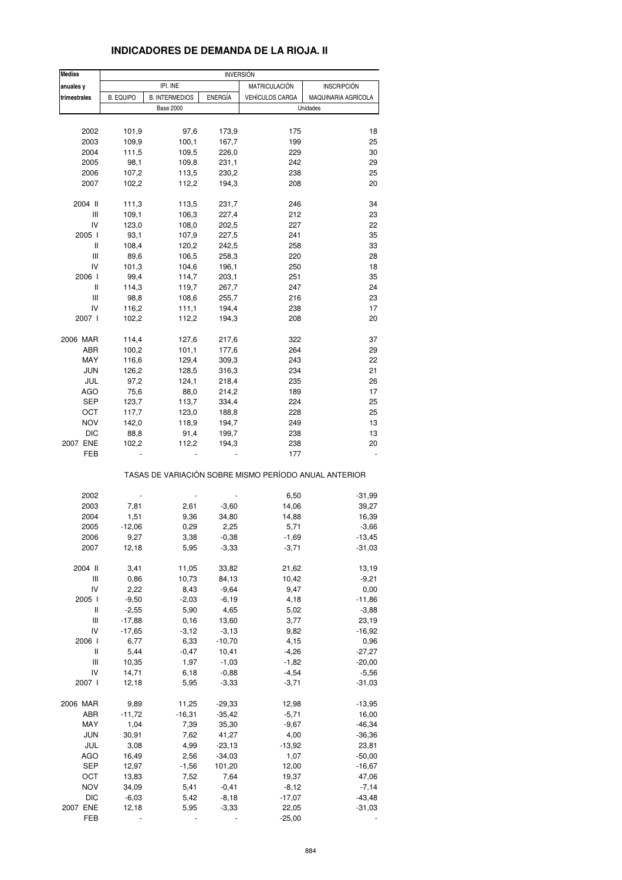| <b>Medias</b>                      |                  |                       | <b>INVERSIÓN</b> |                        |                                                       |
|------------------------------------|------------------|-----------------------|------------------|------------------------|-------------------------------------------------------|
| anuales y                          |                  | IPI. INE              |                  | <b>MATRICULACIÓN</b>   | <b>INSCRIPCIÓN</b>                                    |
| trimestrales                       | <b>B. EQUIPO</b> | <b>B. INTERMEDIOS</b> | <b>ENERGÍA</b>   | <b>VEHÍCULOS CARGA</b> | MAQUINARIA AGRÍCOLA                                   |
|                                    |                  | <b>Base 2000</b>      |                  |                        | Unidades                                              |
|                                    |                  |                       |                  |                        |                                                       |
| 2002                               | 101,9            | 97,6                  | 173,9            | 175                    | 18                                                    |
| 2003                               | 109,9            | 100,1                 | 167,7            | 199                    | 25                                                    |
| 2004                               | 111,5            | 109,5                 | 226,0            | 229                    | 30                                                    |
| 2005                               | 98,1             | 109,8                 | 231,1            | 242                    | 29                                                    |
| 2006                               | 107,2            | 113,5                 | 230,2            | 238                    | 25                                                    |
| 2007                               | 102,2            | 112,2                 | 194,3            | 208                    | 20                                                    |
| 2004 II                            | 111,3            | 113,5                 | 231,7            | 246                    | 34                                                    |
| Ш                                  | 109,1            | 106,3                 | 227,4            | 212                    | 23                                                    |
| IV                                 | 123,0            | 108,0                 | 202,5            | 227                    | 22                                                    |
| 2005 l                             | 93,1             | 107,9                 | 227,5            | 241                    | 35                                                    |
| Ш                                  | 108,4            | 120,2                 | 242,5            | 258                    | 33                                                    |
| Ш                                  |                  |                       |                  | 220                    | 28                                                    |
|                                    | 89,6             | 106,5                 | 258,3            |                        |                                                       |
| IV                                 | 101,3            | 104,6                 | 196,1            | 250                    | 18                                                    |
| 2006                               | 99,4             | 114,7                 | 203,1            | 251                    | 35                                                    |
| Ш                                  | 114,3            | 119,7                 | 267,7            | 247                    | 24                                                    |
| Ш                                  | 98,8             | 108,6                 | 255,7            | 216                    | 23                                                    |
| IV                                 | 116,2            | 111,1                 | 194,4            | 238                    | 17                                                    |
| 2007 l                             | 102,2            | 112,2                 | 194,3            | 208                    | 20                                                    |
| 2006 MAR                           | 114,4            | 127,6                 | 217,6            | 322                    | 37                                                    |
| ABR                                | 100,2            | 101,1                 | 177,6            | 264                    | 29                                                    |
|                                    |                  |                       |                  |                        |                                                       |
| MAY                                | 116,6            | 129,4                 | 309,3            | 243                    | 22                                                    |
| <b>JUN</b>                         | 126,2            | 128,5                 | 316,3            | 234                    | 21                                                    |
| JUL                                | 97,2             | 124,1                 | 218,4            | 235                    | 26                                                    |
| AGO                                | 75,6             | 88,0                  | 214,2            | 189                    | 17                                                    |
| SEP                                | 123,7            | 113,7                 | 334,4            | 224                    | 25                                                    |
| OCT                                | 117,7            | 123,0                 | 188,8            | 228                    | 25                                                    |
| <b>NOV</b>                         | 142,0            |                       |                  | 249                    | 13                                                    |
|                                    |                  | 118,9                 | 194,7            |                        |                                                       |
| DIC                                | 88,8             | 91,4                  | 199,7            | 238                    | 13                                                    |
| 2007 ENE                           | 102,2            | 112,2                 | 194,3            | 238                    | 20                                                    |
| FEB                                |                  |                       |                  | 177                    |                                                       |
|                                    |                  |                       |                  |                        | TASAS DE VARIACIÓN SOBRE MISMO PERÍODO ANUAL ANTERIOR |
| 2002                               |                  |                       |                  | 6,50                   | $-31,99$                                              |
| 2003                               | 7,81             | 2,61                  | $-3,60$          | 14,06                  | 39,27                                                 |
| 2004                               | 1,51             | 9,36                  |                  |                        |                                                       |
|                                    |                  |                       | 34,80            | 14,88                  | 16,39                                                 |
| 2005                               | $-12,06$         | 0,29                  | 2,25             | 5,71                   | $-3,66$                                               |
| 2006                               | 9,27             | 3,38                  | $-0,38$          | $-1,69$                | $-13,45$                                              |
| 2007                               | 12,18            | 5,95                  | $-3,33$          | $-3,71$                | $-31,03$                                              |
| 2004 II                            | 3,41             | 11,05                 | 33,82            | 21,62                  | 13,19                                                 |
| Ш                                  | 0,86             | 10,73                 | 84,13            | 10,42                  | $-9,21$                                               |
| IV                                 | 2,22             | 8,43                  | $-9,64$          | 9,47                   | 0,00                                                  |
| 2005 l                             | $-9,50$          | $-2,03$               | $-6,19$          | 4,18                   | $-11,86$                                              |
| Ш                                  | $-2,55$          | 5,90                  | 4,65             | 5,02                   | $-3,88$                                               |
|                                    |                  |                       |                  |                        |                                                       |
| Ш                                  | $-17,88$         | 0, 16                 | 13,60            | 3,77                   | 23,19                                                 |
| IV                                 | $-17,65$         | $-3, 12$              | $-3,13$          | 9,82                   | $-16,92$                                              |
| 2006                               | 6,77             | 6,33                  | $-10,70$         | 4,15                   | 0,96                                                  |
| Ш                                  | 5,44             | $-0,47$               | 10,41            | $-4,26$                | $-27,27$                                              |
| $\ensuremath{\mathsf{III}}\xspace$ | 10,35            | 1,97                  | $-1,03$          | $-1,82$                | $-20,00$                                              |
| IV                                 | 14,71            | 6,18                  | $-0,88$          | $-4,54$                | $-5,56$                                               |
| 2007 l                             | 12,18            | 5,95                  | $-3,33$          | $-3,71$                | $-31,03$                                              |
| 2006 MAR                           | 9,89             | 11,25                 | $-29,33$         | 12,98                  | $-13,95$                                              |
|                                    | $-11,72$         | $-16,31$              | $-35,42$         | $-5,71$                |                                                       |
| ABR                                |                  |                       |                  |                        | 16,00                                                 |
| MAY                                | 1,04             | 7,39                  | 35,30            | $-9,67$                | $-46,34$                                              |
| JUN                                | 30,91            | 7,62                  | 41,27            | 4,00                   | $-36,36$                                              |
| JUL                                | 3,08             | 4,99                  | $-23,13$         | $-13,92$               | 23,81                                                 |
| AGO                                | 16,49            | 2,56                  | $-34,03$         | 1,07                   | $-50,00$                                              |
| <b>SEP</b>                         | 12,97            | $-1,56$               | 101,20           | 12,00                  | $-16,67$                                              |
| ОСТ                                | 13,83            | 7,52                  | 7,64             | 19,37                  | 47,06                                                 |
|                                    |                  |                       |                  |                        |                                                       |
| <b>NOV</b>                         | 34,09            | 5,41                  | $-0,41$          | $-8,12$                | $-7,14$                                               |
| DIC                                | $-6,03$          | 5,42                  | $-8,18$          | $-17,07$               | $-43,48$                                              |
| 2007 ENE                           | 12,18            | 5,95                  | $-3,33$          | 22,05                  | $-31,03$                                              |

### **INDICADORES DE DEMANDA DE LA RIOJA. II**

FEB - - - -25,00 -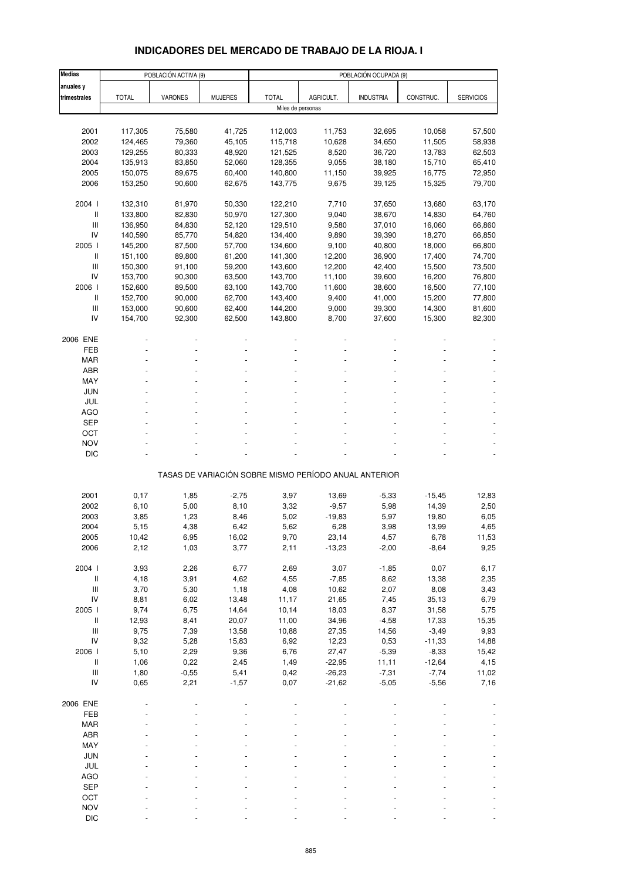# **INDICADORES DEL MERCADO DE TRABAJO DE LA RIOJA. I**

| <b>Medias</b>                                                             |              | POBLACIÓN ACTIVA (9) |                |                   |           | POBLACIÓN OCUPADA (9)                                 |           |                  |
|---------------------------------------------------------------------------|--------------|----------------------|----------------|-------------------|-----------|-------------------------------------------------------|-----------|------------------|
| anuales y                                                                 |              |                      |                |                   |           |                                                       |           |                  |
| trimestrales                                                              | <b>TOTAL</b> | <b>VARONES</b>       | <b>MUJERES</b> | <b>TOTAL</b>      | AGRICULT. | <b>INDUSTRIA</b>                                      | CONSTRUC. | <b>SERVICIOS</b> |
|                                                                           |              |                      |                | Miles de personas |           |                                                       |           |                  |
|                                                                           |              |                      |                |                   |           |                                                       |           |                  |
| 2001                                                                      | 117,305      | 75,580               | 41,725         | 112,003           | 11,753    | 32,695                                                | 10,058    | 57,500           |
| 2002                                                                      | 124,465      | 79,360               | 45,105         | 115,718           | 10,628    | 34,650                                                | 11,505    | 58,938           |
| 2003                                                                      | 129,255      | 80,333               | 48,920         | 121,525           | 8,520     | 36,720                                                | 13,783    | 62,503           |
| 2004                                                                      | 135,913      | 83,850               | 52,060         | 128,355           | 9,055     | 38,180                                                | 15,710    | 65,410           |
| 2005                                                                      |              | 89,675               | 60,400         | 140,800           | 11,150    |                                                       | 16,775    | 72,950           |
|                                                                           | 150,075      |                      |                |                   |           | 39,925                                                |           |                  |
| 2006                                                                      | 153,250      | 90,600               | 62,675         | 143,775           | 9,675     | 39,125                                                | 15,325    | 79,700           |
| 2004 l                                                                    |              |                      |                |                   |           |                                                       |           |                  |
|                                                                           | 132,310      | 81,970               | 50,330         | 122,210           | 7,710     | 37,650                                                | 13,680    | 63,170           |
| $\, \parallel$                                                            | 133,800      | 82,830               | 50,970         | 127,300           | 9,040     | 38,670                                                | 14,830    | 64,760           |
| Ш                                                                         | 136,950      | 84,830               | 52,120         | 129,510           | 9,580     | 37,010                                                | 16,060    | 66,860           |
| IV                                                                        | 140,590      | 85,770               | 54,820         | 134,400           | 9,890     | 39,390                                                | 18,270    | 66,850           |
| 2005 l                                                                    | 145,200      | 87,500               | 57,700         | 134,600           | 9,100     | 40,800                                                | 18,000    | 66,800           |
| $\label{eq:1} \prod_{i=1}^n \left\{ \prod_{i=1}^n \frac{1}{n_i} \right\}$ | 151,100      | 89,800               | 61,200         | 141,300           | 12,200    | 36,900                                                | 17,400    | 74,700           |
| Ш                                                                         | 150,300      | 91,100               | 59,200         | 143,600           | 12,200    | 42,400                                                | 15,500    | 73,500           |
| IV                                                                        | 153,700      | 90,300               | 63,500         | 143,700           | 11,100    | 39,600                                                | 16,200    | 76,800           |
| 2006 l                                                                    | 152,600      | 89,500               | 63,100         | 143,700           | 11,600    | 38,600                                                | 16,500    | 77,100           |
| $\mathsf{I}$                                                              | 152,700      | 90,000               | 62,700         | 143,400           | 9,400     | 41,000                                                | 15,200    | 77,800           |
| III                                                                       | 153,000      | 90,600               | 62,400         | 144,200           | 9,000     | 39,300                                                | 14,300    | 81,600           |
| IV                                                                        | 154,700      | 92,300               | 62,500         | 143,800           | 8,700     | 37,600                                                | 15,300    | 82,300           |
|                                                                           |              |                      |                |                   |           |                                                       |           |                  |
| 2006 ENE                                                                  |              |                      |                |                   |           |                                                       |           |                  |
| FEB                                                                       |              |                      |                |                   |           |                                                       |           |                  |
| <b>MAR</b>                                                                |              |                      |                |                   |           |                                                       |           |                  |
| ABR                                                                       |              |                      |                |                   |           |                                                       |           |                  |
| MAY                                                                       |              |                      |                |                   |           |                                                       |           |                  |
| JUN                                                                       |              |                      |                |                   |           |                                                       |           |                  |
| JUL                                                                       |              |                      |                |                   |           |                                                       |           |                  |
| <b>AGO</b>                                                                |              |                      |                |                   |           |                                                       |           |                  |
| <b>SEP</b>                                                                |              |                      |                |                   |           |                                                       |           |                  |
| OCT                                                                       |              |                      |                |                   |           |                                                       |           |                  |
| <b>NOV</b>                                                                |              |                      |                |                   |           |                                                       |           |                  |
| <b>DIC</b>                                                                |              |                      |                |                   |           |                                                       |           |                  |
|                                                                           |              |                      |                |                   |           |                                                       |           |                  |
|                                                                           |              |                      |                |                   |           | TASAS DE VARIACIÓN SOBRE MISMO PERÍODO ANUAL ANTERIOR |           |                  |
|                                                                           |              |                      |                |                   |           |                                                       |           |                  |
| 2001                                                                      | 0,17         | 1,85                 | $-2,75$        | 3,97              | 13,69     | $-5,33$                                               | $-15,45$  | 12,83            |
| 2002                                                                      | 6,10         | 5,00                 | 8,10           | 3,32              | $-9,57$   | 5,98                                                  | 14,39     | 2,50             |
| 2003                                                                      | 3,85         | 1,23                 | 8,46           | 5,02              | $-19,83$  | 5,97                                                  | 19,80     | 6,05             |
| 2004                                                                      | 5,15         | 4,38                 | 6,42           | 5,62              | 6,28      | 3,98                                                  | 13,99     | 4,65             |
| 2005                                                                      | 10,42        | 6,95                 | 16,02          | 9,70              | 23,14     | 4,57                                                  | 6,78      | 11,53            |
| 2006                                                                      | 2,12         | 1,03                 | 3,77           | 2,11              | $-13,23$  | $-2,00$                                               | $-8,64$   | 9,25             |
|                                                                           |              |                      |                |                   |           |                                                       |           |                  |
| 2004 l                                                                    | 3,93         | 2,26                 | 6,77           | 2,69              | 3,07      | $-1,85$                                               | 0,07      | 6,17             |
| $\, \parallel$                                                            | 4,18         | 3,91                 | 4,62           | 4,55              | $-7,85$   | 8,62                                                  | 13,38     | 2,35             |
| Ш                                                                         | 3,70         | 5,30                 | 1,18           | 4,08              | 10,62     | 2,07                                                  | 8,08      | 3,43             |
| IV                                                                        | 8,81         | 6,02                 | 13,48          | 11,17             | 21,65     | 7,45                                                  | 35, 13    | 6,79             |
| 2005                                                                      | 9,74         | 6,75                 | 14,64          | 10,14             | 18,03     | 8,37                                                  | 31,58     | 5,75             |
| $\label{eq:1} \prod_{i=1}^n \left\{ \prod_{i=1}^n \frac{1}{n_i} \right\}$ | 12,93        | 8,41                 | 20,07          | 11,00             | 34,96     | $-4,58$                                               | 17,33     | 15,35            |
| $\ensuremath{\mathsf{III}}\xspace$                                        | 9,75         | 7,39                 | 13,58          | 10,88             | 27,35     | 14,56                                                 | $-3,49$   | 9,93             |
| IV                                                                        | 9,32         | 5,28                 | 15,83          | 6,92              | 12,23     | 0,53                                                  | $-11,33$  | 14,88            |
| 2006                                                                      | 5,10         | 2,29                 | 9,36           | 6,76              | 27,47     | $-5,39$                                               | $-8,33$   | 15,42            |
| $\, \parallel$                                                            | 1,06         | 0,22                 | 2,45           | 1,49              | $-22,95$  | 11,11                                                 | $-12,64$  | 4,15             |
| $\ensuremath{\mathsf{III}}\xspace$                                        | 1,80         | $-0,55$              | 5,41           | 0,42              | $-26,23$  | $-7,31$                                               | $-7,74$   | 11,02            |
| IV                                                                        | 0,65         | 2,21                 | $-1,57$        | 0,07              | $-21,62$  | $-5,05$                                               | $-5,56$   | 7,16             |
|                                                                           |              |                      |                |                   |           |                                                       |           |                  |
| 2006 ENE                                                                  |              |                      |                |                   |           |                                                       |           |                  |
| FEB                                                                       |              |                      |                |                   |           |                                                       |           |                  |
| <b>MAR</b>                                                                |              |                      |                |                   |           |                                                       |           |                  |
| ABR                                                                       |              |                      |                |                   |           |                                                       |           |                  |
| MAY                                                                       |              |                      |                |                   |           |                                                       |           |                  |
| <b>JUN</b>                                                                |              |                      |                |                   |           |                                                       |           |                  |
| JUL                                                                       |              |                      |                |                   |           |                                                       |           |                  |
|                                                                           |              |                      |                |                   |           |                                                       |           |                  |
| <b>AGO</b>                                                                |              |                      |                |                   |           |                                                       |           |                  |
| <b>SEP</b>                                                                |              |                      |                |                   |           |                                                       |           |                  |
| OCT                                                                       |              |                      |                |                   |           |                                                       |           |                  |
| <b>NOV</b>                                                                |              |                      |                |                   |           |                                                       |           |                  |
| <b>DIC</b>                                                                |              |                      |                |                   |           |                                                       |           |                  |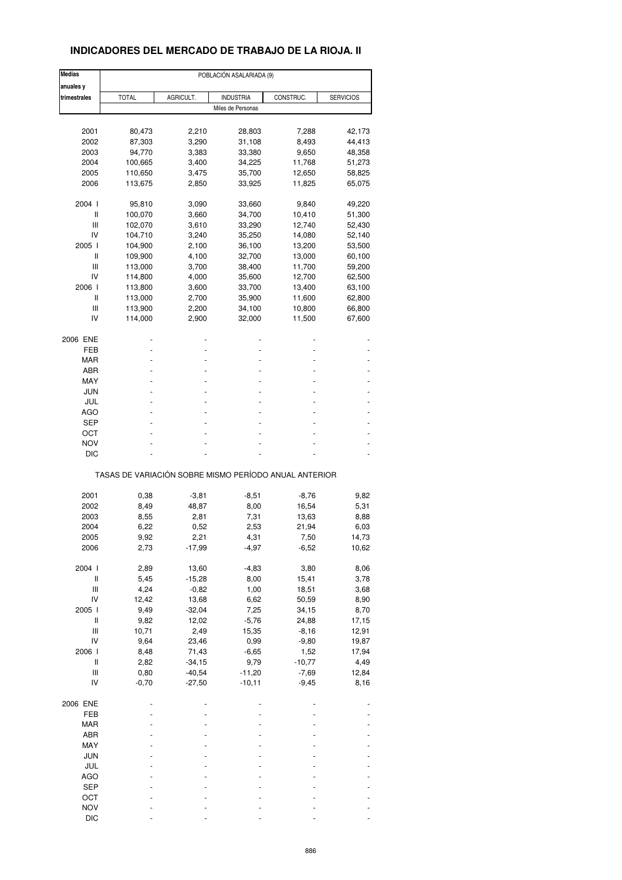## **INDICADORES DEL MERCADO DE TRABAJO DE LA RIOJA. II**

| <b>Medias</b>                      | POBLACIÓN ASALARIADA (9)                              |           |                   |           |                  |  |  |  |  |
|------------------------------------|-------------------------------------------------------|-----------|-------------------|-----------|------------------|--|--|--|--|
| anuales y                          |                                                       |           |                   |           |                  |  |  |  |  |
| trimestrales                       | <b>TOTAL</b>                                          | AGRICULT. | <b>INDUSTRIA</b>  | CONSTRUC. | <b>SERVICIOS</b> |  |  |  |  |
|                                    |                                                       |           | Miles de Personas |           |                  |  |  |  |  |
|                                    |                                                       |           |                   |           |                  |  |  |  |  |
| 2001                               | 80,473                                                | 2,210     | 28,803            | 7,288     | 42,173           |  |  |  |  |
| 2002                               | 87,303                                                | 3,290     | 31,108            | 8,493     | 44,413           |  |  |  |  |
| 2003                               | 94,770                                                | 3,383     | 33,380            | 9,650     | 48,358           |  |  |  |  |
| 2004                               | 100,665                                               | 3,400     | 34,225            | 11,768    | 51,273           |  |  |  |  |
| 2005                               | 110,650                                               | 3,475     | 35,700            | 12,650    | 58,825           |  |  |  |  |
| 2006                               | 113,675                                               | 2,850     | 33,925            | 11,825    | 65,075           |  |  |  |  |
| 2004 l                             | 95,810                                                |           |                   | 9,840     | 49,220           |  |  |  |  |
| Ш                                  |                                                       | 3,090     | 33,660            |           |                  |  |  |  |  |
|                                    | 100,070                                               | 3,660     | 34,700            | 10,410    | 51,300           |  |  |  |  |
| Ш                                  | 102,070                                               | 3,610     | 33,290            | 12,740    | 52,430           |  |  |  |  |
| IV                                 | 104,710                                               | 3,240     | 35,250            | 14,080    | 52,140           |  |  |  |  |
| 2005 l                             | 104,900                                               | 2,100     | 36,100            | 13,200    | 53,500           |  |  |  |  |
| Ш                                  | 109,900                                               | 4,100     | 32,700            | 13,000    | 60,100           |  |  |  |  |
| Ш                                  | 113,000                                               | 3,700     | 38,400            | 11,700    | 59,200           |  |  |  |  |
| IV                                 | 114,800                                               | 4,000     | 35,600            | 12,700    | 62,500           |  |  |  |  |
|                                    |                                                       |           |                   |           |                  |  |  |  |  |
| 2006 l                             | 113,800                                               | 3,600     | 33,700            | 13,400    | 63,100           |  |  |  |  |
| Ш                                  | 113,000                                               | 2,700     | 35,900            | 11,600    | 62,800           |  |  |  |  |
| Ш                                  | 113,900                                               | 2,200     | 34,100            | 10,800    | 66,800           |  |  |  |  |
| IV                                 | 114,000                                               | 2,900     | 32,000            | 11,500    | 67,600           |  |  |  |  |
| 2006 ENE                           |                                                       |           |                   |           |                  |  |  |  |  |
| FEB                                |                                                       |           |                   |           |                  |  |  |  |  |
| <b>MAR</b>                         |                                                       |           |                   |           |                  |  |  |  |  |
|                                    |                                                       |           |                   |           |                  |  |  |  |  |
| ABR                                |                                                       |           |                   |           |                  |  |  |  |  |
| MAY                                |                                                       |           |                   |           |                  |  |  |  |  |
| JUN                                |                                                       |           |                   |           |                  |  |  |  |  |
| JUL                                |                                                       |           |                   |           |                  |  |  |  |  |
| AGO                                |                                                       |           |                   |           |                  |  |  |  |  |
| SEP                                |                                                       |           |                   |           |                  |  |  |  |  |
|                                    |                                                       |           |                   |           |                  |  |  |  |  |
| ост                                |                                                       |           |                   |           |                  |  |  |  |  |
| <b>NOV</b>                         |                                                       |           |                   |           |                  |  |  |  |  |
| <b>DIC</b>                         |                                                       |           |                   |           |                  |  |  |  |  |
|                                    | TASAS DE VARIACIÓN SOBRE MISMO PERÍODO ANUAL ANTERIOR |           |                   |           |                  |  |  |  |  |
|                                    |                                                       |           |                   |           |                  |  |  |  |  |
| 2001                               | 0,38                                                  | -3,81     | $-8,51$           | $-8,76$   | 9,82             |  |  |  |  |
| 2002                               | 8,49                                                  | 48,87     | 8,00              | 16,54     | 5,31             |  |  |  |  |
| 2003                               | 8,55                                                  | 2,81      | 7,31              | 13,63     | 8,88             |  |  |  |  |
| 2004                               | 6,22                                                  | 0,52      | 2,53              | 21,94     | 6,03             |  |  |  |  |
| 2005                               | 9,92                                                  | 2,21      | 4,31              | 7,50      | 14,73            |  |  |  |  |
| 2006                               | 2,73                                                  | -17,99    | $-4,97$           | $-6,52$   | 10,62            |  |  |  |  |
|                                    |                                                       |           |                   |           |                  |  |  |  |  |
| 2004 l                             | 2,89                                                  | 13,60     | $-4,83$           | 3,80      | 8,06             |  |  |  |  |
| $\sf II$                           | 5,45                                                  | $-15,28$  | 8,00              | 15,41     | 3,78             |  |  |  |  |
| Ш                                  | 4,24                                                  | $-0,82$   | 1,00              | 18,51     | 3,68             |  |  |  |  |
| IV                                 | 12,42                                                 | 13,68     | 6,62              | 50,59     | 8,90             |  |  |  |  |
| 2005 l                             | 9,49                                                  | $-32,04$  | 7,25              | 34,15     | 8,70             |  |  |  |  |
|                                    |                                                       |           |                   |           |                  |  |  |  |  |
| Ш                                  | 9,82                                                  | 12,02     | $-5,76$           | 24,88     | 17,15            |  |  |  |  |
| $\ensuremath{\mathsf{III}}\xspace$ | 10,71                                                 | 2,49      | 15,35             | $-8,16$   | 12,91            |  |  |  |  |
| IV                                 | 9,64                                                  | 23,46     | 0,99              | $-9,80$   | 19,87            |  |  |  |  |
| 2006                               | 8,48                                                  | 71,43     | $-6,65$           | 1,52      | 17,94            |  |  |  |  |
| $\sf II$                           | 2,82                                                  | $-34,15$  | 9,79              | $-10,77$  | 4,49             |  |  |  |  |
| Ш                                  | 0,80                                                  | $-40,54$  | $-11,20$          | $-7,69$   | 12,84            |  |  |  |  |
|                                    |                                                       |           |                   |           |                  |  |  |  |  |
| IV                                 | $-0,70$                                               | $-27,50$  | $-10, 11$         | $-9,45$   | 8,16             |  |  |  |  |
| 2006 ENE                           |                                                       |           |                   |           |                  |  |  |  |  |
| FEB                                |                                                       |           |                   |           |                  |  |  |  |  |
| MAR                                |                                                       |           |                   |           |                  |  |  |  |  |
| ABR                                |                                                       |           |                   |           |                  |  |  |  |  |
|                                    |                                                       |           |                   |           |                  |  |  |  |  |
| MAY                                |                                                       |           |                   |           |                  |  |  |  |  |
| <b>JUN</b>                         |                                                       |           |                   |           |                  |  |  |  |  |
| JUL                                |                                                       |           |                   |           |                  |  |  |  |  |
| AGO                                |                                                       |           |                   |           |                  |  |  |  |  |
| <b>SEP</b>                         |                                                       |           |                   |           |                  |  |  |  |  |
| OCT                                |                                                       |           |                   |           |                  |  |  |  |  |
|                                    |                                                       |           |                   |           |                  |  |  |  |  |
| <b>NOV</b>                         |                                                       |           |                   |           |                  |  |  |  |  |
| <b>DIC</b>                         |                                                       |           |                   |           |                  |  |  |  |  |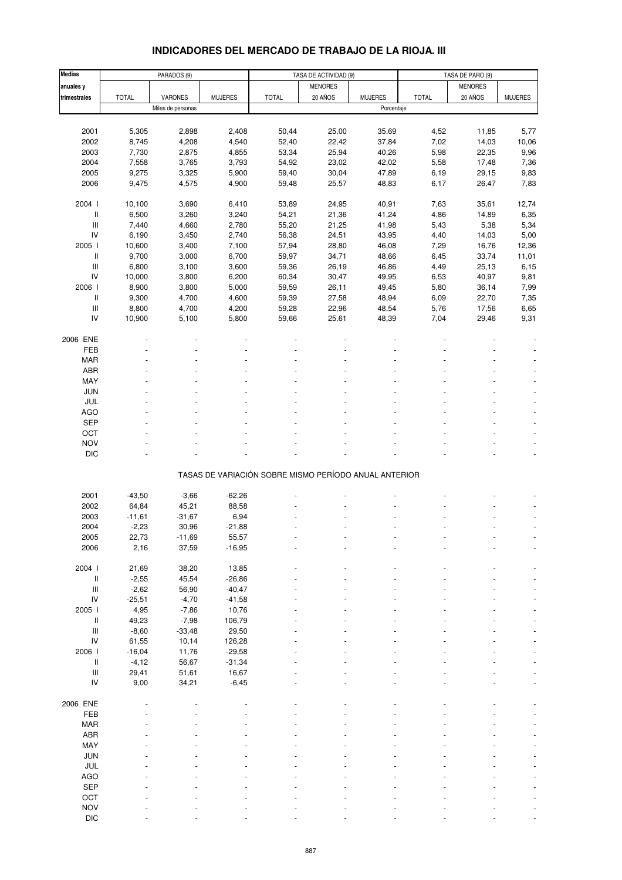#### **Medias PARADOS** (9) **TASA DE ACTIVIDAD** (9) **TASA DE PARO (9)** TASA DE PARO (9) anuales y MENORES MENORES **trimestrales |** TOTAL | VARONES | MUJERES | TOTAL | 20 ANOS | MUJERES | TOTAL | 20 ANOS | MUJERES Miles de personas Porcentaje 2001 5,305 2,898 2,408 50,44 25,00 35,69 4,52 11,85 5,77 2002 8,745 4,208 4,540 52,40 22,42 37,84 7,02 14,03 10,06 2003 7,730 2,875 4,855 53,34 25,94 40,26 5,98 22,35 9,96 2004 7,558 3,765 3,793 54,92 23,02 42,02 5,58 17,48 7,36 2005 9,275 3,325 5,900 59,40 30,04 47,89 6,19 29,15 9,83 2006 9,475 4,575 4,900 59,48 25,57 48,83 6,17 26,47 7,83 2004 I 10,100 3,690 6,410 53,89 24,95 40,91 7,63 35,61 12,74 II 6,500 3,260 3,240 54,21 21,36 41,24 4,86 14,89 6,35 III 7,440 4,660 2,780 55,20 21,25 41,98 5,43 5,38 5,34 IV 6,190 3,450 2,740 56,38 24,51 43,95 4,40 14,03 5,00 2005 I 10,600 3,400 7,100 57,94 28,80 46,08 7,29 16,76 12,36 II 9,700 3,000 6,700 59,97 34,71 48,66 6,45 33,74 11,01 III 6,800 3,100 3,600 59,36 26,19 46,86 4,49 25,13 6,15 IV 10,000 3,800 6,200 60,34 30,47 49,95 6,53 40,97 9,81 2006 I 8,900 3,800 5,000 59,59 26,11 49,45 5,80 36,14 7,99 II 9,300 4,700 4,600 59,39 27,58 48,94 6,09 22,70 7,35 III 8,800 4,700 4,200 59,28 22,96 48,54 5,76 17,56 6,65 IV 10,900 5,100 5,800 59,66 25,61 48,39 7,04 29,46 9,31 2006 ENE - - - - - - - - - FEB - - - - - - - - - MAR - - - - - - - - - ABR - - - - - - - - -  ${\sf MAX}$  . The set of the set of the set of the set of the set of the set of the set of the set of the set of the set of the set of the set of the set of the set of the set of the set of the set of the set of the set of the JUN - - - - - - - - - JUL - - - - - - - - - AGO - - - - - - - - -  $\begin{array}{lllllllllllll} \text{SEP} & \text{--} & \text{--} & \text{--} & \text{--} & \text{--} & \text{--} & \text{--} & \text{--} & \text{--} & \text{--} & \text{--} & \text{--} & \text{--} & \text{--} & \text{--} & \text{--} & \text{--} & \text{--} & \text{--} & \text{--} & \text{--} & \text{--} & \text{--} & \text{--} & \text{--} & \text{--} & \text{--} & \text{--} & \text{--} & \text{--} & \text{--} & \text{--} & \text{--} & \text{$ OCT the set of the set of the set of the set of the set of the set of the set of the set of the set of the set NOV the set of the set of the set of the set of the set of the set of the set of the set of the set of the set DIC - - - - - - - - - TASAS DE VARIACIÓN SOBRE MISMO PERÍODO ANUAL ANTERIOR 2001 -43,50 -3,66 -62,26 - - - - - - - - - - - - - - - -2002 64,84 45,21 88,58 - - - - - - 2003 -11,61 -31,67 6,94 - - - - - - 2004 -2,23 30,96 -21,88 - - - - - - 2005 22,73 -11,69 55,57 - - - - - - 2006 2,16 37,59 -16,95 - - - - - - 2004 I 21,69 38,20 13,85 - - - - - - II -2,55 45,54 -26,86 - - - - - - III -2,62 56,90 -40,47 - - - - - - - - - - - - -IV -25,51 -4,70 -41,58 - - - - - - 2005 I 4,95 -7,86 10,76 - - - - - - II 49,23 -7,98 106,79 - - - - - - III -8,60 -33,48 29,50 - - - - - - IV 61,55 10,14 126,28 - - - - - - 2006 I -16,04 11,76 -29,58 - - - - - - II -4,12 56,67 -31,34 - - - - - - - - - - - - - - -III 29,41 51,61 16,67 - - - - - - IV 9,00 34,21 -6,45 - - - - - - - - - - - - -2006 ENE - - - - - - - - - FEB - - - - - - - - - MAR - - - - - - - - - ABR - - - - - - - - - MAY - - - - - - - - - JUN - - - - - - - - - JUL - - - - - - - - - AGO in the set of the set of the set of the set of the set of the set of the set of the set of the set of the s  $\begin{array}{lllllllllllll} \text{SEP} & \text{--} & \text{--} & \text{--} & \text{--} & \text{--} & \text{--} & \text{--} & \text{--} & \text{--} & \text{--} & \text{--} & \text{--} & \text{--} & \text{--} & \text{--} & \text{--} & \text{--} & \text{--} & \text{--} & \text{--} & \text{--} & \text{--} & \text{--} & \text{--} & \text{--} & \text{--} & \text{--} & \text{--} & \text{--} & \text{--} & \text{--} & \text{--} & \text{--} & \text{$ OCT the second contract of the second contract of the second contract of the second contract of the second contract of the second contract of the second contract of the second contract of the second contract of the second NOV the set of the set of the set of the set of the set of the set of the set of the set of the set of the set

### **INDICADORES DEL MERCADO DE TRABAJO DE LA RIOJA. III**

DIC - - - - - - - - -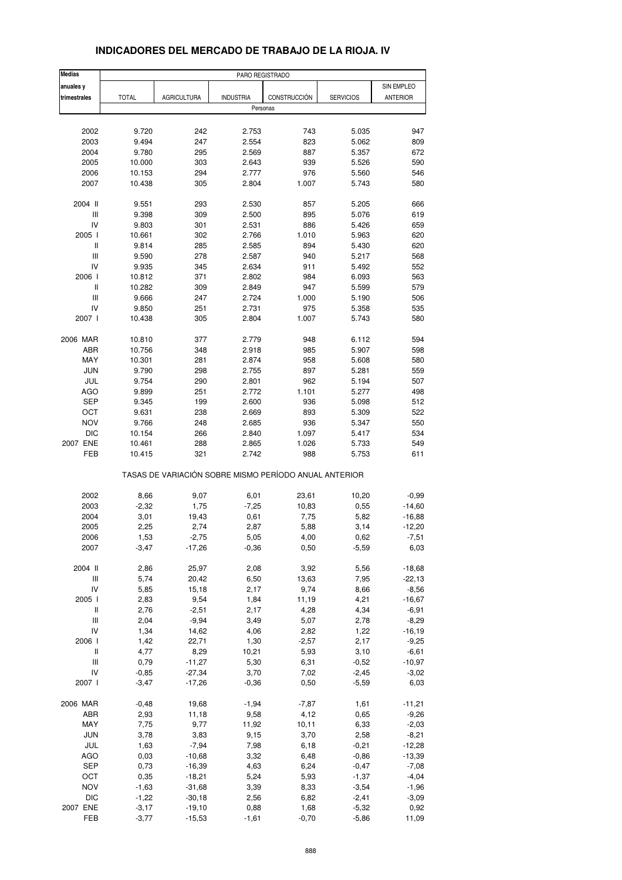| <b>Medias</b>                      | PARO REGISTRADO |                                                       |                  |              |                  |                 |
|------------------------------------|-----------------|-------------------------------------------------------|------------------|--------------|------------------|-----------------|
| anuales y                          |                 |                                                       |                  |              |                  | SIN EMPLEO      |
| trimestrales                       | <b>TOTAL</b>    | <b>AGRICULTURA</b>                                    | <b>INDUSTRIA</b> | CONSTRUCCIÓN | <b>SERVICIOS</b> | <b>ANTERIOR</b> |
|                                    |                 |                                                       | Personas         |              |                  |                 |
|                                    |                 |                                                       |                  |              |                  |                 |
| 2002                               | 9.720           | 242                                                   | 2.753            | 743          | 5.035            | 947             |
| 2003                               | 9.494           | 247                                                   | 2.554            | 823          | 5.062            | 809             |
| 2004                               | 9.780           | 295                                                   | 2.569            | 887          | 5.357            | 672             |
| 2005                               | 10.000          | 303                                                   | 2.643            | 939          | 5.526            | 590             |
| 2006                               | 10.153          | 294                                                   | 2.777            | 976          | 5.560            | 546             |
| 2007                               | 10.438          | 305                                                   | 2.804            | 1.007        | 5.743            | 580             |
|                                    |                 |                                                       |                  |              |                  |                 |
| 2004 II                            | 9.551           | 293                                                   | 2.530            | 857          | 5.205            | 666             |
| Ш                                  | 9.398           | 309                                                   | 2.500            | 895          | 5.076            | 619             |
| IV                                 | 9.803           | 301                                                   | 2.531            | 886          | 5.426            | 659             |
| 2005 l                             | 10.661          | 302                                                   | 2.766            | 1.010        | 5.963            | 620             |
| $\sf II$                           | 9.814           | 285                                                   | 2.585            | 894          | 5.430            | 620             |
| $\mathsf{III}$                     | 9.590           | 278                                                   | 2.587            | 940          | 5.217            | 568             |
| IV                                 | 9.935           | 345                                                   | 2.634            | 911          | 5.492            | 552             |
| 2006                               | 10.812          | 371                                                   | 2.802            | 984          | 6.093            | 563             |
| Ш                                  | 10.282          | 309                                                   | 2.849            | 947          | 5.599            | 579             |
| $\mathsf{III}$                     | 9.666           | 247                                                   | 2.724            | 1.000        | 5.190            | 506             |
| IV                                 | 9.850           | 251                                                   | 2.731            | 975          | 5.358            | 535             |
| 2007 l                             | 10.438          | 305                                                   | 2.804            | 1.007        | 5.743            | 580             |
|                                    |                 |                                                       |                  |              |                  |                 |
| 2006 MAR                           | 10.810          | 377                                                   | 2.779            | 948          | 6.112            | 594             |
| ABR                                | 10.756          | 348                                                   | 2.918            | 985          | 5.907            | 598             |
| MAY                                | 10.301          | 281                                                   | 2.874            | 958          | 5.608            | 580             |
| <b>JUN</b>                         | 9.790           | 298                                                   | 2.755            | 897          | 5.281            | 559             |
|                                    |                 |                                                       |                  |              |                  |                 |
| JUL                                | 9.754           | 290<br>251                                            | 2.801            | 962          | 5.194            | 507             |
| AGO                                | 9.899           |                                                       | 2.772            | 1.101        | 5.277            | 498             |
| <b>SEP</b>                         | 9.345           | 199                                                   | 2.600            | 936          | 5.098            | 512             |
| OCT                                | 9.631           | 238                                                   | 2.669            | 893          | 5.309            | 522             |
| <b>NOV</b>                         | 9.766           | 248                                                   | 2.685            | 936          | 5.347            | 550             |
| <b>DIC</b>                         | 10.154          | 266                                                   | 2.840            | 1.097        | 5.417            | 534             |
| 2007 ENE                           | 10.461          | 288                                                   | 2.865            | 1.026        | 5.733            | 549             |
| FEB                                | 10.415          | 321                                                   | 2.742            | 988          | 5.753            | 611             |
|                                    |                 | TASAS DE VARIACIÓN SOBRE MISMO PERÍODO ANUAL ANTERIOR |                  |              |                  |                 |
|                                    |                 |                                                       |                  |              |                  |                 |
| 2002                               | 8,66            | 9,07                                                  | 6,01             | 23,61        | 10,20            | $-0,99$         |
| 2003                               | $-2,32$         | 1,75                                                  | $-7,25$          | 10,83        | 0,55             | $-14,60$        |
| 2004                               | 3,01            | 19,43                                                 | 0,61             | 7,75         | 5,82             | $-16,88$        |
| 2005                               | 2,25            | 2,74                                                  | 2,87             | 5,88         | 3,14             | $-12,20$        |
| 2006                               | 1,53            | $-2,75$                                               | 5,05             | 4,00         | 0,62             | -7,51           |
| 2007                               | $-3,47$         | $-17,26$                                              | $-0,36$          | 0,50         | $-5,59$          | 6,03            |
|                                    |                 |                                                       |                  |              |                  |                 |
| 2004 II                            | 2,86            | 25,97                                                 | 2,08             | 3,92         | 5,56             | $-18,68$        |
| Ш                                  | 5,74            | 20,42                                                 | 6,50             | 13,63        | 7,95             | $-22,13$        |
| IV                                 | 5,85            | 15,18                                                 | 2,17             | 9,74         | 8,66             | $-8,56$         |
| 2005 l                             | 2,83            | 9,54                                                  | 1,84             | 11,19        | 4,21             | $-16,67$        |
| Ш                                  | 2,76            | $-2,51$                                               | 2,17             | 4,28         | 4,34             | $-6,91$         |
| $\ensuremath{\mathsf{III}}\xspace$ | 2,04            | $-9,94$                                               | 3,49             | 5,07         | 2,78             | $-8,29$         |
| IV                                 | 1,34            | 14,62                                                 | 4,06             | 2,82         | 1,22             | $-16, 19$       |
| 2006                               | 1,42            | 22,71                                                 | 1,30             | $-2,57$      | 2,17             | $-9,25$         |
| Ш                                  | 4,77            | 8,29                                                  | 10,21            | 5,93         | 3,10             | $-6,61$         |
| Ш                                  | 0,79            | $-11,27$                                              | 5,30             | 6,31         | $-0,52$          | $-10,97$        |
| IV                                 | $-0,85$         | $-27,34$                                              | 3,70             | 7,02         | $-2,45$          | $-3,02$         |
| 2007 l                             | $-3,47$         | $-17,26$                                              | $-0,36$          | 0,50         | $-5,59$          | 6,03            |
| 2006 MAR                           | $-0,48$         | 19,68                                                 | $-1,94$          | $-7,87$      | 1,61             | $-11,21$        |
| ABR                                | 2,93            | 11,18                                                 | 9,58             | 4,12         | 0,65             | $-9,26$         |
| MAY                                | 7,75            | 9,77                                                  | 11,92            | 10, 11       | 6,33             | $-2,03$         |
| JUN                                | 3,78            | 3,83                                                  | 9,15             | 3,70         | 2,58             | $-8,21$         |
| JUL                                | 1,63            | $-7,94$                                               | 7,98             | 6,18         | $-0,21$          | $-12,28$        |
| AGO                                | 0,03            | $-10,68$                                              | 3,32             | 6,48         | $-0,86$          | $-13,39$        |
| <b>SEP</b>                         | 0,73            | $-16,39$                                              | 4,63             | 6,24         | $-0,47$          | $-7,08$         |
| OCT                                | 0,35            | $-18,21$                                              | 5,24             | 5,93         | $-1,37$          | $-4,04$         |
| <b>NOV</b>                         | $-1,63$         | $-31,68$                                              | 3,39             | 8,33         | $-3,54$          | $-1,96$         |
| <b>DIC</b>                         | $-1,22$         | $-30,18$                                              | 2,56             | 6,82         | $-2,41$          | $-3,09$         |
| 2007 ENE                           | $-3,17$         | $-19,10$                                              | 0,88             | 1,68         | $-5,32$          | 0,92            |
| FEB                                | $-3,77$         | $-15,53$                                              | $-1,61$          | $-0,70$      | $-5,86$          | 11,09           |
|                                    |                 |                                                       |                  |              |                  |                 |

### **INDICADORES DEL MERCADO DE TRABAJO DE LA RIOJA. IV**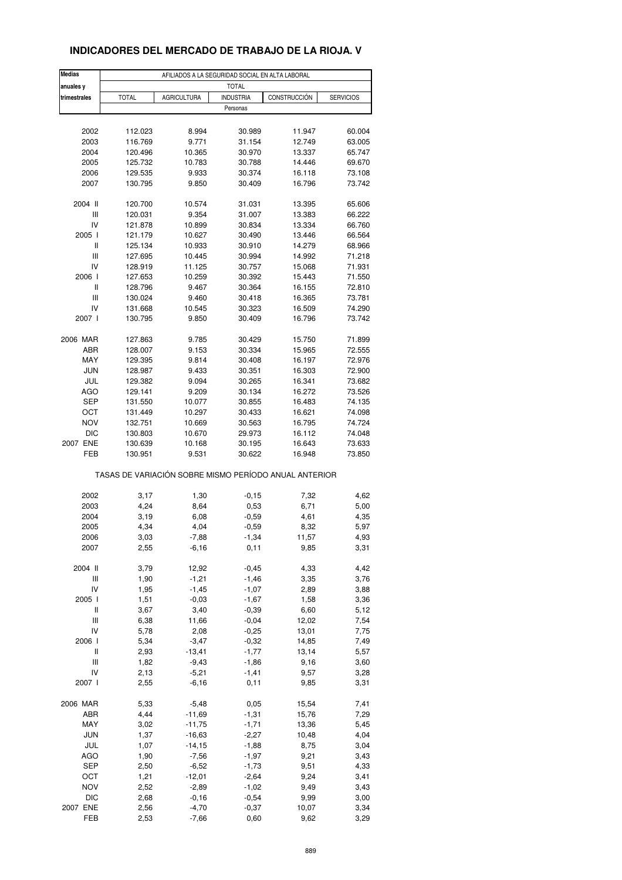### **INDICADORES DEL MERCADO DE TRABAJO DE LA RIOJA. V**

| <b>Medias</b>   |                                                       |                    | AFILIADOS A LA SEGURIDAD SOCIAL EN ALTA LABORAL |                                  |                  |  |  |  |
|-----------------|-------------------------------------------------------|--------------------|-------------------------------------------------|----------------------------------|------------------|--|--|--|
| anuales y       | <b>TOTAL</b>                                          |                    |                                                 |                                  |                  |  |  |  |
| trimestrales    | <b>TOTAL</b>                                          | <b>AGRICULTURA</b> | <b>INDUSTRIA</b>                                | CONSTRUCCIÓN<br><b>SERVICIOS</b> |                  |  |  |  |
|                 |                                                       |                    | Personas                                        |                                  |                  |  |  |  |
|                 |                                                       |                    |                                                 |                                  |                  |  |  |  |
| 2002            | 112.023                                               | 8.994              | 30.989                                          | 11.947                           | 60.004           |  |  |  |
| 2003            | 116.769                                               | 9.771              | 31.154                                          | 12.749                           | 63.005           |  |  |  |
| 2004            | 120.496                                               | 10.365             | 30.970                                          | 13.337                           | 65.747           |  |  |  |
| 2005            | 125.732                                               | 10.783             | 30.788                                          | 14.446                           | 69.670           |  |  |  |
| 2006            | 129.535                                               | 9.933              | 30.374                                          | 16.118                           | 73.108           |  |  |  |
| 2007            | 130.795                                               | 9.850              | 30.409                                          | 16.796                           | 73.742           |  |  |  |
|                 |                                                       |                    |                                                 |                                  |                  |  |  |  |
| 2004 II         | 120.700                                               | 10.574             | 31.031                                          | 13.395                           | 65.606           |  |  |  |
| Ш               | 120.031                                               | 9.354              | 31.007                                          | 13.383                           | 66.222           |  |  |  |
| IV              | 121.878                                               | 10.899             | 30.834                                          | 13.334                           | 66.760           |  |  |  |
| 2005 l          | 121.179                                               | 10.627             | 30.490                                          | 13.446                           | 66.564           |  |  |  |
| $\mathbf{I}$    | 125.134                                               | 10.933             | 30.910                                          | 14.279                           | 68.966           |  |  |  |
| Ш               | 127.695                                               | 10.445             | 30.994                                          | 14.992                           | 71.218           |  |  |  |
| IV              | 128.919                                               | 11.125             | 30.757                                          | 15.068                           | 71.931           |  |  |  |
| 2006 l          | 127.653                                               | 10.259             | 30.392                                          | 15.443                           | 71.550           |  |  |  |
| Ш               | 128.796                                               | 9.467              | 30.364                                          | 16.155                           | 72.810           |  |  |  |
| Ш               | 130.024                                               | 9.460              | 30.418                                          | 16.365                           | 73.781           |  |  |  |
| IV              | 131.668                                               | 10.545             | 30.323                                          | 16.509                           | 74.290           |  |  |  |
| 2007 l          | 130.795                                               | 9.850              | 30.409                                          | 16.796                           | 73.742           |  |  |  |
|                 |                                                       |                    |                                                 |                                  |                  |  |  |  |
| 2006 MAR<br>ABR | 127.863                                               | 9.785              | 30.429                                          | 15.750                           | 71.899           |  |  |  |
| MAY             | 128.007<br>129.395                                    | 9.153              | 30.334                                          | 15.965<br>16.197                 | 72.555<br>72.976 |  |  |  |
|                 |                                                       | 9.814              | 30.408                                          |                                  |                  |  |  |  |
| <b>JUN</b>      | 128.987                                               | 9.433              | 30.351                                          | 16.303                           | 72.900           |  |  |  |
| JUL             | 129.382                                               | 9.094              | 30.265                                          | 16.341                           | 73.682           |  |  |  |
| AGO             | 129.141                                               | 9.209              | 30.134                                          | 16.272                           | 73.526           |  |  |  |
| <b>SEP</b>      | 131.550                                               | 10.077             | 30.855                                          | 16.483                           | 74.135           |  |  |  |
| OCT             | 131.449                                               | 10.297             | 30.433                                          | 16.621                           | 74.098           |  |  |  |
| <b>NOV</b>      | 132.751                                               | 10.669             | 30.563                                          | 16.795                           | 74.724           |  |  |  |
| <b>DIC</b>      | 130.803                                               | 10.670             | 29.973                                          | 16.112                           | 74.048           |  |  |  |
| 2007 ENE<br>FEB | 130.639                                               | 10.168             | 30.195                                          | 16.643<br>16.948                 | 73.633           |  |  |  |
|                 | 130.951                                               | 9.531              | 30.622                                          |                                  | 73.850           |  |  |  |
|                 | TASAS DE VARIACIÓN SOBRE MISMO PERÍODO ANUAL ANTERIOR |                    |                                                 |                                  |                  |  |  |  |
| 2002            |                                                       |                    |                                                 | 7,32                             |                  |  |  |  |
| 2003            | 3,17<br>4,24                                          | 1,30<br>8,64       | $-0,15$<br>0,53                                 | 6,71                             | 4,62<br>5,00     |  |  |  |
| 2004            | 3,19                                                  | 6,08               | $-0,59$                                         | 4,61                             | 4,35             |  |  |  |
| 2005            | 4,34                                                  | 4,04               | $-0,59$                                         | 8,32                             |                  |  |  |  |
|                 |                                                       |                    |                                                 |                                  | 5,97             |  |  |  |
| 2006<br>2007    | 3,03<br>2,55                                          | -7,88<br>$-6,16$   | -1,34<br>0,11                                   | 11,57<br>9,85                    | 4,93<br>3,31     |  |  |  |
|                 |                                                       |                    |                                                 |                                  |                  |  |  |  |
| 2004 II         | 3,79                                                  | 12,92              | $-0,45$                                         | 4,33                             | 4,42             |  |  |  |
| Ш               | 1,90                                                  | $-1,21$            | $-1,46$                                         | 3,35                             | 3,76             |  |  |  |
| IV              | 1,95                                                  | $-1,45$            | $-1,07$                                         | 2,89                             | 3,88             |  |  |  |
| 2005 l          | 1,51                                                  | $-0,03$            | $-1,67$                                         | 1,58                             | 3,36             |  |  |  |
| Ш               | 3,67                                                  | 3,40               | $-0,39$                                         | 6,60                             | 5,12             |  |  |  |
| Ш               | 6,38                                                  | 11,66              | $-0,04$                                         | 12,02                            | 7,54             |  |  |  |
| IV              | 5,78                                                  | 2,08               | $-0,25$                                         | 13,01                            | 7,75             |  |  |  |
| 2006            | 5,34                                                  | $-3,47$            | $-0,32$                                         | 14,85                            | 7,49             |  |  |  |
| Ш               | 2,93                                                  | $-13,41$           | $-1,77$                                         | 13,14                            | 5,57             |  |  |  |
| Ш               | 1,82                                                  | $-9,43$            | $-1,86$                                         | 9,16                             | 3,60             |  |  |  |
| IV              | 2,13                                                  | $-5,21$            | $-1,41$                                         | 9,57                             | 3,28             |  |  |  |
| 2007 l          | 2,55                                                  | $-6,16$            | 0,11                                            | 9,85                             | 3,31             |  |  |  |
|                 |                                                       |                    |                                                 |                                  |                  |  |  |  |
| 2006 MAR        | 5,33                                                  | $-5,48$            | 0,05                                            | 15,54                            | 7,41             |  |  |  |
| ABR             | 4,44                                                  | $-11,69$           | $-1,31$                                         | 15,76                            | 7,29             |  |  |  |
| MAY             | 3,02                                                  | $-11,75$           | $-1,71$                                         | 13,36                            | 5,45             |  |  |  |
| <b>JUN</b>      | 1,37                                                  | $-16,63$           | $-2,27$                                         | 10,48                            | 4,04             |  |  |  |
| JUL             | 1,07                                                  | $-14, 15$          | $-1,88$                                         | 8,75                             | 3,04             |  |  |  |
| AGO             | 1,90                                                  | $-7,56$            | $-1,97$                                         | 9,21                             | 3,43             |  |  |  |
| <b>SEP</b>      | 2,50                                                  | $-6,52$            | $-1,73$                                         | 9,51                             | 4,33             |  |  |  |
| OCT             | 1,21                                                  | $-12,01$           | $-2,64$                                         | 9,24                             | 3,41             |  |  |  |
| <b>NOV</b>      | 2,52                                                  | $-2,89$            | $-1,02$                                         | 9,49                             | 3,43             |  |  |  |
| <b>DIC</b>      | 2,68                                                  | $-0,16$            | $-0,54$                                         | 9,99                             | 3,00             |  |  |  |
| 2007 ENE        | 2,56                                                  | $-4,70$            | $-0,37$                                         | 10,07                            | 3,34             |  |  |  |
| FEB             | 2,53                                                  | $-7,66$            | 0,60                                            | 9,62                             | 3,29             |  |  |  |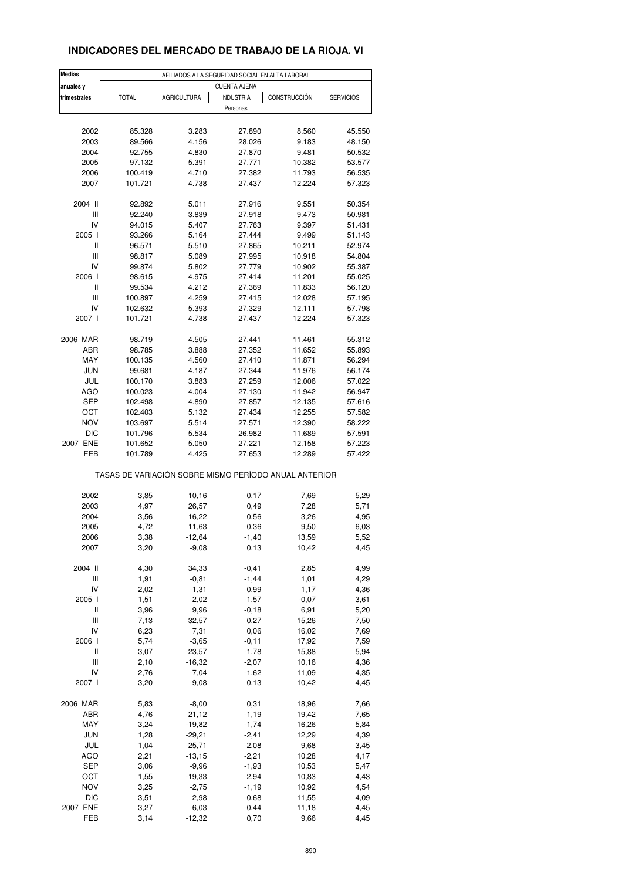## **INDICADORES DEL MERCADO DE TRABAJO DE LA RIOJA. VI**

| Medias<br>anuales y | AFILIADOS A LA SEGURIDAD SOCIAL EN ALTA LABORAL<br><b>CUENTA AJENA</b> |                    |                              |                                                       |                  |  |  |  |  |
|---------------------|------------------------------------------------------------------------|--------------------|------------------------------|-------------------------------------------------------|------------------|--|--|--|--|
|                     |                                                                        |                    |                              |                                                       | <b>SERVICIOS</b> |  |  |  |  |
| trimestrales        | <b>TOTAL</b>                                                           | <b>AGRICULTURA</b> | <b>INDUSTRIA</b><br>Personas | CONSTRUCCIÓN                                          |                  |  |  |  |  |
|                     |                                                                        |                    |                              |                                                       |                  |  |  |  |  |
| 2002                | 85.328                                                                 | 3.283              | 27.890                       | 8.560                                                 | 45.550           |  |  |  |  |
| 2003                | 89.566                                                                 | 4.156              | 28.026                       | 9.183                                                 | 48.150           |  |  |  |  |
| 2004                | 92.755                                                                 | 4.830              | 27.870                       | 9.481                                                 | 50.532           |  |  |  |  |
| 2005                | 97.132                                                                 | 5.391              | 27.771                       | 10.382                                                | 53.577           |  |  |  |  |
| 2006                | 100.419                                                                | 4.710              | 27.382                       | 11.793                                                | 56.535           |  |  |  |  |
| 2007                | 101.721                                                                | 4.738              | 27.437                       | 12.224                                                | 57.323           |  |  |  |  |
| 2004 II             | 92.892                                                                 | 5.011              | 27.916                       | 9.551                                                 | 50.354           |  |  |  |  |
| Ш                   | 92.240                                                                 | 3.839              | 27.918                       | 9.473                                                 | 50.981           |  |  |  |  |
| IV                  | 94.015                                                                 | 5.407              | 27.763                       | 9.397                                                 | 51.431           |  |  |  |  |
| 2005 l              | 93.266                                                                 | 5.164              | 27.444                       | 9.499                                                 | 51.143           |  |  |  |  |
| Ш                   | 96.571                                                                 | 5.510              | 27.865                       | 10.211                                                | 52.974           |  |  |  |  |
| Ш                   | 98.817                                                                 | 5.089              | 27.995                       | 10.918                                                | 54.804           |  |  |  |  |
| IV                  | 99.874                                                                 | 5.802              | 27.779                       | 10.902                                                | 55.387           |  |  |  |  |
| 2006                | 98.615                                                                 | 4.975              | 27.414                       | 11.201                                                | 55.025           |  |  |  |  |
| Ш                   | 99.534                                                                 | 4.212              | 27.369                       | 11.833                                                | 56.120           |  |  |  |  |
| Ш                   | 100.897                                                                | 4.259              | 27.415                       | 12.028                                                | 57.195           |  |  |  |  |
| IV                  | 102.632                                                                | 5.393              | 27.329                       | 12.111                                                | 57.798           |  |  |  |  |
| 2007 l              | 101.721                                                                | 4.738              | 27.437                       | 12.224                                                | 57.323           |  |  |  |  |
| 2006 MAR            | 98.719                                                                 | 4.505              | 27.441                       | 11.461                                                | 55.312           |  |  |  |  |
| ABR                 | 98.785                                                                 | 3.888              | 27.352                       | 11.652                                                | 55.893           |  |  |  |  |
| MAY                 | 100.135                                                                | 4.560              | 27.410                       | 11.871                                                | 56.294           |  |  |  |  |
| <b>JUN</b>          | 99.681                                                                 | 4.187              | 27.344                       | 11.976                                                | 56.174           |  |  |  |  |
| JUL                 | 100.170                                                                | 3.883              | 27.259                       | 12.006                                                | 57.022           |  |  |  |  |
| AGO                 | 100.023                                                                | 4.004              | 27.130                       | 11.942                                                | 56.947           |  |  |  |  |
| <b>SEP</b>          |                                                                        |                    |                              |                                                       |                  |  |  |  |  |
|                     | 102.498                                                                | 4.890              | 27.857                       | 12.135                                                | 57.616           |  |  |  |  |
| OCT                 | 102.403                                                                | 5.132              | 27.434                       | 12.255                                                | 57.582           |  |  |  |  |
| <b>NOV</b>          | 103.697                                                                | 5.514              | 27.571                       | 12.390                                                | 58.222           |  |  |  |  |
| <b>DIC</b>          | 101.796                                                                | 5.534              | 26.982                       | 11.689                                                | 57.591           |  |  |  |  |
| 2007 ENE            | 101.652                                                                | 5.050              | 27.221                       | 12.158                                                | 57.223           |  |  |  |  |
| FEB                 | 101.789                                                                | 4.425              | 27.653                       | 12.289                                                | 57.422           |  |  |  |  |
|                     |                                                                        |                    |                              | TASAS DE VARIACIÓN SOBRE MISMO PERÍODO ANUAL ANTERIOR |                  |  |  |  |  |
| 2002                | 3,85                                                                   | 10,16              | $-0,17$                      | 7,69                                                  | 5,29             |  |  |  |  |
| 2003                | 4,97                                                                   | 26,57              | 0,49                         | 7,28                                                  | 5,71             |  |  |  |  |
| 2004                | 3,56                                                                   | 16,22              | $-0,56$                      | 3,26                                                  | 4,95             |  |  |  |  |
| 2005                | 4,72                                                                   | 11,63              | $-0,36$                      | 9,50                                                  | 6,03             |  |  |  |  |
| 2006                | 3,38                                                                   | $-12,64$           | $-1,40$                      | 13,59                                                 | 5,52             |  |  |  |  |
| 2007                | 3,20                                                                   | $-9,08$            | 0,13                         | 10,42                                                 | 4,45             |  |  |  |  |
| 2004 II             | 4,30                                                                   | 34,33              | $-0,41$                      | 2,85                                                  | 4,99             |  |  |  |  |
| Ш                   | 1,91                                                                   | $-0,81$            | $-1,44$                      | 1,01                                                  | 4,29             |  |  |  |  |
| IV                  | 2,02                                                                   | $-1,31$            | $-0,99$                      | 1,17                                                  | 4,36             |  |  |  |  |
| 2005 l              | 1,51                                                                   | 2,02               | $-1,57$                      | $-0,07$                                               | 3,61             |  |  |  |  |
| Ш                   | 3,96                                                                   | 9,96               | $-0,18$                      | 6,91                                                  | 5,20             |  |  |  |  |
| Ш                   | 7,13                                                                   | 32,57              | 0,27                         | 15,26                                                 | 7,50             |  |  |  |  |
| IV                  | 6,23                                                                   | 7,31               | 0,06                         | 16,02                                                 | 7,69             |  |  |  |  |
|                     |                                                                        |                    |                              |                                                       |                  |  |  |  |  |
| 2006 l              | 5,74                                                                   | $-3,65$            | $-0, 11$                     | 17,92                                                 | 7,59             |  |  |  |  |
| Ш                   | 3,07                                                                   | $-23,57$           | $-1,78$                      | 15,88                                                 | 5,94             |  |  |  |  |
| Ш                   | 2,10                                                                   | $-16,32$           | $-2,07$                      | 10,16                                                 | 4,36             |  |  |  |  |
| IV                  | 2,76                                                                   | $-7,04$            | $-1,62$                      | 11,09                                                 | 4,35             |  |  |  |  |
| 2007 l              | 3,20                                                                   | $-9,08$            | 0,13                         | 10,42                                                 | 4,45             |  |  |  |  |
| 2006 MAR            | 5,83                                                                   | $-8,00$            | 0,31                         | 18,96                                                 | 7,66             |  |  |  |  |
| ABR                 | 4,76                                                                   | $-21,12$           | $-1,19$                      | 19,42                                                 | 7,65             |  |  |  |  |
| MAY                 | 3,24                                                                   | $-19,82$           | $-1,74$                      | 16,26                                                 | 5,84             |  |  |  |  |
| <b>JUN</b>          | 1,28                                                                   | $-29,21$           | $-2,41$                      | 12,29                                                 | 4,39             |  |  |  |  |
| JUL                 | 1,04                                                                   | $-25,71$           | $-2,08$                      | 9,68                                                  | 3,45             |  |  |  |  |
| <b>AGO</b>          | 2,21                                                                   | $-13,15$           | $-2,21$                      | 10,28                                                 | 4,17             |  |  |  |  |
| SEP                 | 3,06                                                                   | $-9,96$            | $-1,93$                      | 10,53                                                 | 5,47             |  |  |  |  |
| ост                 | 1,55                                                                   | $-19,33$           | $-2,94$                      | 10,83                                                 | 4,43             |  |  |  |  |
| <b>NOV</b>          | 3,25                                                                   | $-2,75$            | $-1,19$                      | 10,92                                                 | 4,54             |  |  |  |  |
| <b>DIC</b>          | 3,51                                                                   | 2,98               | $-0,68$                      | 11,55                                                 | 4,09             |  |  |  |  |
| 2007 ENE            | 3,27                                                                   | $-6,03$            | $-0,44$                      | 11,18                                                 | 4,45             |  |  |  |  |
| FEB                 | 3,14                                                                   | $-12,32$           | 0,70                         | 9,66                                                  | 4,45             |  |  |  |  |
|                     |                                                                        |                    |                              |                                                       |                  |  |  |  |  |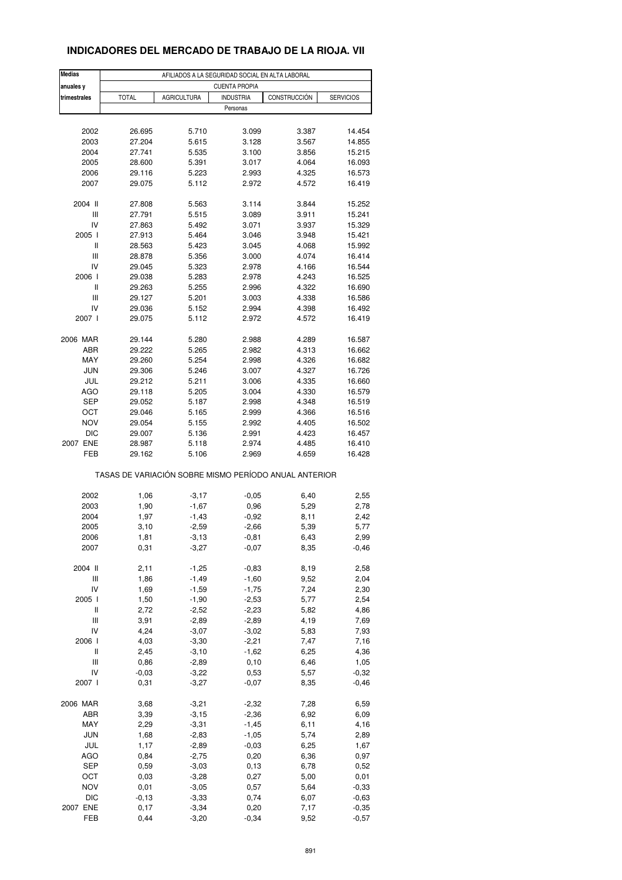### **INDICADORES DEL MERCADO DE TRABAJO DE LA RIOJA. VII**

| <b>Medias</b><br>anuales y         | AFILIADOS A LA SEGURIDAD SOCIAL EN ALTA LABORAL<br><b>CUENTA PROPIA</b> |                    |          |                                                       |         |  |  |  |  |
|------------------------------------|-------------------------------------------------------------------------|--------------------|----------|-------------------------------------------------------|---------|--|--|--|--|
| trimestrales                       | <b>TOTAL</b>                                                            | <b>AGRICULTURA</b> |          | <b>INDUSTRIA</b><br>CONSTRUCCIÓN<br><b>SERVICIOS</b>  |         |  |  |  |  |
|                                    |                                                                         |                    | Personas |                                                       |         |  |  |  |  |
|                                    |                                                                         |                    |          |                                                       |         |  |  |  |  |
| 2002                               | 26.695                                                                  | 5.710              | 3.099    | 3.387                                                 | 14.454  |  |  |  |  |
| 2003                               | 27.204                                                                  | 5.615              | 3.128    | 3.567                                                 | 14.855  |  |  |  |  |
| 2004                               | 27.741                                                                  | 5.535              | 3.100    | 3.856                                                 | 15.215  |  |  |  |  |
| 2005                               | 28.600                                                                  | 5.391              | 3.017    | 4.064                                                 | 16.093  |  |  |  |  |
| 2006                               | 29.116                                                                  | 5.223              | 2.993    | 4.325                                                 | 16.573  |  |  |  |  |
| 2007                               | 29.075                                                                  | 5.112              | 2.972    | 4.572                                                 | 16.419  |  |  |  |  |
| 2004 II                            | 27.808                                                                  | 5.563              | 3.114    | 3.844                                                 | 15.252  |  |  |  |  |
| Ш                                  | 27.791                                                                  | 5.515              | 3.089    | 3.911                                                 | 15.241  |  |  |  |  |
| IV                                 | 27.863                                                                  | 5.492              | 3.071    | 3.937                                                 | 15.329  |  |  |  |  |
| 2005 l                             | 27.913                                                                  | 5.464              | 3.046    | 3.948                                                 | 15.421  |  |  |  |  |
| Ш                                  | 28.563                                                                  | 5.423              | 3.045    | 4.068                                                 | 15.992  |  |  |  |  |
| Ш                                  | 28.878                                                                  | 5.356              | 3.000    | 4.074                                                 | 16.414  |  |  |  |  |
| IV                                 |                                                                         |                    |          |                                                       |         |  |  |  |  |
|                                    | 29.045                                                                  | 5.323              | 2.978    | 4.166                                                 | 16.544  |  |  |  |  |
| 2006                               | 29.038                                                                  | 5.283              | 2.978    | 4.243                                                 | 16.525  |  |  |  |  |
| Ш                                  | 29.263                                                                  | 5.255              | 2.996    | 4.322                                                 | 16.690  |  |  |  |  |
| $\ensuremath{\mathsf{III}}\xspace$ | 29.127                                                                  | 5.201              | 3.003    | 4.338                                                 | 16.586  |  |  |  |  |
| IV                                 | 29.036                                                                  | 5.152              | 2.994    | 4.398                                                 | 16.492  |  |  |  |  |
| 2007 l                             | 29.075                                                                  | 5.112              | 2.972    | 4.572                                                 | 16.419  |  |  |  |  |
| 2006 MAR                           | 29.144                                                                  | 5.280              | 2.988    | 4.289                                                 | 16.587  |  |  |  |  |
| ABR                                | 29.222                                                                  | 5.265              | 2.982    | 4.313                                                 | 16.662  |  |  |  |  |
| MAY                                | 29.260                                                                  | 5.254              | 2.998    | 4.326                                                 | 16.682  |  |  |  |  |
| <b>JUN</b>                         | 29.306                                                                  | 5.246              | 3.007    | 4.327                                                 | 16.726  |  |  |  |  |
| JUL                                | 29.212                                                                  | 5.211              | 3.006    | 4.335                                                 | 16.660  |  |  |  |  |
| AGO                                | 29.118                                                                  | 5.205              | 3.004    | 4.330                                                 | 16.579  |  |  |  |  |
| <b>SEP</b>                         |                                                                         | 5.187              |          | 4.348                                                 |         |  |  |  |  |
|                                    | 29.052                                                                  |                    | 2.998    |                                                       | 16.519  |  |  |  |  |
| ОСТ                                | 29.046                                                                  | 5.165              | 2.999    | 4.366                                                 | 16.516  |  |  |  |  |
| <b>NOV</b>                         | 29.054                                                                  | 5.155              | 2.992    | 4.405                                                 | 16.502  |  |  |  |  |
| <b>DIC</b>                         | 29.007                                                                  | 5.136              | 2.991    | 4.423                                                 | 16.457  |  |  |  |  |
| 2007 ENE                           | 28.987                                                                  | 5.118              | 2.974    | 4.485                                                 | 16.410  |  |  |  |  |
| FEB                                | 29.162                                                                  | 5.106              | 2.969    | 4.659                                                 | 16.428  |  |  |  |  |
|                                    |                                                                         |                    |          | TASAS DE VARIACIÓN SOBRE MISMO PERÍODO ANUAL ANTERIOR |         |  |  |  |  |
| 2002                               | 1,06                                                                    | $-3,17$            | $-0,05$  | 6,40                                                  | 2,55    |  |  |  |  |
| 2003                               | 1,90                                                                    | $-1,67$            | 0,96     | 5,29                                                  | 2,78    |  |  |  |  |
| 2004                               | 1,97                                                                    | $-1,43$            | $-0,92$  | 8,11                                                  | 2,42    |  |  |  |  |
| 2005                               | 3,10                                                                    | $-2,59$            | $-2,66$  | 5,39                                                  | 5,77    |  |  |  |  |
| 2006                               | 1,81                                                                    | $-3,13$            | $-0,81$  | 6,43                                                  | 2,99    |  |  |  |  |
| 2007                               | 0,31                                                                    | $-3,27$            | $-0,07$  | 8,35                                                  | $-0,46$ |  |  |  |  |
|                                    |                                                                         |                    |          |                                                       |         |  |  |  |  |
| 2004 II                            | 2,11                                                                    | $-1,25$            | $-0,83$  | 8,19                                                  | 2,58    |  |  |  |  |
| Ш                                  | 1,86                                                                    | $-1,49$            | $-1,60$  | 9,52                                                  | 2,04    |  |  |  |  |
| IV                                 | 1,69                                                                    | $-1,59$            | $-1,75$  | 7,24                                                  | 2,30    |  |  |  |  |
| 2005 l                             | 1,50                                                                    | $-1,90$            | $-2,53$  | 5,77                                                  | 2,54    |  |  |  |  |
| Ш                                  | 2,72                                                                    | $-2,52$            | $-2,23$  | 5,82                                                  | 4,86    |  |  |  |  |
| Ш                                  | 3,91                                                                    | $-2,89$            | $-2,89$  | 4,19                                                  | 7,69    |  |  |  |  |
| IV                                 | 4,24                                                                    | $-3,07$            | $-3,02$  | 5,83                                                  | 7,93    |  |  |  |  |
| 2006 l                             | 4,03                                                                    | $-3,30$            | $-2,21$  | 7,47                                                  | 7,16    |  |  |  |  |
| $\sf II$                           | 2,45                                                                    | $-3,10$            | $-1,62$  | 6,25                                                  | 4,36    |  |  |  |  |
| Ш                                  | 0,86                                                                    | $-2,89$            | 0,10     | 6,46                                                  | 1,05    |  |  |  |  |
| IV                                 | $-0,03$                                                                 | $-3,22$            | 0,53     | 5,57                                                  | $-0,32$ |  |  |  |  |
| 2007 l                             | 0,31                                                                    | $-3,27$            | $-0,07$  | 8,35                                                  | $-0,46$ |  |  |  |  |
|                                    |                                                                         |                    |          |                                                       |         |  |  |  |  |
| 2006 MAR                           | 3,68                                                                    | $-3,21$            | $-2,32$  | 7,28                                                  | 6,59    |  |  |  |  |
| ABR                                | 3,39                                                                    | $-3, 15$           | $-2,36$  | 6,92                                                  | 6,09    |  |  |  |  |
| MAY                                | 2,29                                                                    | $-3,31$            | $-1,45$  | 6,11                                                  | 4,16    |  |  |  |  |
| <b>JUN</b>                         | 1,68                                                                    | $-2,83$            | $-1,05$  | 5,74                                                  | 2,89    |  |  |  |  |
| JUL                                | 1,17                                                                    | $-2,89$            | $-0,03$  | 6,25                                                  | 1,67    |  |  |  |  |
| <b>AGO</b>                         | 0,84                                                                    | $-2,75$            | 0,20     | 6,36                                                  | 0,97    |  |  |  |  |
| <b>SEP</b>                         | 0,59                                                                    | $-3,03$            | 0, 13    | 6,78                                                  | 0,52    |  |  |  |  |
| OCT                                | 0,03                                                                    | $-3,28$            | 0,27     | 5,00                                                  | 0,01    |  |  |  |  |
| <b>NOV</b>                         | 0,01                                                                    | $-3,05$            | 0,57     | 5,64                                                  | $-0,33$ |  |  |  |  |
| <b>DIC</b>                         | $-0, 13$                                                                | $-3,33$            | 0,74     | 6,07                                                  | $-0,63$ |  |  |  |  |
| 2007 ENE                           | 0,17                                                                    | $-3,34$            | 0,20     | 7,17                                                  | $-0,35$ |  |  |  |  |
| FEB                                | 0,44                                                                    | $-3,20$            | $-0,34$  | 9,52                                                  | $-0,57$ |  |  |  |  |
|                                    |                                                                         |                    |          |                                                       |         |  |  |  |  |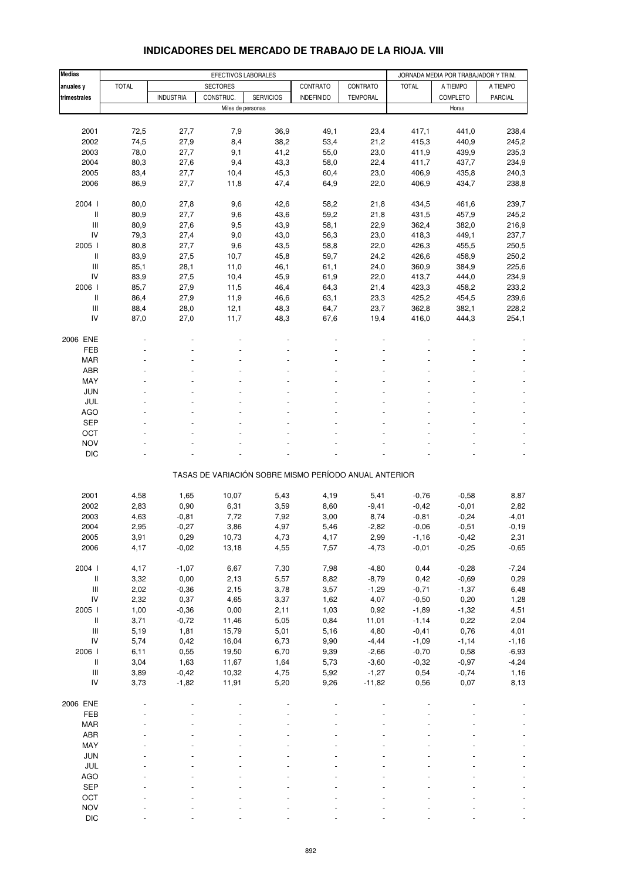| Medias                                               |              |                  | EFECTIVOS LABORALES |                  |                                                       |                 | JORNADA MEDIA POR TRABAJADOR Y TRIM. |                    |                 |
|------------------------------------------------------|--------------|------------------|---------------------|------------------|-------------------------------------------------------|-----------------|--------------------------------------|--------------------|-----------------|
| anuales y                                            | <b>TOTAL</b> |                  | <b>SECTORES</b>     |                  | CONTRATO                                              | CONTRATO        | <b>TOTAL</b>                         | A TIEMPO           | A TIEMPO        |
| trimestrales                                         |              | <b>INDUSTRIA</b> | CONSTRUC.           | <b>SERVICIOS</b> | <b>INDEFINIDO</b>                                     | <b>TEMPORAL</b> |                                      | COMPLETO           | PARCIAL         |
|                                                      |              |                  | Miles de personas   |                  |                                                       |                 |                                      | Horas              |                 |
|                                                      |              |                  |                     |                  |                                                       |                 |                                      |                    |                 |
| 2001                                                 | 72,5         | 27,7             | 7,9                 | 36,9             | 49,1                                                  | 23,4            | 417,1                                | 441,0              | 238,4           |
| 2002                                                 | 74,5         | 27,9             | 8,4                 | 38,2             | 53,4                                                  | 21,2            | 415,3                                | 440,9              | 245,2           |
| 2003                                                 | 78,0         | 27,7             | 9,1                 | 41,2             | 55,0                                                  | 23,0            | 411,9                                | 439,9              | 235,3           |
| 2004                                                 | 80,3         | 27,6             | 9,4                 | 43,3             | 58,0                                                  | 22,4            | 411,7                                | 437,7              | 234,9           |
| 2005                                                 | 83,4         | 27,7             | 10,4                | 45,3             | 60,4                                                  | 23,0            | 406,9                                | 435,8              | 240,3           |
| 2006                                                 | 86,9         | 27,7             | 11,8                | 47,4             | 64,9                                                  | 22,0            | 406,9                                | 434,7              | 238,8           |
| 2004 l                                               | 80,0         | 27,8             | 9,6                 | 42,6             | 58,2                                                  | 21,8            | 434,5                                | 461,6              | 239,7           |
| Ш                                                    | 80,9         | 27,7             | 9,6                 | 43,6             | 59,2                                                  | 21,8            | 431,5                                | 457,9              | 245,2           |
| Ш                                                    | 80,9         | 27,6             | 9,5                 | 43,9             | 58,1                                                  | 22,9            | 362,4                                | 382,0              | 216,9           |
| IV                                                   | 79,3         | 27,4             | 9,0                 | 43,0             | 56,3                                                  | 23,0            | 418,3                                | 449,1              | 237,7           |
| 2005 l                                               | 80,8         | 27,7             | 9,6                 | 43,5             | 58,8                                                  | 22,0            | 426,3                                | 455,5              | 250,5           |
| Ш                                                    | 83,9         | 27,5             | 10,7                | 45,8             | 59,7                                                  | 24,2            | 426,6                                | 458,9              | 250,2           |
| $\ensuremath{\mathsf{III}}\xspace$                   | 85,1         | 28,1             | 11,0                | 46,1             | 61,1                                                  | 24,0            | 360,9                                | 384,9              | 225,6           |
| IV                                                   | 83,9         | 27,5             | 10,4                | 45,9             | 61,9                                                  | 22,0            | 413,7                                | 444,0              | 234,9           |
| 2006 l                                               | 85,7         | 27,9             | 11,5                | 46,4             | 64,3                                                  | 21,4            | 423,3                                | 458,2              | 233,2           |
| $\, \parallel$                                       | 86,4         | 27,9             | 11,9                | 46,6             | 63,1                                                  | 23,3            | 425,2                                | 454,5              | 239,6           |
| Ш                                                    | 88,4         | 28,0             | 12,1                | 48,3             | 64,7                                                  | 23,7            | 362,8                                | 382,1              | 228,2           |
| IV                                                   | 87,0         | 27,0             | 11,7                | 48,3             | 67,6                                                  | 19,4            | 416,0                                | 444,3              | 254,1           |
| 2006 ENE                                             |              |                  |                     |                  |                                                       |                 |                                      |                    |                 |
| <b>FEB</b>                                           |              |                  |                     |                  |                                                       |                 |                                      |                    |                 |
| <b>MAR</b>                                           |              |                  |                     |                  |                                                       |                 |                                      |                    |                 |
| ABR                                                  |              |                  |                     |                  |                                                       |                 |                                      |                    |                 |
| MAY                                                  |              |                  |                     |                  |                                                       |                 |                                      |                    |                 |
| <b>JUN</b>                                           |              |                  |                     |                  |                                                       |                 |                                      |                    |                 |
| JUL                                                  |              |                  |                     |                  |                                                       |                 |                                      |                    |                 |
| <b>AGO</b>                                           |              |                  |                     |                  |                                                       |                 |                                      |                    |                 |
| <b>SEP</b>                                           |              |                  |                     |                  |                                                       |                 |                                      |                    |                 |
| OCT                                                  |              |                  |                     |                  |                                                       |                 |                                      |                    |                 |
| <b>NOV</b>                                           |              |                  |                     |                  |                                                       |                 |                                      |                    |                 |
| <b>DIC</b>                                           |              |                  |                     |                  |                                                       |                 |                                      |                    |                 |
|                                                      |              |                  |                     |                  | TASAS DE VARIACIÓN SOBRE MISMO PERÍODO ANUAL ANTERIOR |                 |                                      |                    |                 |
|                                                      |              |                  |                     |                  |                                                       |                 |                                      |                    |                 |
| 2001                                                 | 4,58         | 1,65<br>0,90     | 10,07               | 5,43             | 4,19                                                  | 5,41            | $-0,76$                              | $-0,58$            | 8,87            |
| 2002<br>2003                                         | 2,83<br>4,63 | $-0,81$          | 6,31<br>7,72        | 3,59<br>7,92     | 8,60<br>3,00                                          | $-9,41$         | $-0,42$<br>$-0,81$                   | $-0,01$<br>$-0,24$ | 2,82<br>$-4,01$ |
| 2004                                                 | 2,95         | $-0,27$          | 3,86                | 4,97             | 5,46                                                  | 8,74<br>$-2,82$ | $-0,06$                              | $-0,51$            | $-0,19$         |
| 2005                                                 | 3,91         | 0,29             | 10,73               | 4,73             | 4,17                                                  | 2,99            | $-1,16$                              | $-0,42$            | 2,31            |
| 2006                                                 | 4,17         | $-0,02$          | 13,18               | 4,55             | 7,57                                                  | $-4,73$         | $-0,01$                              | $-0,25$            | $-0,65$         |
|                                                      |              |                  |                     |                  |                                                       |                 |                                      |                    |                 |
| 2004 l                                               | 4,17         | $-1,07$          | 6,67                | 7,30             | 7,98                                                  | $-4,80$         | 0,44                                 | $-0,28$            | $-7,24$         |
| $\, \parallel$                                       | 3,32         | 0,00             | 2,13                | 5,57             | 8,82                                                  | $-8,79$         | 0,42                                 | $-0,69$            | 0,29            |
| $\ensuremath{\mathsf{III}}\xspace$                   | 2,02         | $-0,36$          | 2,15                | 3,78             | 3,57                                                  | $-1,29$         | $-0,71$                              | $-1,37$            | 6,48            |
| ${\sf IV}$                                           | 2,32         | 0,37             | 4,65                | 3,37             | 1,62                                                  | 4,07            | $-0,50$                              | 0,20               | 1,28            |
| 2005 l                                               | 1,00         | $-0,36$          | 0,00                | 2,11             | 1,03                                                  | 0,92            | $-1,89$                              | $-1,32$            | 4,51            |
| $\, \parallel$<br>$\ensuremath{\mathsf{III}}\xspace$ | 3,71         | $-0,72$          | 11,46               | 5,05             | 0,84                                                  | 11,01           | $-1,14$                              | 0,22               | 2,04            |
| IV                                                   | 5,19<br>5,74 | 1,81<br>0,42     | 15,79<br>16,04      | 5,01<br>6,73     | 5,16<br>9,90                                          | 4,80<br>$-4,44$ | $-0,41$<br>$-1,09$                   | 0,76<br>$-1,14$    | 4,01<br>$-1,16$ |
| 2006 l                                               | 6,11         | 0,55             | 19,50               | 6,70             | 9,39                                                  | $-2,66$         | $-0,70$                              | 0,58               | $-6,93$         |
| $\, \parallel$                                       | 3,04         | 1,63             | 11,67               | 1,64             | 5,73                                                  | $-3,60$         | $-0,32$                              | $-0,97$            | $-4,24$         |
| $\ensuremath{\mathsf{III}}\xspace$                   | 3,89         | $-0,42$          | 10,32               | 4,75             | 5,92                                                  | $-1,27$         | 0,54                                 | $-0,74$            | 1,16            |
| IV                                                   | 3,73         | $-1,82$          | 11,91               | 5,20             | 9,26                                                  | $-11,82$        | 0,56                                 | 0,07               | 8,13            |
|                                                      |              |                  |                     |                  |                                                       |                 |                                      |                    |                 |
| 2006 ENE<br>FEB                                      |              |                  |                     |                  |                                                       |                 |                                      |                    |                 |
| <b>MAR</b>                                           |              |                  |                     |                  |                                                       |                 |                                      |                    |                 |
| ABR                                                  |              |                  |                     |                  |                                                       |                 |                                      |                    |                 |
| MAY                                                  |              |                  |                     |                  |                                                       |                 |                                      |                    | ÷,              |
| JUN                                                  |              |                  |                     |                  |                                                       |                 |                                      |                    |                 |
| JUL                                                  |              |                  |                     |                  |                                                       |                 |                                      |                    |                 |
| AGO                                                  |              |                  |                     |                  |                                                       |                 |                                      |                    | $\frac{1}{2}$   |
| SEP                                                  |              |                  |                     |                  |                                                       |                 |                                      |                    |                 |
| OCT                                                  |              |                  |                     |                  |                                                       |                 |                                      |                    |                 |
| <b>NOV</b>                                           |              |                  |                     |                  |                                                       |                 |                                      |                    |                 |

#### **INDICADORES DEL MERCADO DE TRABAJO DE LA RIOJA. VIII**

DIC - - - - - - - - -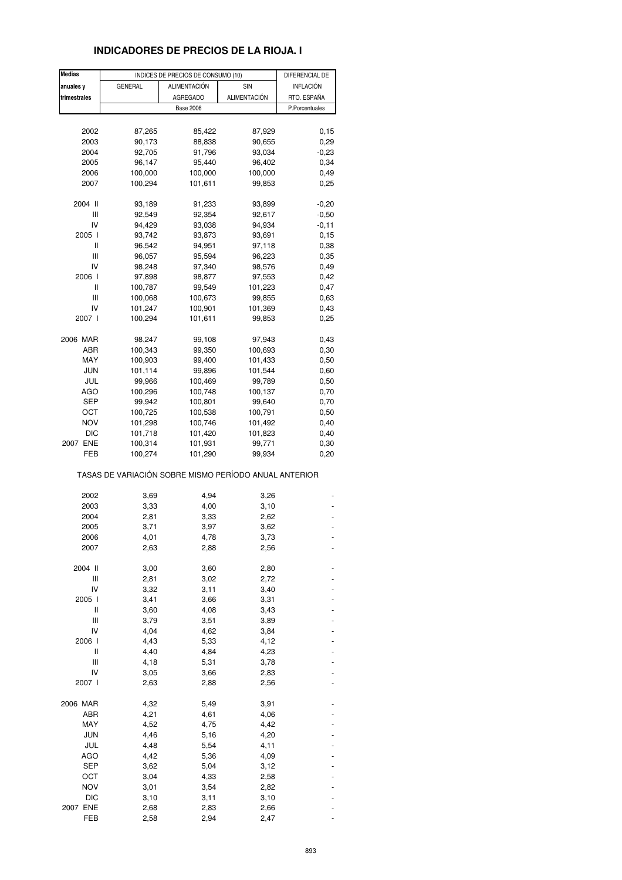## **INDICADORES DE PRECIOS DE LA RIOJA. I**

| <b>Medias</b> |                                                       | INDICES DE PRECIOS DE CONSUMO (10) |              | DIFERENCIAL DE   |
|---------------|-------------------------------------------------------|------------------------------------|--------------|------------------|
| anuales y     | <b>GENERAL</b>                                        | <b>ALIMENTACIÓN</b>                | SIN          | <b>INFLACIÓN</b> |
| trimestrales  |                                                       | <b>AGREGADO</b>                    | ALIMENTACIÓN | RTO. ESPAÑA      |
|               |                                                       | <b>Base 2006</b>                   |              | P.Porcentuales   |
|               |                                                       |                                    |              |                  |
| 2002          | 87,265                                                | 85,422                             | 87,929       | 0,15             |
| 2003          | 90,173                                                | 88,838                             | 90,655       | 0,29             |
| 2004          | 92,705                                                | 91,796                             | 93,034       | $-0,23$          |
| 2005          | 96,147                                                | 95,440                             | 96,402       | 0,34             |
| 2006          | 100,000                                               | 100,000                            | 100,000      | 0,49             |
| 2007          | 100,294                                               | 101,611                            | 99,853       | 0,25             |
|               |                                                       |                                    |              |                  |
| 2004 II       | 93,189                                                | 91,233                             | 93,899       | $-0,20$          |
| Ш             | 92,549                                                | 92,354                             | 92,617       | $-0,50$          |
| IV            | 94,429                                                | 93,038                             | 94,934       | $-0,11$          |
| 2005 l        | 93,742                                                | 93,873                             | 93,691       | 0, 15            |
| Ш             | 96,542                                                | 94,951                             | 97,118       | 0,38             |
| Ш             | 96,057                                                | 95,594                             | 96,223       | 0,35             |
| IV            | 98,248                                                | 97,340                             | 98,576       | 0,49             |
| 2006 l        | 97,898                                                | 98,877                             | 97,553       | 0,42             |
| Ш             | 100,787                                               | 99,549                             | 101,223      | 0,47             |
| Ш             | 100,068                                               | 100,673                            | 99,855       | 0,63             |
|               |                                                       |                                    |              |                  |
| IV            | 101,247                                               | 100,901                            | 101,369      | 0,43             |
| 2007 l        | 100,294                                               | 101,611                            | 99,853       | 0,25             |
| 2006 MAR      | 98,247                                                | 99,108                             | 97,943       | 0,43             |
| ABR           | 100,343                                               | 99,350                             | 100,693      | 0,30             |
| MAY           | 100,903                                               | 99,400                             | 101,433      | 0,50             |
| JUN           | 101,114                                               | 99,896                             | 101,544      |                  |
|               |                                                       |                                    |              | 0,60             |
| JUL           | 99,966                                                | 100,469                            | 99,789       | 0,50             |
| AGO           | 100,296                                               | 100,748                            | 100,137      | 0,70             |
| SEP           | 99,942                                                | 100,801                            | 99,640       | 0,70             |
| OCT           | 100,725                                               | 100,538                            | 100,791      | 0,50             |
| NOV           | 101,298                                               | 100,746                            | 101,492      | 0,40             |
| <b>DIC</b>    | 101,718                                               | 101,420                            | 101,823      | 0,40             |
| 2007 ENE      | 100,314                                               | 101,931                            | 99,771       | 0,30             |
| FEB           | 100,274                                               | 101,290                            | 99,934       | 0,20             |
|               | TASAS DE VARIACIÓN SOBRE MISMO PERÍODO ANUAL ANTERIOR |                                    |              |                  |
| 2002          | 3,69                                                  | 4,94                               |              |                  |
|               | 3,33                                                  |                                    | 3,26<br>3,10 |                  |
| 2003          |                                                       | 4,00                               |              |                  |
| 2004          | 2,81                                                  | 3,33                               | 2,62         |                  |
| 2005          | 3,71                                                  | 3,97                               | 3,62         |                  |
| 2006          | 4,01                                                  | 4,78                               | 3,73         |                  |
| 2007          | 2,63                                                  | 2,88                               | 2,56         |                  |
| 2004 II       | 3,00                                                  | 3,60                               | 2,80         |                  |
| Ш             | 2,81                                                  | 3,02                               | 2,72         |                  |
| IV            | 3,32                                                  | 3,11                               | 3,40         |                  |
| 2005 l        | 3,41                                                  | 3,66                               | 3,31         |                  |
| Ш             | 3,60                                                  | 4,08                               | 3,43         |                  |
| Ш             | 3,79                                                  | 3,51                               | 3,89         |                  |
| IV            |                                                       |                                    |              |                  |
| 2006 l        | 4,04                                                  | 4,62                               | 3,84         |                  |
|               | 4,43                                                  | 5,33                               | 4,12         |                  |
| Ш             | 4,40                                                  | 4,84                               | 4,23         |                  |
| Ш             | 4,18                                                  | 5,31                               | 3,78         |                  |
| IV            | 3,05                                                  | 3,66                               | 2,83         |                  |
| 2007 l        | 2,63                                                  | 2,88                               | 2,56         |                  |
| 2006 MAR      | 4,32                                                  | 5,49                               | 3,91         |                  |
| ABR           | 4,21                                                  | 4,61                               | 4,06         |                  |
| MAY           | 4,52                                                  |                                    |              |                  |
| <b>JUN</b>    | 4,46                                                  | 4,75                               | 4,42         |                  |
|               |                                                       | 5,16                               | 4,20         |                  |
| JUL           | 4,48                                                  | 5,54                               | 4,11         |                  |
| <b>AGO</b>    | 4,42                                                  | 5,36                               | 4,09         |                  |
| SEP           | 3,62                                                  | 5,04                               | 3,12         |                  |
| OCT           | 3,04                                                  | 4,33                               | 2,58         |                  |
| <b>NOV</b>    | 3,01                                                  | 3,54                               | 2,82         |                  |
| DIC           | 3,10                                                  | 3,11                               | 3,10         |                  |
| 2007 ENE      | 2,68                                                  | 2,83                               | 2,66         |                  |
| FEB           | 2,58                                                  | 2,94                               | 2,47         |                  |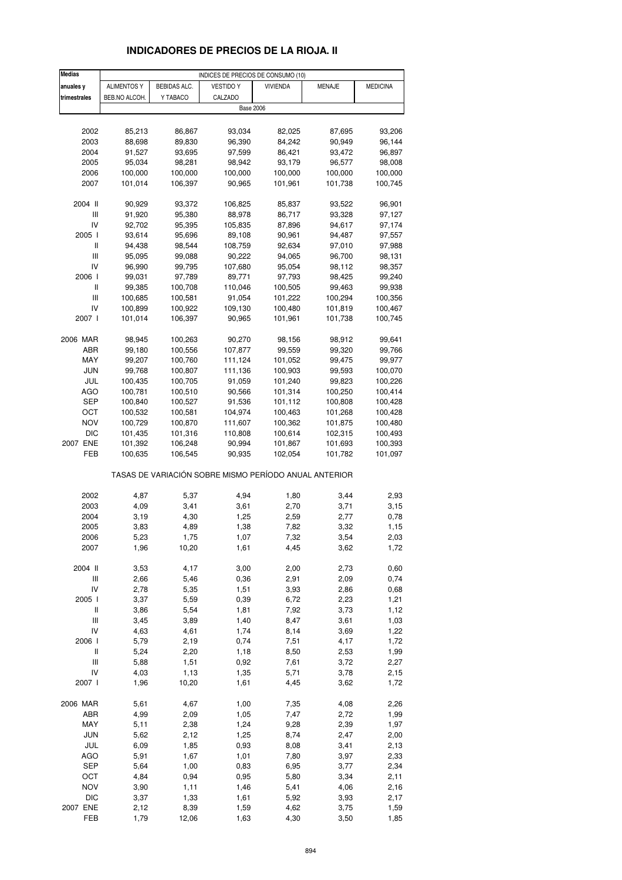# **INDICADORES DE PRECIOS DE LA RIOJA. II**

| <b>Medias</b>                      | INDICES DE PRECIOS DE CONSUMO (10) |              |                                                       |                 |         |                 |  |  |
|------------------------------------|------------------------------------|--------------|-------------------------------------------------------|-----------------|---------|-----------------|--|--|
| anuales y                          | <b>ALIMENTOS Y</b>                 | BEBIDAS ALC. | <b>VESTIDO Y</b>                                      | <b>VIVIENDA</b> | MENAJE  | <b>MEDICINA</b> |  |  |
| trimestrales                       | BEB.NO ALCOH.                      | Y TABACO     | CALZADO                                               |                 |         |                 |  |  |
|                                    |                                    |              | <b>Base 2006</b>                                      |                 |         |                 |  |  |
|                                    |                                    |              |                                                       |                 |         |                 |  |  |
| 2002                               | 85,213                             | 86,867       | 93,034                                                | 82,025          | 87,695  | 93,206          |  |  |
| 2003                               | 88,698                             | 89,830       | 96,390                                                | 84,242          | 90,949  | 96,144          |  |  |
| 2004                               | 91,527                             | 93,695       | 97,599                                                | 86,421          | 93,472  | 96,897          |  |  |
| 2005                               | 95,034                             | 98,281       | 98,942                                                | 93,179          | 96,577  | 98,008          |  |  |
| 2006                               | 100,000                            | 100,000      | 100,000                                               | 100,000         | 100,000 | 100,000         |  |  |
| 2007                               | 101,014                            | 106,397      | 90,965                                                | 101,961         | 101,738 | 100,745         |  |  |
|                                    |                                    |              |                                                       |                 |         |                 |  |  |
| 2004 II                            | 90,929                             | 93,372       | 106,825                                               | 85,837          | 93,522  | 96,901          |  |  |
| Ш                                  | 91,920                             | 95,380       | 88,978                                                | 86,717          | 93,328  | 97,127          |  |  |
| IV                                 | 92,702                             | 95,395       | 105,835                                               | 87,896          | 94,617  | 97,174          |  |  |
| 2005 l                             | 93,614                             | 95,696       | 89,108                                                | 90,961          | 94,487  | 97,557          |  |  |
| Ш                                  | 94,438                             | 98,544       | 108,759                                               | 92,634          | 97,010  | 97,988          |  |  |
| $\mathbf{III}$                     | 95,095                             | 99,088       | 90,222                                                | 94,065          | 96,700  | 98,131          |  |  |
| IV                                 | 96,990                             | 99,795       | 107,680                                               | 95,054          | 98,112  | 98,357          |  |  |
| 2006                               | 99,031                             | 97,789       | 89,771                                                | 97,793          | 98,425  | 99,240          |  |  |
| Ш                                  | 99,385                             | 100,708      | 110,046                                               | 100,505         | 99,463  | 99,938          |  |  |
| Ш                                  | 100,685                            | 100,581      | 91,054                                                | 101,222         | 100,294 | 100,356         |  |  |
| IV                                 | 100,899                            | 100,922      | 109,130                                               | 100,480         | 101,819 | 100,467         |  |  |
| 2007 l                             | 101,014                            | 106,397      | 90,965                                                | 101,961         | 101,738 | 100,745         |  |  |
|                                    |                                    |              |                                                       |                 |         |                 |  |  |
| 2006 MAR                           | 98,945                             | 100,263      | 90,270                                                | 98,156          | 98,912  | 99,641          |  |  |
| ABR                                | 99,180                             | 100,556      | 107,877                                               | 99,559          | 99,320  | 99,766          |  |  |
| MAY                                | 99,207                             | 100,760      | 111,124                                               | 101,052         | 99,475  | 99,977          |  |  |
| <b>JUN</b>                         | 99,768                             | 100,807      | 111,136                                               | 100,903         | 99,593  | 100,070         |  |  |
| JUL                                | 100,435                            | 100,705      | 91,059                                                | 101,240         | 99,823  | 100,226         |  |  |
| AGO                                | 100,781                            | 100,510      | 90,566                                                | 101,314         | 100,250 | 100,414         |  |  |
| SEP                                | 100,840                            | 100,527      | 91,536                                                | 101,112         | 100,808 | 100,428         |  |  |
| ост                                | 100,532                            | 100,581      | 104,974                                               | 100,463         | 101,268 | 100,428         |  |  |
| NOV                                | 100,729                            | 100,870      | 111,607                                               | 100,362         | 101,875 | 100,480         |  |  |
| <b>DIC</b>                         | 101,435                            | 101,316      | 110,808                                               | 100,614         | 102,315 | 100,493         |  |  |
| 2007 ENE                           | 101,392                            | 106,248      | 90,994                                                | 101,867         | 101,693 | 100,393         |  |  |
| FEB                                | 100,635                            | 106,545      | 90,935                                                | 102,054         | 101,782 | 101,097         |  |  |
|                                    |                                    |              | TASAS DE VARIACIÓN SOBRE MISMO PERÍODO ANUAL ANTERIOR |                 |         |                 |  |  |
| 2002                               | 4,87                               | 5,37         | 4,94                                                  | 1,80            | 3,44    | 2,93            |  |  |
| 2003                               | 4,09                               | 3,41         | 3,61                                                  | 2,70            | 3,71    | 3,15            |  |  |
| 2004                               | 3,19                               | 4,30         | 1,25                                                  | 2,59            | 2,77    | 0,78            |  |  |
| 2005                               | 3,83                               | 4,89         | 1,38                                                  | 7,82            | 3,32    | 1,15            |  |  |
| 2006                               | 5,23                               | 1,75         | 1,07                                                  | 7,32            | 3,54    | 2,03            |  |  |
| 2007                               | 1,96                               | 10,20        | 1,61                                                  | 4,45            | 3,62    | 1,72            |  |  |
|                                    |                                    |              |                                                       |                 |         |                 |  |  |
| 2004 II                            | 3,53                               | 4,17         | 3,00                                                  | 2,00            | 2,73    | 0,60            |  |  |
| $\ensuremath{\mathsf{III}}\xspace$ | 2,66                               | 5,46         | 0,36                                                  | 2,91            | 2,09    | 0,74            |  |  |
| IV                                 | 2,78                               | 5,35         | 1,51                                                  | 3,93            | 2,86    | 0,68            |  |  |
| 2005 l                             | 3,37                               | 5,59         | 0,39                                                  | 6,72            | 2,23    | 1,21            |  |  |
| $\,$ $\,$ $\,$ $\,$                | 3,86                               | 5,54         | 1,81                                                  | 7,92            | 3,73    | 1,12            |  |  |
| Ш                                  | 3,45                               | 3,89         | 1,40                                                  | 8,47            | 3,61    | 1,03            |  |  |
| IV                                 | 4,63                               | 4,61         | 1,74                                                  | 8,14            | 3,69    | 1,22            |  |  |
| 2006                               | 5,79                               | 2,19         | 0,74                                                  | 7,51            | 4,17    | 1,72            |  |  |
| Ш                                  | 5,24                               | 2,20         | 1,18                                                  | 8,50            | 2,53    | 1,99            |  |  |
| $\ensuremath{\mathsf{III}}\xspace$ | 5,88                               | 1,51         | 0,92                                                  | 7,61            | 3,72    | 2,27            |  |  |
| IV                                 | 4,03                               | 1,13         | 1,35                                                  | 5,71            | 3,78    | 2,15            |  |  |
| 2007 l                             | 1,96                               | 10,20        | 1,61                                                  | 4,45            | 3,62    | 1,72            |  |  |
|                                    |                                    |              |                                                       |                 |         |                 |  |  |
| 2006 MAR                           | 5,61                               | 4,67         | 1,00                                                  | 7,35            | 4,08    | 2,26            |  |  |
| ABR                                | 4,99                               | 2,09         | 1,05                                                  | 7,47            | 2,72    | 1,99            |  |  |
| MAY                                | 5,11                               | 2,38         | 1,24                                                  | 9,28            | 2,39    | 1,97            |  |  |
| <b>JUN</b>                         | 5,62                               | 2,12         | 1,25                                                  | 8,74            | 2,47    | 2,00            |  |  |
| JUL                                | 6,09                               | 1,85         | 0,93                                                  | 8,08            | 3,41    | 2,13            |  |  |
| <b>AGO</b>                         | 5,91                               | 1,67         | 1,01                                                  | 7,80            | 3,97    | 2,33            |  |  |
| <b>SEP</b>                         | 5,64                               | 1,00         | 0,83                                                  | 6,95            | 3,77    | 2,34            |  |  |
| OCT                                | 4,84                               | 0,94         | 0,95                                                  | 5,80            | 3,34    | 2,11            |  |  |
| <b>NOV</b>                         | 3,90                               | 1,11         | 1,46                                                  | 5,41            | 4,06    | 2,16            |  |  |
| <b>DIC</b>                         | 3,37                               | 1,33         | 1,61                                                  | 5,92            | 3,93    | 2,17            |  |  |
| 2007 ENE                           | 2,12                               | 8,39         | 1,59                                                  | 4,62            | 3,75    | 1,59            |  |  |
| FEB                                | 1,79                               | 12,06        | 1,63                                                  | 4,30            | 3,50    | 1,85            |  |  |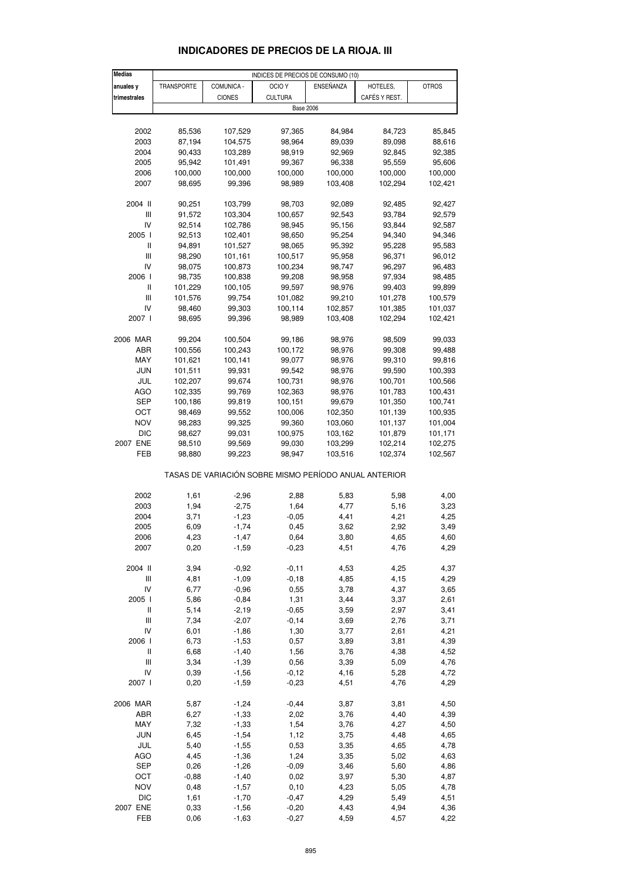| <b>Medias</b>                         |            |               | INDICES DE PRECIOS DE CONSUMO (10)                    |           |               |              |
|---------------------------------------|------------|---------------|-------------------------------------------------------|-----------|---------------|--------------|
| anuales y                             | TRANSPORTE | COMUNICA -    | OCIO <sub>Y</sub>                                     | ENSEÑANZA | HOTELES,      | <b>OTROS</b> |
| trimestrales                          |            | <b>CIONES</b> | <b>CULTURA</b>                                        |           | CAFÉS Y REST. |              |
|                                       |            |               |                                                       |           |               |              |
|                                       |            |               | <b>Base 2006</b>                                      |           |               |              |
|                                       |            |               |                                                       |           |               |              |
| 2002                                  | 85,536     | 107,529       | 97,365                                                | 84,984    | 84,723        | 85,845       |
| 2003                                  | 87,194     | 104,575       | 98,964                                                | 89,039    | 89,098        | 88,616       |
| 2004                                  | 90,433     | 103,289       | 98,919                                                | 92,969    | 92,845        | 92,385       |
| 2005                                  | 95,942     | 101,491       | 99,367                                                | 96,338    | 95,559        | 95,606       |
|                                       |            |               |                                                       |           |               |              |
| 2006                                  | 100,000    | 100,000       | 100,000                                               | 100,000   | 100,000       | 100,000      |
| 2007                                  | 98,695     | 99,396        | 98,989                                                | 103,408   | 102,294       | 102,421      |
|                                       |            |               |                                                       |           |               |              |
| 2004 II                               | 90,251     | 103,799       | 98,703                                                | 92,089    | 92,485        | 92,427       |
| Ш                                     | 91,572     | 103,304       | 100,657                                               | 92,543    | 93,784        | 92,579       |
| IV                                    | 92,514     | 102,786       | 98,945                                                | 95,156    | 93,844        | 92,587       |
| 2005 l                                | 92,513     | 102,401       | 98,650                                                | 95,254    | 94,340        | 94,346       |
| Ш                                     | 94,891     | 101,527       | 98,065                                                | 95,392    | 95,228        | 95,583       |
|                                       |            |               |                                                       |           |               |              |
| III                                   | 98,290     | 101,161       | 100,517                                               | 95,958    | 96,371        | 96,012       |
| IV                                    | 98,075     | 100,873       | 100,234                                               | 98,747    | 96,297        | 96,483       |
| 2006                                  | 98,735     | 100,838       | 99,208                                                | 98,958    | 97,934        | 98,485       |
| $\begin{array}{c} \hline \end{array}$ | 101,229    | 100,105       | 99,597                                                | 98,976    | 99,403        | 99,899       |
| Ш                                     | 101,576    | 99,754        | 101,082                                               | 99,210    | 101,278       | 100,579      |
|                                       | 98,460     |               |                                                       |           |               |              |
| IV                                    |            | 99,303        | 100,114                                               | 102,857   | 101,385       | 101,037      |
| 2007 l                                | 98,695     | 99,396        | 98,989                                                | 103,408   | 102,294       | 102,421      |
|                                       |            |               |                                                       |           |               |              |
| 2006 MAR                              | 99,204     | 100,504       | 99,186                                                | 98,976    | 98,509        | 99,033       |
| ABR                                   | 100,556    | 100,243       | 100,172                                               | 98,976    | 99,308        | 99,488       |
| MAY                                   | 101,621    | 100,141       | 99,077                                                | 98,976    | 99,310        | 99,816       |
| <b>JUN</b>                            | 101,511    | 99,931        | 99,542                                                | 98,976    | 99,590        | 100,393      |
|                                       |            |               |                                                       |           |               |              |
| JUL                                   | 102,207    | 99,674        | 100,731                                               | 98,976    | 100,701       | 100,566      |
| <b>AGO</b>                            | 102,335    | 99,769        | 102,363                                               | 98,976    | 101,783       | 100,431      |
| SEP                                   | 100,186    | 99,819        | 100,151                                               | 99,679    | 101,350       | 100,741      |
| ОСТ                                   | 98,469     | 99,552        | 100,006                                               | 102,350   | 101,139       | 100,935      |
| NOV                                   | 98,283     | 99,325        | 99,360                                                | 103,060   | 101,137       | 101,004      |
| <b>DIC</b>                            | 98,627     | 99,031        | 100,975                                               | 103,162   | 101,879       | 101,171      |
| 2007 ENE                              |            |               |                                                       |           |               |              |
|                                       | 98,510     | 99,569        | 99,030                                                | 103,299   | 102,214       | 102,275      |
| FEB                                   | 98,880     | 99,223        | 98,947                                                | 103,516   | 102,374       | 102,567      |
|                                       |            |               | TASAS DE VARIACIÓN SOBRE MISMO PERÍODO ANUAL ANTERIOR |           |               |              |
|                                       |            |               |                                                       |           |               |              |
| 2002                                  | 1,61       | $-2,96$       | 2,88                                                  | 5,83      | 5,98          | 4,00         |
| 2003                                  | 1,94       | $-2,75$       | 1,64                                                  | 4,77      | 5,16          | 3,23         |
| 2004                                  | 3,71       | $-1,23$       | $-0,05$                                               | 4,41      | 4,21          | 4,25         |
| 2005                                  | 6,09       | $-1,74$       | 0,45                                                  | 3,62      | 2,92          |              |
|                                       |            |               |                                                       |           |               | 3,49         |
| 2006                                  | 4,23       | $-1,47$       | 0,64                                                  | 3,80      | 4,65          | 4,60         |
| 2007                                  | 0,20       | $-1,59$       | $-0,23$                                               | 4,51      | 4,76          | 4,29         |
|                                       |            |               |                                                       |           |               |              |
| 2004 II                               | 3,94       | $-0,92$       | $-0,11$                                               | 4,53      | 4,25          | 4,37         |
| Ш                                     | 4,81       | $-1,09$       | $-0,18$                                               | 4,85      | 4,15          | 4,29         |
| IV                                    | 6,77       | $-0,96$       | 0,55                                                  | 3,78      | 4,37          | 3,65         |
| 2005 l                                | 5,86       | $-0,84$       | 1,31                                                  | 3,44      | 3,37          | 2,61         |
| Ш                                     | 5,14       | $-2,19$       | $-0,65$                                               |           | 2,97          | 3,41         |
|                                       |            |               |                                                       | 3,59      |               |              |
| Ш                                     | 7,34       | $-2,07$       | $-0, 14$                                              | 3,69      | 2,76          | 3,71         |
| IV                                    | 6,01       | $-1,86$       | 1,30                                                  | 3,77      | 2,61          | 4,21         |
| 2006 l                                | 6,73       | $-1,53$       | 0,57                                                  | 3,89      | 3,81          | 4,39         |
| Ш                                     | 6,68       | $-1,40$       | 1,56                                                  | 3,76      | 4,38          | 4,52         |
| $\mathop{\rm III}\nolimits$           | 3,34       | $-1,39$       | 0,56                                                  | 3,39      | 5,09          | 4,76         |
| IV                                    | 0,39       | $-1,56$       | $-0,12$                                               | 4,16      | 5,28          | 4,72         |
| 2007 l                                | 0,20       | $-1,59$       | $-0,23$                                               | 4,51      | 4,76          | 4,29         |
|                                       |            |               |                                                       |           |               |              |
| 2006 MAR                              | 5,87       | $-1,24$       | $-0,44$                                               | 3,87      | 3,81          | 4,50         |
| ABR                                   | 6,27       | $-1,33$       | 2,02                                                  | 3,76      | 4,40          | 4,39         |
| MAY                                   | 7,32       | $-1,33$       | 1,54                                                  | 3,76      | 4,27          | 4,50         |
|                                       |            |               |                                                       |           |               |              |
| <b>JUN</b>                            | 6,45       | $-1,54$       | 1,12                                                  | 3,75      | 4,48          | 4,65         |
| JUL                                   | 5,40       | $-1,55$       | 0,53                                                  | 3,35      | 4,65          | 4,78         |
| <b>AGO</b>                            | 4,45       | $-1,36$       | 1,24                                                  | 3,35      | 5,02          | 4,63         |
| SEP                                   | 0,26       | $-1,26$       | $-0,09$                                               | 3,46      | 5,60          | 4,86         |
| OCT                                   | $-0,88$    | $-1,40$       | 0,02                                                  | 3,97      | 5,30          | 4,87         |
| <b>NOV</b>                            | 0,48       | $-1,57$       | 0, 10                                                 | 4,23      | 5,05          | 4,78         |
|                                       |            |               |                                                       |           |               |              |
| <b>DIC</b>                            | 1,61       | $-1,70$       | $-0,47$                                               | 4,29      | 5,49          | 4,51         |
| 2007 ENE                              | 0,33       | $-1,56$       | $-0,20$                                               | 4,43      | 4,94          | 4,36         |

### **INDICADORES DE PRECIOS DE LA RIOJA. III**

FEB 0,06 -1,63 -0,27 4,59 4,57 4,22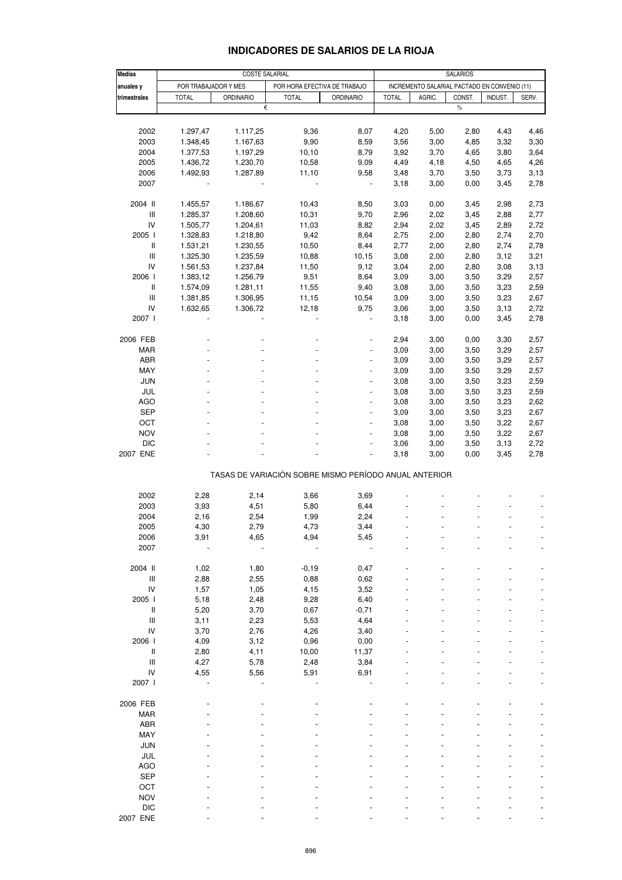| <b>Medias</b>              |                      | <b>COSTE SALARIAL</b> |                                                       | <b>SALARIOS</b>          |              |                                              |        |         |       |
|----------------------------|----------------------|-----------------------|-------------------------------------------------------|--------------------------|--------------|----------------------------------------------|--------|---------|-------|
| anuales y                  | POR TRABAJADOR Y MES |                       | POR HORA EFECTIVA DE TRABAJO                          |                          |              | INCREMENTO SALARIAL PACTADO EN CONVENIO (11) |        |         |       |
| trimestrales               | <b>TOTAL</b>         | <b>ORDINARIO</b>      | <b>TOTAL</b>                                          | <b>ORDINARIO</b>         | <b>TOTAL</b> | AGRIC.                                       | CONST. | INDUST. | SERV. |
|                            |                      | €                     |                                                       |                          |              |                                              | $\%$   |         |       |
|                            |                      |                       |                                                       |                          |              |                                              |        |         |       |
| 2002                       | 1.297,47             | 1.117,25              | 9,36                                                  | 8,07                     | 4,20         | 5,00                                         | 2,80   | 4,43    | 4,46  |
| 2003                       | 1.348,45             | 1.167,63              | 9,90                                                  | 8,59                     | 3,56         | 3,00                                         | 4,85   | 3,32    | 3,30  |
| 2004                       | 1.377,53             | 1.197,29              | 10, 10                                                | 8,79                     | 3,92         | 3,70                                         | 4,65   | 3,80    | 3,64  |
| 2005                       | 1.436,72             | 1.230,70              | 10,58                                                 | 9,09                     | 4,49         | 4,18                                         | 4,50   | 4,65    | 4,26  |
| 2006                       | 1.492,93             | 1.287,89              | 11,10                                                 | 9,58                     | 3,48         | 3,70                                         | 3,50   | 3,73    | 3,13  |
| 2007                       |                      |                       |                                                       | $\overline{\phantom{a}}$ | 3,18         | 3,00                                         | 0,00   | 3,45    | 2,78  |
|                            |                      |                       |                                                       |                          |              |                                              |        |         |       |
| 2004 II                    | 1.455,57             | 1.186,67              | 10,43                                                 | 8,50                     | 3,03         | 0,00                                         | 3,45   | 2,98    | 2,73  |
| $\mathsf{III}%$            | 1.285,37             | 1.208,60              | 10,31                                                 | 9,70                     | 2,96         | 2,02                                         | 3,45   | 2,88    | 2,77  |
| IV                         | 1.505,77             | 1.204,61              | 11,03                                                 | 8,82                     | 2,94         | 2,02                                         | 3,45   | 2,89    | 2,72  |
| 2005 l                     | 1.328,83             | 1.218,80              | 9,42                                                  | 8,64                     | 2,75         | 2,00                                         | 2,80   | 2,74    | 2,70  |
| $\ensuremath{\mathsf{II}}$ | 1.531,21             | 1.230,55              | 10,50                                                 | 8,44                     | 2,77         | 2,00                                         | 2,80   | 2,74    | 2,78  |
| $\mathbf{III}$             | 1.325,30             | 1.235,59              | 10,88                                                 | 10, 15                   | 3,08         | 2,00                                         | 2,80   | 3,12    | 3,21  |
| IV                         | 1.561,53             | 1.237,84              | 11,50                                                 | 9,12                     | 3,04         | 2,00                                         | 2,80   | 3,08    | 3,13  |
| 2006 l                     | 1.383,12             | 1.256,79              | 9,51                                                  | 8,64                     | 3,09         | 3,00                                         | 3,50   | 3,29    | 2,57  |
| $\ensuremath{\mathsf{II}}$ | 1.574,09             | 1.281,11              | 11,55                                                 | 9,40                     | 3,08         | 3,00                                         | 3,50   | 3,23    | 2,59  |
| $\mathbf{III}$             | 1.381,85             | 1.306,95              | 11,15                                                 | 10,54                    | 3,09         | 3,00                                         | 3,50   | 3,23    | 2,67  |
| IV                         | 1.632,65             | 1.306,72              | 12,18                                                 | 9,75                     | 3,06         | 3,00                                         | 3,50   | 3,13    | 2,72  |
| 2007 l                     |                      |                       |                                                       |                          | 3,18         | 3,00                                         | 0,00   | 3,45    | 2,78  |
|                            |                      |                       |                                                       |                          |              |                                              |        |         |       |
| 2006 FEB                   |                      |                       |                                                       |                          | 2,94         | 3,00                                         | 0,00   | 3,30    | 2,57  |
| <b>MAR</b>                 |                      |                       |                                                       |                          | 3,09         | 3,00                                         | 3,50   | 3,29    | 2,57  |
| ABR                        |                      |                       |                                                       |                          | 3,09         | 3,00                                         | 3,50   | 3,29    | 2,57  |
| MAY                        |                      |                       |                                                       | $\overline{a}$           | 3,09         | 3,00                                         | 3,50   | 3,29    | 2,57  |
| <b>JUN</b>                 |                      |                       |                                                       |                          | 3,08         | 3,00                                         | 3,50   | 3,23    | 2,59  |
| JUL                        |                      |                       |                                                       |                          | 3,08         | 3,00                                         | 3,50   | 3,23    | 2,59  |
| <b>AGO</b>                 |                      |                       |                                                       | $\overline{a}$           | 3,08         | 3,00                                         | 3,50   | 3,23    | 2,62  |
| <b>SEP</b>                 |                      |                       |                                                       |                          | 3,09         | 3,00                                         | 3,50   | 3,23    | 2,67  |
| OCT                        |                      |                       |                                                       |                          | 3,08         | 3,00                                         | 3,50   | 3,22    | 2,67  |
| <b>NOV</b>                 |                      |                       |                                                       | $\overline{a}$           | 3,08         | 3,00                                         | 3,50   | 3,22    | 2,67  |
| <b>DIC</b>                 |                      |                       |                                                       |                          | 3,06         | 3,00                                         | 3,50   | 3,13    | 2,72  |
| 2007 ENE                   |                      |                       |                                                       |                          | 3,18         | 3,00                                         | 0,00   | 3,45    | 2,78  |
|                            |                      |                       |                                                       |                          |              |                                              |        |         |       |
|                            |                      |                       | TASAS DE VARIACIÓN SOBRE MISMO PERÍODO ANUAL ANTERIOR |                          |              |                                              |        |         |       |
|                            |                      |                       |                                                       |                          |              |                                              |        |         |       |
| 2002                       | 2,28                 | 2,14                  | 3,66                                                  | 3,69                     |              |                                              |        |         |       |
| 2003                       | 3,93                 | 4,51                  | 5,80                                                  | 6,44                     |              |                                              |        |         |       |
| 2004                       | 2,16                 | 2,54                  | 1,99                                                  | 2,24                     |              |                                              |        |         |       |
| 2005                       | 4,30                 | 2,79                  | 4,73                                                  | 3,44                     |              |                                              |        |         |       |
| 2006                       | 3,91                 | 4,65                  | 4,94                                                  | 5,45                     |              |                                              |        |         |       |
| 2007                       |                      |                       |                                                       |                          |              |                                              |        |         |       |
|                            |                      |                       |                                                       |                          |              |                                              |        |         |       |
| 2004 II                    | 1,02                 | 1,80                  | $-0,19$                                               | 0,47                     |              |                                              |        |         |       |
| $\mathsf{III}%$            | 2,88                 | 2,55                  | 0,88                                                  | 0,62                     |              |                                              |        |         |       |
| IV                         | 1,57                 | 1,05                  | 4,15                                                  | 3,52                     |              |                                              |        |         |       |
| 2005 l                     | 5,18                 | 2,48                  | 9,28                                                  | 6,40                     |              |                                              |        |         |       |
| $\, \parallel$             | 5,20                 | 3,70                  | 0,67                                                  | $-0,71$                  |              |                                              |        |         |       |
| $\mathsf{III}%$            | 3,11                 | 2,23                  | 5,53                                                  | 4,64                     |              |                                              |        |         |       |
| IV                         | 3,70                 | 2,76                  | 4,26                                                  | 3,40                     |              |                                              |        |         |       |
| 2006                       | 4,09                 | 3,12                  | 0,96                                                  | 0,00                     |              |                                              |        |         |       |
| $\, \parallel$             | 2,80                 | 4,11                  | 10,00                                                 | 11,37                    |              |                                              |        |         |       |
| $\mathsf{III}%$            | 4,27                 | 5,78                  | 2,48                                                  | 3,84                     |              |                                              |        |         |       |
| IV                         | 4,55                 | 5,56                  | 5,91                                                  | 6,91                     |              |                                              |        |         |       |
| 2007 l                     |                      |                       |                                                       |                          |              |                                              |        |         |       |
|                            |                      |                       |                                                       |                          |              |                                              |        |         |       |
| 2006 FEB                   |                      |                       |                                                       |                          |              |                                              |        |         |       |
| <b>MAR</b>                 |                      |                       |                                                       |                          |              |                                              |        |         |       |
| ABR                        |                      |                       |                                                       |                          |              |                                              |        |         |       |
| MAY                        |                      |                       |                                                       |                          |              |                                              |        |         |       |
| JUN                        |                      |                       |                                                       |                          |              |                                              |        |         |       |
| JUL                        |                      |                       |                                                       |                          |              |                                              |        |         |       |
| <b>AGO</b>                 |                      |                       |                                                       |                          |              |                                              |        |         |       |
| <b>SEP</b>                 |                      |                       |                                                       |                          |              |                                              |        |         |       |
| OCT                        |                      |                       |                                                       |                          |              |                                              |        |         |       |
| <b>NOV</b>                 |                      |                       |                                                       |                          |              |                                              |        |         |       |
| <b>DIC</b>                 |                      |                       |                                                       |                          |              |                                              |        |         |       |
| 2007 ENE                   |                      |                       |                                                       |                          |              |                                              |        |         |       |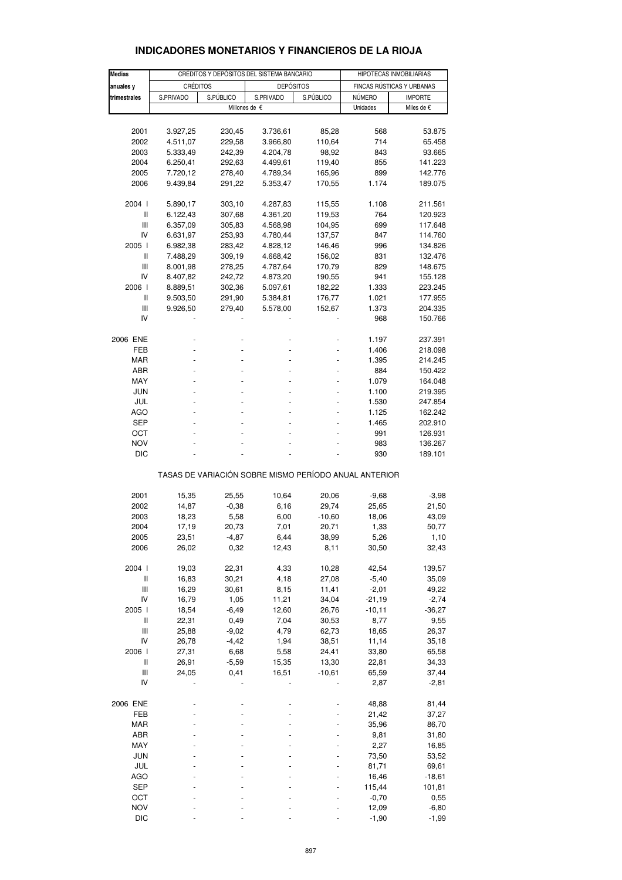|               |                                           |           |                                                       | HIPOTECAS INMOBILIARIAS |               |                           |  |
|---------------|-------------------------------------------|-----------|-------------------------------------------------------|-------------------------|---------------|---------------------------|--|
| <b>Medias</b> | CRÉDITOS Y DEPÓSITOS DEL SISTEMA BANCARIO |           |                                                       |                         |               |                           |  |
| anuales y     | <b>CRÉDITOS</b>                           |           | <b>DEPÓSITOS</b>                                      |                         |               | FINCAS RÚSTICAS Y URBANAS |  |
| trimestrales  | S.PRIVADO                                 | S.PÚBLICO | S.PRIVADO                                             | S.PÚBLICO               | <b>NÚMERO</b> | <b>IMPORTE</b>            |  |
|               |                                           |           | Millones de $\epsilon$                                |                         | Unidades      | Miles de €                |  |
|               |                                           |           |                                                       |                         |               |                           |  |
| 2001          | 3.927,25                                  | 230,45    | 3.736,61                                              | 85,28                   | 568           | 53.875                    |  |
|               |                                           |           |                                                       |                         | 714           |                           |  |
| 2002          | 4.511,07                                  | 229,58    | 3.966,80                                              | 110,64                  |               | 65.458                    |  |
| 2003          | 5.333,49                                  | 242,39    | 4.204,78                                              | 98,92                   | 843           | 93.665                    |  |
| 2004          | 6.250,41                                  | 292,63    | 4.499,61                                              | 119,40                  | 855           | 141.223                   |  |
| 2005          | 7.720,12                                  | 278,40    | 4.789,34                                              | 165,96                  | 899           | 142.776                   |  |
| 2006          | 9.439,84                                  | 291,22    | 5.353,47                                              | 170,55                  | 1.174         | 189.075                   |  |
| 2004 l        | 5.890,17                                  | 303,10    | 4.287,83                                              | 115,55                  | 1.108         | 211.561                   |  |
|               |                                           |           |                                                       |                         |               |                           |  |
| Ш             | 6.122,43                                  | 307,68    | 4.361,20                                              | 119,53                  | 764           | 120.923                   |  |
| Ш             | 6.357,09                                  | 305,83    | 4.568,98                                              | 104,95                  | 699           | 117.648                   |  |
| IV            | 6.631,97                                  | 253,93    | 4.780,44                                              | 137,57                  | 847           | 114.760                   |  |
| 2005 l        | 6.982,38                                  | 283,42    | 4.828,12                                              | 146,46                  | 996           | 134.826                   |  |
| Ш             | 7.488,29                                  | 309,19    | 4.668,42                                              | 156,02                  | 831           | 132.476                   |  |
| Ш             | 8.001,98                                  | 278,25    | 4.787,64                                              | 170,79                  | 829           | 148.675                   |  |
| IV            | 8.407,82                                  | 242,72    | 4.873,20                                              | 190,55                  | 941           | 155.128                   |  |
| 2006 l        |                                           |           |                                                       | 182,22                  | 1.333         |                           |  |
|               | 8.889,51                                  | 302,36    | 5.097,61                                              |                         |               | 223.245                   |  |
| Ш             | 9.503,50                                  | 291,90    | 5.384,81                                              | 176,77                  | 1.021         | 177.955                   |  |
| Ш             | 9.926,50                                  | 279,40    | 5.578,00                                              | 152,67                  | 1.373         | 204.335                   |  |
| IV            |                                           |           |                                                       |                         | 968           | 150.766                   |  |
| 2006 ENE      |                                           |           |                                                       |                         | 1.197         | 237.391                   |  |
| <b>FEB</b>    |                                           |           |                                                       |                         | 1.406         | 218.098                   |  |
|               |                                           |           |                                                       |                         |               |                           |  |
| <b>MAR</b>    |                                           |           |                                                       |                         | 1.395         | 214.245                   |  |
| ABR           |                                           |           |                                                       |                         | 884           | 150.422                   |  |
| MAY           |                                           |           |                                                       |                         | 1.079         | 164.048                   |  |
| JUN           |                                           |           |                                                       |                         | 1.100         | 219.395                   |  |
| JUL           |                                           |           |                                                       |                         | 1.530         | 247.854                   |  |
| <b>AGO</b>    |                                           |           |                                                       |                         | 1.125         | 162.242                   |  |
| SEP           |                                           |           |                                                       |                         | 1.465         | 202.910                   |  |
| OCT           |                                           |           |                                                       |                         | 991           | 126.931                   |  |
| <b>NOV</b>    |                                           |           |                                                       |                         | 983           | 136.267                   |  |
|               |                                           |           |                                                       |                         |               |                           |  |
| <b>DIC</b>    |                                           |           |                                                       |                         | 930           | 189.101                   |  |
|               |                                           |           | TASAS DE VARIACIÓN SOBRE MISMO PERÍODO ANUAL ANTERIOR |                         |               |                           |  |
|               |                                           |           |                                                       |                         |               |                           |  |
| 2001          | 15,35                                     | 25,55     | 10,64                                                 | 20,06                   | $-9,68$       | $-3,98$                   |  |
| 2002          | 14,87                                     | $-0,38$   | 6,16                                                  | 29,74                   | 25,65         | 21,50                     |  |
| 2003          | 18,23                                     | 5,58      | 6,00                                                  | $-10,60$                | 18,06         | 43,09                     |  |
| 2004          | 17,19                                     | 20,73     | 7,01                                                  | 20,71                   | 1,33          | 50,77                     |  |
| 2005          | 23,51                                     | $-4,87$   | 6,44                                                  | 38,99                   | 5,26          | 1,10                      |  |
| 2006          | 26,02                                     | 0,32      | 12,43                                                 | 8,11                    | 30,50         | 32,43                     |  |
| 2004 l        | 19,03                                     | 22,31     | 4,33                                                  | 10,28                   | 42,54         | 139,57                    |  |
|               |                                           |           |                                                       |                         |               |                           |  |
| $\sf II$      | 16,83                                     | 30,21     | 4,18                                                  | 27,08                   | $-5,40$       | 35,09                     |  |
| Ш             | 16,29                                     | 30,61     | 8,15                                                  | 11,41                   | $-2,01$       | 49,22                     |  |
| IV            | 16,79                                     | 1,05      | 11,21                                                 | 34,04                   | $-21,19$      | $-2,74$                   |  |
| 2005 l        | 18,54                                     | $-6,49$   | 12,60                                                 | 26,76                   | $-10,11$      | $-36,27$                  |  |
| Ш             | 22,31                                     | 0,49      | 7,04                                                  | 30,53                   | 8,77          | 9,55                      |  |
| Ш             | 25,88                                     | $-9,02$   | 4,79                                                  | 62,73                   | 18,65         | 26,37                     |  |
| IV            | 26,78                                     | $-4,42$   | 1,94                                                  | 38,51                   | 11,14         | 35,18                     |  |
| 2006          | 27,31                                     | 6,68      | 5,58                                                  | 24,41                   | 33,80         | 65,58                     |  |
|               |                                           |           |                                                       |                         |               |                           |  |
| Ш             | 26,91                                     | $-5,59$   | 15,35                                                 | 13,30                   | 22,81         | 34,33                     |  |
| Ш             | 24,05                                     | 0,41      | 16,51                                                 | $-10,61$                | 65,59         | 37,44                     |  |
| IV            |                                           |           |                                                       |                         | 2,87          | $-2,81$                   |  |
| 2006 ENE      |                                           |           |                                                       |                         | 48,88         | 81,44                     |  |
| FEB           |                                           |           |                                                       |                         | 21,42         | 37,27                     |  |
| MAR           |                                           |           |                                                       |                         | 35,96         | 86,70                     |  |
| ABR           |                                           |           |                                                       |                         | 9,81          | 31,80                     |  |
| MAY           |                                           |           |                                                       |                         | 2,27          | 16,85                     |  |
|               |                                           |           |                                                       |                         |               |                           |  |
| JUN           |                                           |           |                                                       |                         | 73,50         | 53,52                     |  |
| JUL           |                                           |           |                                                       |                         | 81,71         | 69,61                     |  |
| <b>AGO</b>    |                                           |           |                                                       |                         | 16,46         | $-18,61$                  |  |
| SEP           |                                           |           |                                                       |                         | 115,44        | 101,81                    |  |
| OCT           |                                           |           |                                                       |                         | $-0,70$       | 0,55                      |  |
| <b>NOV</b>    |                                           |           |                                                       |                         | 12,09         | $-6,80$                   |  |
| $DIC$         |                                           |           |                                                       |                         | $-1,90$       | $-1,99$                   |  |

## **INDICADORES MONETARIOS Y FINANCIEROS DE LA RIOJA**